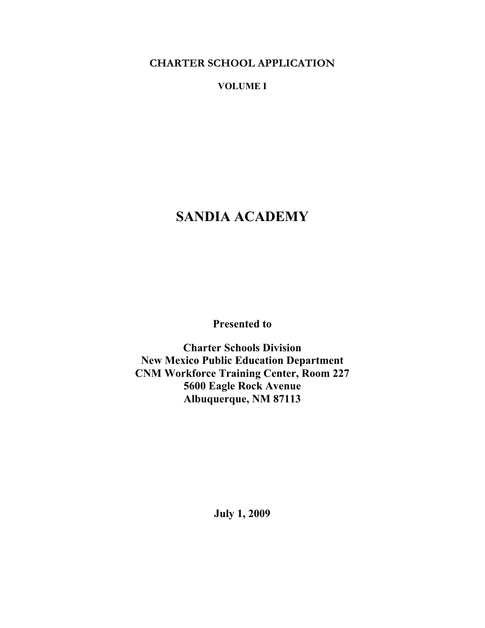**CHARTER SCHOOL APPLICATION** 

**VOLUME I** 

# **SANDIA ACADEMY**

**Presented to** 

**Charter Schools Division New Mexico Public Education Department CNM Workforce Training Center, Room 227 5600 Eagle Rock Avenue Albuquerque, NM 87113** 

**July 1, 2009**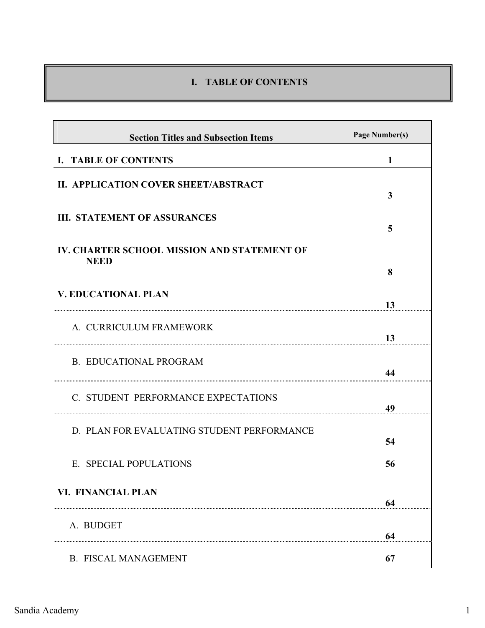# **I. TABLE OF CONTENTS**

| <b>Section Titles and Subsection Items</b>                        | Page Number(s) |
|-------------------------------------------------------------------|----------------|
| <b>I. TABLE OF CONTENTS</b>                                       | 1              |
| II. APPLICATION COVER SHEET/ABSTRACT                              | 3              |
| <b>III. STATEMENT OF ASSURANCES</b>                               | 5              |
| <b>IV. CHARTER SCHOOL MISSION AND STATEMENT OF</b><br><b>NEED</b> |                |
|                                                                   | 8              |
| <b>V. EDUCATIONAL PLAN</b>                                        | 13             |
| A. CURRICULUM FRAMEWORK                                           | 13             |
| <b>B. EDUCATIONAL PROGRAM</b>                                     | 44             |
| C. STUDENT PERFORMANCE EXPECTATIONS                               | 49             |
| D. PLAN FOR EVALUATING STUDENT PERFORMANCE                        | 54             |
| E. SPECIAL POPULATIONS                                            | 56             |
| VI. FINANCIAL PLAN                                                | 64             |
| A. BUDGET                                                         | 64             |
| <b>B. FISCAL MANAGEMENT</b>                                       | 67             |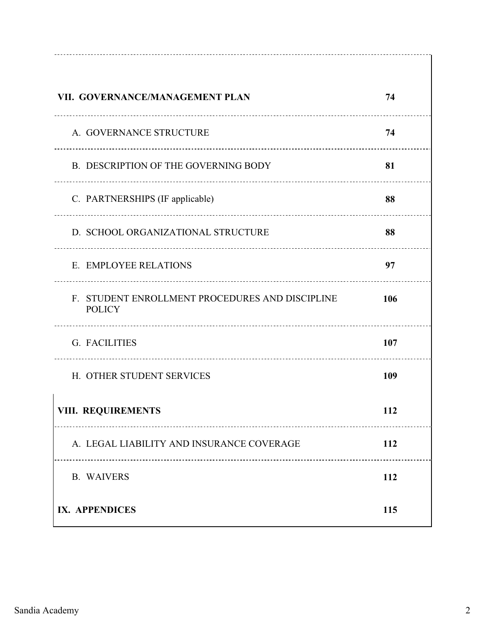| VII. GOVERNANCE/MANAGEMENT PLAN                                  | 74  |
|------------------------------------------------------------------|-----|
| A. GOVERNANCE STRUCTURE                                          | 74  |
| B. DESCRIPTION OF THE GOVERNING BODY                             | 81  |
| C. PARTNERSHIPS (IF applicable)                                  | 88  |
| D. SCHOOL ORGANIZATIONAL STRUCTURE                               | 88  |
| E. EMPLOYEE RELATIONS                                            | 97  |
| F. STUDENT ENROLLMENT PROCEDURES AND DISCIPLINE<br><b>POLICY</b> | 106 |
| G. FACILITIES                                                    | 107 |
| H. OTHER STUDENT SERVICES                                        | 109 |
| <b>VIII. REQUIREMENTS</b>                                        | 112 |
| A. LEGAL LIABILITY AND INSURANCE COVERAGE                        | 112 |
| <b>B. WAIVERS</b>                                                | 112 |
| IX. APPENDICES                                                   | 115 |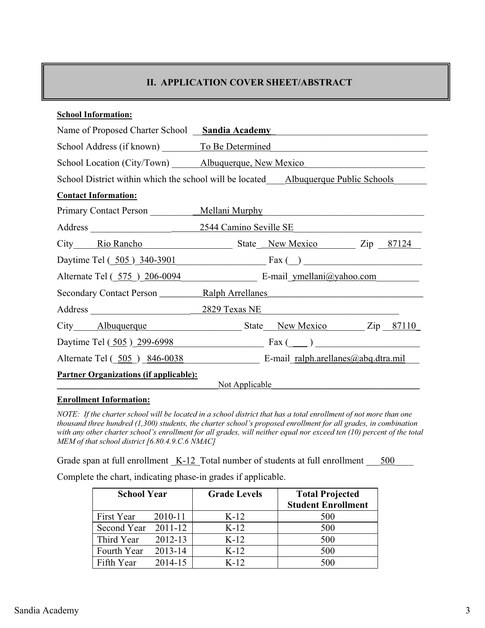# **II. APPLICATION COVER SHEET/ABSTRACT**

| <b>School Information:</b>                          |                                                                                         |  |  |  |  |  |
|-----------------------------------------------------|-----------------------------------------------------------------------------------------|--|--|--|--|--|
| Name of Proposed Charter School Sandia Academy      |                                                                                         |  |  |  |  |  |
| School Address (if known) To Be Determined          |                                                                                         |  |  |  |  |  |
| School Location (City/Town) Albuquerque, New Mexico |                                                                                         |  |  |  |  |  |
|                                                     | School District within which the school will be located Albuquerque Public Schools      |  |  |  |  |  |
| <b>Contact Information:</b>                         |                                                                                         |  |  |  |  |  |
|                                                     | Primary Contact Person ____________ Mellani Murphy                                      |  |  |  |  |  |
|                                                     |                                                                                         |  |  |  |  |  |
|                                                     | City Rio Rancho State New Mexico Zip<br>87124                                           |  |  |  |  |  |
|                                                     | Daytime Tel $($ $\underline{505}$ $\underline{340-3901}$ Fax $($ $)$                    |  |  |  |  |  |
|                                                     | Alternate Tel (575) 206-0094 E-mail ymellani@yahoo.com                                  |  |  |  |  |  |
|                                                     | Secondary Contact Person Ralph Arrellanes                                               |  |  |  |  |  |
|                                                     |                                                                                         |  |  |  |  |  |
|                                                     | City Albuquerque State New Mexico Zip<br><u>87110</u>                                   |  |  |  |  |  |
|                                                     | Daytime Tel $(\underline{505}) \underline{299 - 6998}$ Fax $(\underline{\hspace{1cm}})$ |  |  |  |  |  |
| Alternate Tel (505) 846-0038                        | E-mail ralph.arellanes@abq.dtra.mil                                                     |  |  |  |  |  |
| <b>Partner Organizations (if applicable):</b>       | Not Applicable                                                                          |  |  |  |  |  |

#### **Enrollment Information:**

*NOTE: If the charter school will be located in a school district that has a total enrollment of not more than one thousand three hundred (1,300) students, the charter school's proposed enrollment for all grades, in combination with any other charter school's enrollment for all grades, will neither equal nor exceed ten (10) percent of the total MEM of that school district [6.80.4.9.C.6 NMAC]* 

Grade span at full enrollment  $K-12$  Total number of students at full enrollment  $\frac{500}{200}$ 

Complete the chart, indicating phase-in grades if applicable.

| <b>School Year</b>  |             | <b>Grade Levels</b> | <b>Total Projected</b>    |
|---------------------|-------------|---------------------|---------------------------|
|                     |             |                     | <b>Student Enrollment</b> |
| First Year          | 2010-11     | $K-12$              | 500                       |
| Second Year 2011-12 |             | $K-12$              | 500                       |
| Third Year          | $2012 - 13$ | $K-12$              | 500                       |
| Fourth Year         | 2013-14     | $K-12$              | 500                       |
| Fifth Year          | 2014-15     | $K-12$              | 500                       |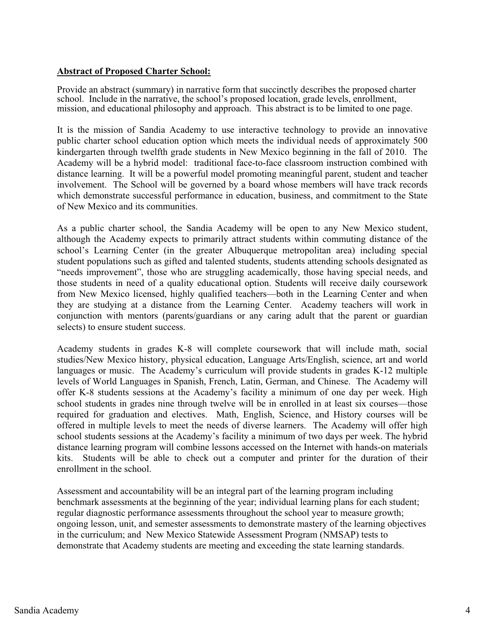# **Abstract of Proposed Charter School:**

Provide an abstract (summary) in narrative form that succinctly describes the proposed charter school. Include in the narrative, the school's proposed location, grade levels, enrollment, mission, and educational philosophy and approach. This abstract is to be limited to one page.

It is the mission of Sandia Academy to use interactive technology to provide an innovative public charter school education option which meets the individual needs of approximately 500 kindergarten through twelfth grade students in New Mexico beginning in the fall of 2010. The Academy will be a hybrid model: traditional face-to-face classroom instruction combined with distance learning. It will be a powerful model promoting meaningful parent, student and teacher involvement. The School will be governed by a board whose members will have track records which demonstrate successful performance in education, business, and commitment to the State of New Mexico and its communities.

As a public charter school, the Sandia Academy will be open to any New Mexico student, although the Academy expects to primarily attract students within commuting distance of the school's Learning Center (in the greater Albuquerque metropolitan area) including special student populations such as gifted and talented students, students attending schools designated as "needs improvement", those who are struggling academically, those having special needs, and those students in need of a quality educational option. Students will receive daily coursework from New Mexico licensed, highly qualified teachers—both in the Learning Center and when they are studying at a distance from the Learning Center. Academy teachers will work in conjunction with mentors (parents/guardians or any caring adult that the parent or guardian selects) to ensure student success.

Academy students in grades K-8 will complete coursework that will include math, social studies/New Mexico history, physical education, Language Arts/English, science, art and world languages or music. The Academy's curriculum will provide students in grades K-12 multiple levels of World Languages in Spanish, French, Latin, German, and Chinese. The Academy will offer K-8 students sessions at the Academy's facility a minimum of one day per week. High school students in grades nine through twelve will be in enrolled in at least six courses—those required for graduation and electives. Math, English, Science, and History courses will be offered in multiple levels to meet the needs of diverse learners. The Academy will offer high school students sessions at the Academy's facility a minimum of two days per week. The hybrid distance learning program will combine lessons accessed on the Internet with hands-on materials kits. Students will be able to check out a computer and printer for the duration of their enrollment in the school.

Assessment and accountability will be an integral part of the learning program including benchmark assessments at the beginning of the year; individual learning plans for each student; regular diagnostic performance assessments throughout the school year to measure growth; ongoing lesson, unit, and semester assessments to demonstrate mastery of the learning objectives in the curriculum; and New Mexico Statewide Assessment Program (NMSAP) tests to demonstrate that Academy students are meeting and exceeding the state learning standards.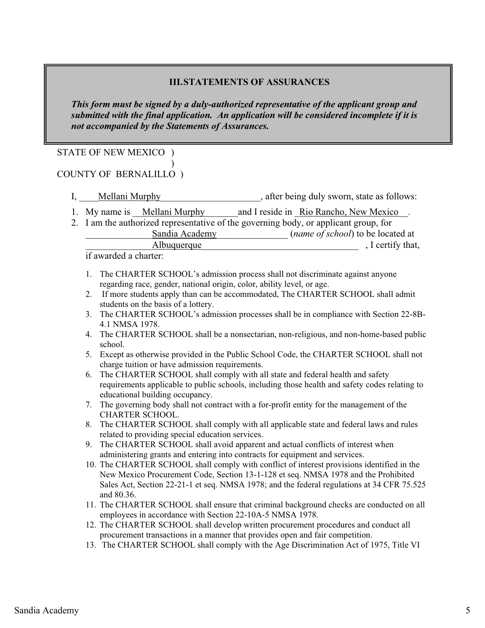# **III.STATEMENTS OF ASSURANCES**

*This form must be signed by a duly-authorized representative of the applicant group and submitted with the final application. An application will be considered incomplete if it is not accompanied by the Statements of Assurances.*

# STATE OF NEW MEXICO )

#### $\overline{\phantom{a}}$ COUNTY OF BERNALILLO )

- I, Mellani Murphy<br>  $\frac{1}{2}$ , after being duly sworn, state as follows:
- 1. My name is <u>Mellani Murphy</u> and I reside in Rio Rancho, New Mexico\_\_.
- 2. I am the authorized representative of the governing body, or applicant group, for
	- Sandia Academy (*name of school*) to be located at

Albuquerque and all alternative methods of  $\overline{\phantom{a}}$ , I certify that,

if awarded a charter:

- 1. The CHARTER SCHOOL's admission process shall not discriminate against anyone regarding race, gender, national origin, color, ability level, or age.
- 2. If more students apply than can be accommodated, The CHARTER SCHOOL shall admit students on the basis of a lottery.
- 3. The CHARTER SCHOOL's admission processes shall be in compliance with Section 22-8B-4.1 NMSA 1978.
- 4. The CHARTER SCHOOL shall be a nonsectarian, non-religious, and non-home-based public school.
- 5. Except as otherwise provided in the Public School Code, the CHARTER SCHOOL shall not charge tuition or have admission requirements.
- 6. The CHARTER SCHOOL shall comply with all state and federal health and safety requirements applicable to public schools, including those health and safety codes relating to educational building occupancy.
- 7. The governing body shall not contract with a for-profit entity for the management of the CHARTER SCHOOL.
- 8. The CHARTER SCHOOL shall comply with all applicable state and federal laws and rules related to providing special education services.
- 9. The CHARTER SCHOOL shall avoid apparent and actual conflicts of interest when administering grants and entering into contracts for equipment and services.
- 10. The CHARTER SCHOOL shall comply with conflict of interest provisions identified in the New Mexico Procurement Code, Section 13-1-128 et seq. NMSA 1978 and the Prohibited Sales Act, Section 22-21-1 et seq. NMSA 1978; and the federal regulations at 34 CFR 75.525 and 80.36.
- 11. The CHARTER SCHOOL shall ensure that criminal background checks are conducted on all employees in accordance with Section 22-10A-5 NMSA 1978.
- 12. The CHARTER SCHOOL shall develop written procurement procedures and conduct all procurement transactions in a manner that provides open and fair competition.
- 13. The CHARTER SCHOOL shall comply with the Age Discrimination Act of 1975, Title VI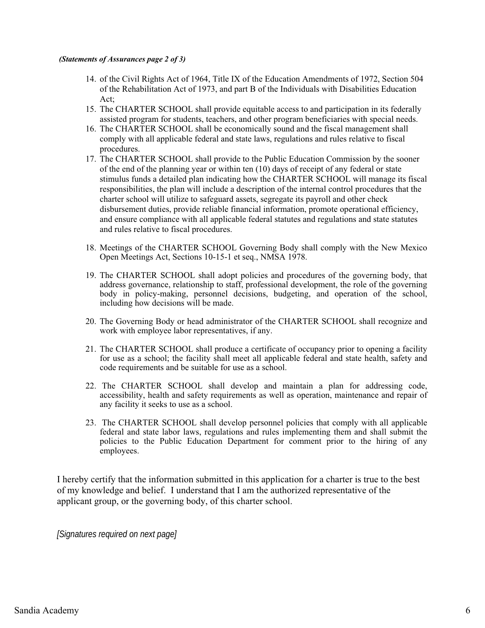#### *(Statements of Assurances page 2 of 3)*

- 14. of the Civil Rights Act of 1964, Title IX of the Education Amendments of 1972, Section 504 of the Rehabilitation Act of 1973, and part B of the Individuals with Disabilities Education Act;
- 15. The CHARTER SCHOOL shall provide equitable access to and participation in its federally assisted program for students, teachers, and other program beneficiaries with special needs.
- 16. The CHARTER SCHOOL shall be economically sound and the fiscal management shall comply with all applicable federal and state laws, regulations and rules relative to fiscal procedures.
- 17. The CHARTER SCHOOL shall provide to the Public Education Commission by the sooner of the end of the planning year or within ten (10) days of receipt of any federal or state stimulus funds a detailed plan indicating how the CHARTER SCHOOL will manage its fiscal responsibilities, the plan will include a description of the internal control procedures that the charter school will utilize to safeguard assets, segregate its payroll and other check disbursement duties, provide reliable financial information, promote operational efficiency, and ensure compliance with all applicable federal statutes and regulations and state statutes and rules relative to fiscal procedures.
- 18. Meetings of the CHARTER SCHOOL Governing Body shall comply with the New Mexico Open Meetings Act, Sections 10-15-1 et seq., NMSA 1978.
- 19. The CHARTER SCHOOL shall adopt policies and procedures of the governing body, that address governance, relationship to staff, professional development, the role of the governing body in policy-making, personnel decisions, budgeting, and operation of the school, including how decisions will be made.
- 20. The Governing Body or head administrator of the CHARTER SCHOOL shall recognize and work with employee labor representatives, if any.
- 21. The CHARTER SCHOOL shall produce a certificate of occupancy prior to opening a facility for use as a school; the facility shall meet all applicable federal and state health, safety and code requirements and be suitable for use as a school.
- 22. The CHARTER SCHOOL shall develop and maintain a plan for addressing code, accessibility, health and safety requirements as well as operation, maintenance and repair of any facility it seeks to use as a school.
- 23. The CHARTER SCHOOL shall develop personnel policies that comply with all applicable federal and state labor laws, regulations and rules implementing them and shall submit the policies to the Public Education Department for comment prior to the hiring of any employees.

I hereby certify that the information submitted in this application for a charter is true to the best of my knowledge and belief. I understand that I am the authorized representative of the applicant group, or the governing body, of this charter school.

*[Signatures required on next page]*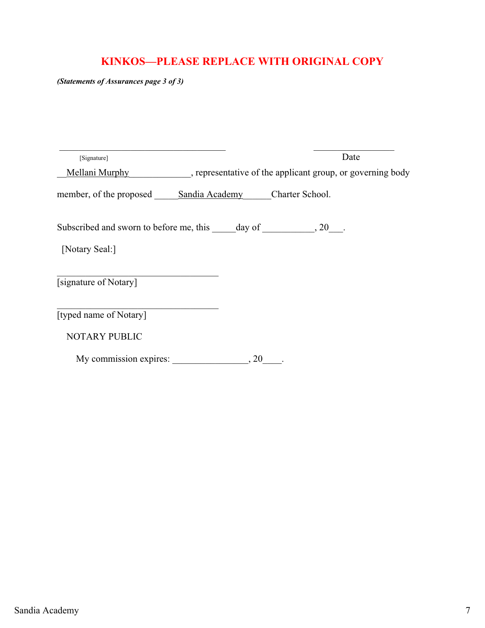# **KINKOS—PLEASE REPLACE WITH ORIGINAL COPY**

*(Statements of Assurances page 3 of 3)*

| [Signature]                                            |     | Date                                                       |
|--------------------------------------------------------|-----|------------------------------------------------------------|
| Mellani Murphy                                         |     | , representative of the applicant group, or governing body |
| member, of the proposed Sandia Academy Charter School. |     |                                                            |
|                                                        |     |                                                            |
| [Notary Seal:]                                         |     |                                                            |
| [signature of Notary]                                  |     |                                                            |
| [typed name of Notary]                                 |     |                                                            |
| <b>NOTARY PUBLIC</b>                                   |     |                                                            |
| My commission expires:                                 | .20 |                                                            |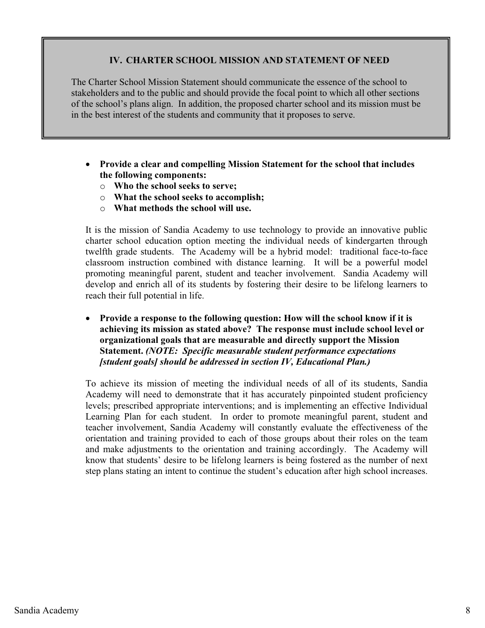# **IV. CHARTER SCHOOL MISSION AND STATEMENT OF NEED**

The Charter School Mission Statement should communicate the essence of the school to stakeholders and to the public and should provide the focal point to which all other sections of the school's plans align. In addition, the proposed charter school and its mission must be in the best interest of the students and community that it proposes to serve.

- **Provide a clear and compelling Mission Statement for the school that includes the following components:** 
	- o **Who the school seeks to serve;**
	- o **What the school seeks to accomplish;**
	- o **What methods the school will use.**

It is the mission of Sandia Academy to use technology to provide an innovative public charter school education option meeting the individual needs of kindergarten through twelfth grade students. The Academy will be a hybrid model: traditional face-to-face classroom instruction combined with distance learning. It will be a powerful model promoting meaningful parent, student and teacher involvement. Sandia Academy will develop and enrich all of its students by fostering their desire to be lifelong learners to reach their full potential in life.

- **Provide a response to the following question: How will the school know if it is achieving its mission as stated above? The response must include school level or organizational goals that are measurable and directly support the Mission Statement.** *(NOTE: Specific measurable student performance expectations [student goals] should be addressed in section IV, Educational Plan.)*

To achieve its mission of meeting the individual needs of all of its students, Sandia Academy will need to demonstrate that it has accurately pinpointed student proficiency levels; prescribed appropriate interventions; and is implementing an effective Individual Learning Plan for each student. In order to promote meaningful parent, student and teacher involvement, Sandia Academy will constantly evaluate the effectiveness of the orientation and training provided to each of those groups about their roles on the team and make adjustments to the orientation and training accordingly. The Academy will know that students' desire to be lifelong learners is being fostered as the number of next step plans stating an intent to continue the student's education after high school increases.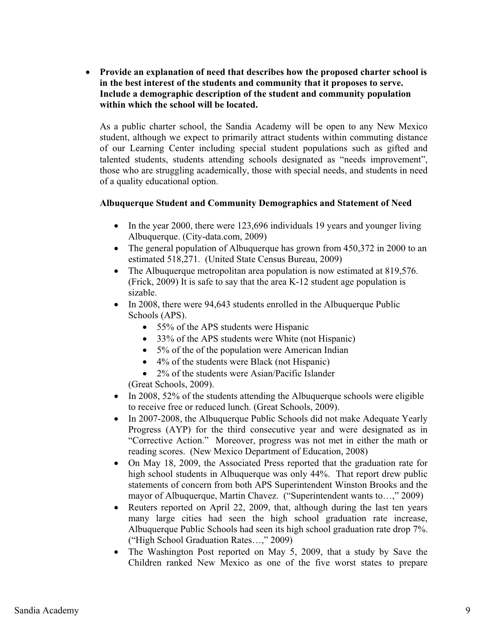**•** Provide an explanation of need that describes how the proposed charter school is **in the best interest of the students and community that it proposes to serve. Include a demographic description of the student and community population within which the school will be located.** 

As a public charter school, the Sandia Academy will be open to any New Mexico student, although we expect to primarily attract students within commuting distance of our Learning Center including special student populations such as gifted and talented students, students attending schools designated as "needs improvement", those who are struggling academically, those with special needs, and students in need of a quality educational option.

# **Albuquerque Student and Community Demographics and Statement of Need**

- In the year 2000, there were 123,696 individuals 19 years and younger living Albuquerque. (City-data.com, 2009)
- The general population of Albuquerque has grown from 450,372 in 2000 to an estimated 518,271. (United State Census Bureau, 2009)
- $\bullet$  The Albuquerque metropolitan area population is now estimated at 819,576. (Frick, 2009) It is safe to say that the area K-12 student age population is sizable.
- $\bullet$  In 2008, there were 94,643 students enrolled in the Albuquerque Public Schools (APS).
	- 55% of the APS students were Hispanic
	- 33% of the APS students were White (not Hispanic)
	- 5% of the of the population were American Indian
	- 4% of the students were Black (not Hispanic)
	- 2% of the students were Asian/Pacific Islander

(Great Schools, 2009).

- In 2008, 52% of the students attending the Albuquerque schools were eligible to receive free or reduced lunch. (Great Schools, 2009).
- $\bullet$  In 2007-2008, the Albuquerque Public Schools did not make Adequate Yearly Progress (AYP) for the third consecutive year and were designated as in "Corrective Action." Moreover, progress was not met in either the math or reading scores. (New Mexico Department of Education, 2008)
- $\bullet$  On May 18, 2009, the Associated Press reported that the graduation rate for high school students in Albuquerque was only 44%. That report drew public statements of concern from both APS Superintendent Winston Brooks and the mayor of Albuquerque, Martin Chavez. ("Superintendent wants to…," 2009)
- $\bullet$  Reuters reported on April 22, 2009, that, although during the last ten years many large cities had seen the high school graduation rate increase, Albuquerque Public Schools had seen its high school graduation rate drop 7%. ("High School Graduation Rates…," 2009)
- The Washington Post reported on May 5, 2009, that a study by Save the Children ranked New Mexico as one of the five worst states to prepare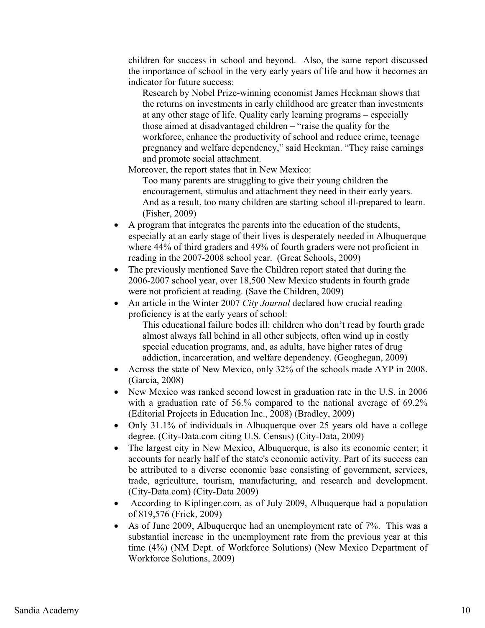children for success in school and beyond. Also, the same report discussed the importance of school in the very early years of life and how it becomes an indicator for future success:

Research by Nobel Prize-winning economist James Heckman shows that the returns on investments in early childhood are greater than investments at any other stage of life. Quality early learning programs – especially those aimed at disadvantaged children – "raise the quality for the workforce, enhance the productivity of school and reduce crime, teenage pregnancy and welfare dependency," said Heckman. "They raise earnings and promote social attachment.

Moreover, the report states that in New Mexico:

Too many parents are struggling to give their young children the encouragement, stimulus and attachment they need in their early years. And as a result, too many children are starting school ill-prepared to learn. (Fisher, 2009)

- - A program that integrates the parents into the education of the students, especially at an early stage of their lives is desperately needed in Albuquerque where 44% of third graders and 49% of fourth graders were not proficient in reading in the 2007-2008 school year. (Great Schools, 2009)
- $\bullet$  The previously mentioned Save the Children report stated that during the 2006-2007 school year, over 18,500 New Mexico students in fourth grade were not proficient at reading. (Save the Children, 2009)
- $\bullet$  An article in the Winter 2007 *City Journal* declared how crucial reading proficiency is at the early years of school:

This educational failure bodes ill: children who don't read by fourth grade almost always fall behind in all other subjects, often wind up in costly special education programs, and, as adults, have higher rates of drug addiction, incarceration, and welfare dependency. (Geoghegan, 2009)

- Across the state of New Mexico, only 32% of the schools made AYP in 2008. (Garcia, 2008)
- $\bullet$  New Mexico was ranked second lowest in graduation rate in the U.S. in 2006 with a graduation rate of 56.% compared to the national average of 69.2% (Editorial Projects in Education Inc., 2008) (Bradley, 2009)
- Only 31.1% of individuals in Albuquerque over 25 years old have a college degree. (City-Data.com citing U.S. Census) (City-Data, 2009)
- $\bullet$  The largest city in New Mexico, Albuquerque, is also its economic center; it accounts for nearly half of the state's economic activity. Part of its success can be attributed to a diverse economic base consisting of government, services, trade, agriculture, tourism, manufacturing, and research and development. (City-Data.com) (City-Data 2009)
- According to Kiplinger.com, as of July 2009, Albuquerque had a population of 819,576 (Frick, 2009)
- $\bullet$  As of June 2009, Albuquerque had an unemployment rate of 7%. This was a substantial increase in the unemployment rate from the previous year at this time (4%) (NM Dept. of Workforce Solutions) (New Mexico Department of Workforce Solutions, 2009)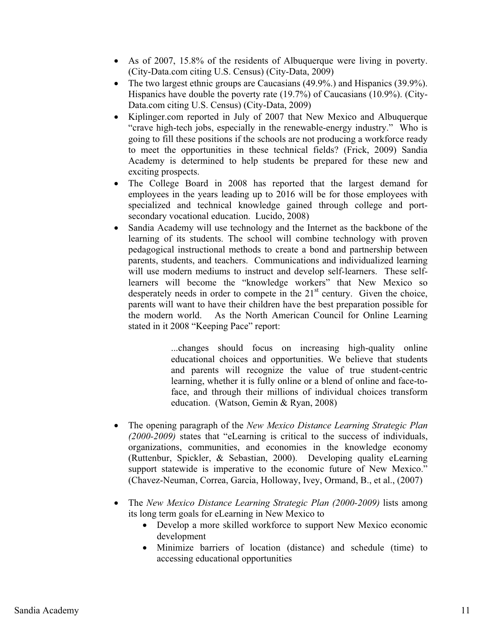- As of 2007, 15.8% of the residents of Albuquerque were living in poverty. (City-Data.com citing U.S. Census) (City-Data, 2009)
- $\bullet$  The two largest ethnic groups are Caucasians (49.9%.) and Hispanics (39.9%). Hispanics have double the poverty rate (19.7%) of Caucasians (10.9%). (City-Data.com citing U.S. Census) (City-Data, 2009)
- - Kiplinger.com reported in July of 2007 that New Mexico and Albuquerque "crave high-tech jobs, especially in the renewable-energy industry." Who is going to fill these positions if the schools are not producing a workforce ready to meet the opportunities in these technical fields? (Frick, 2009) Sandia Academy is determined to help students be prepared for these new and exciting prospects.
- $\bullet$  The College Board in 2008 has reported that the largest demand for employees in the years leading up to 2016 will be for those employees with specialized and technical knowledge gained through college and portsecondary vocational education. Lucido, 2008)
- $\bullet$  Sandia Academy will use technology and the Internet as the backbone of the learning of its students. The school will combine technology with proven pedagogical instructional methods to create a bond and partnership between parents, students, and teachers. Communications and individualized learning will use modern mediums to instruct and develop self-learners. These selflearners will become the "knowledge workers" that New Mexico so desperately needs in order to compete in the  $21<sup>st</sup>$  century. Given the choice, parents will want to have their children have the best preparation possible for the modern world. As the North American Council for Online Learning stated in it 2008 "Keeping Pace" report:

...changes should focus on increasing high-quality online educational choices and opportunities. We believe that students and parents will recognize the value of true student-centric learning, whether it is fully online or a blend of online and face-toface, and through their millions of individual choices transform education. (Watson, Gemin & Ryan, 2008)

- - The opening paragraph of the *New Mexico Distance Learning Strategic Plan (2000-2009)* states that "eLearning is critical to the success of individuals, organizations, communities, and economies in the knowledge economy (Ruttenbur, Spickler, & Sebastian, 2000). Developing quality eLearning support statewide is imperative to the economic future of New Mexico." (Chavez-Neuman, Correa, Garcia, Holloway, Ivey, Ormand, B., et al., (2007)
- The *New Mexico Distance Learning Strategic Plan (2000-2009)* lists among its long term goals for eLearning in New Mexico to
	- Develop a more skilled workforce to support New Mexico economic development
	- Minimize barriers of location (distance) and schedule (time) to accessing educational opportunities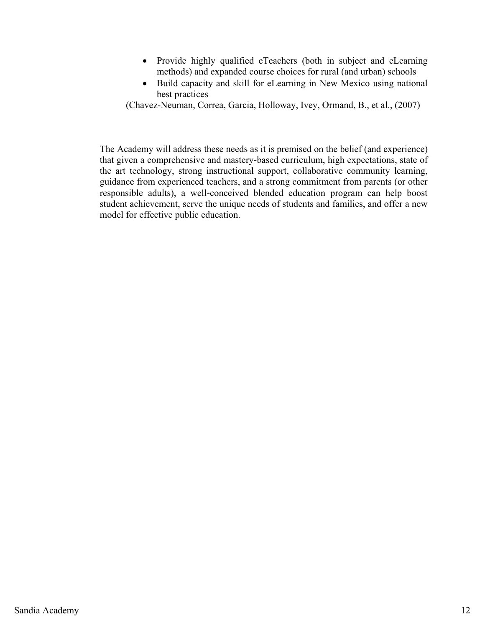- Provide highly qualified eTeachers (both in subject and eLearning methods) and expanded course choices for rural (and urban) schools
- Build capacity and skill for eLearning in New Mexico using national best practices

(Chavez-Neuman, Correa, Garcia, Holloway, Ivey, Ormand, B., et al., (2007)

The Academy will address these needs as it is premised on the belief (and experience) that given a comprehensive and mastery-based curriculum, high expectations, state of the art technology, strong instructional support, collaborative community learning, guidance from experienced teachers, and a strong commitment from parents (or other responsible adults), a well-conceived blended education program can help boost student achievement, serve the unique needs of students and families, and offer a new model for effective public education.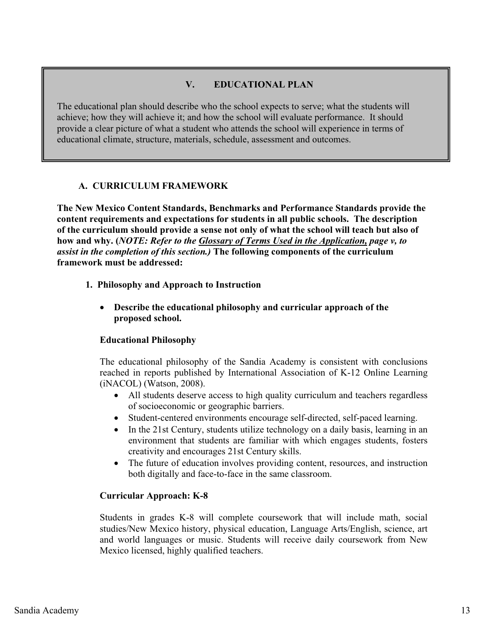# **V. EDUCATIONAL PLAN**

The educational plan should describe who the school expects to serve; what the students will achieve; how they will achieve it; and how the school will evaluate performance. It should provide a clear picture of what a student who attends the school will experience in terms of educational climate, structure, materials, schedule, assessment and outcomes.

# **A. CURRICULUM FRAMEWORK**

**The New Mexico Content Standards, Benchmarks and Performance Standards provide the content requirements and expectations for students in all public schools. The description of the curriculum should provide a sense not only of what the school will teach but also of how and why. (***NOTE: Refer to the Glossary of Terms Used in the Application, page v, to assist in the completion of this section.)* **The following components of the curriculum framework must be addressed:** 

- **1. Philosophy and Approach to Instruction** 
	- $\bullet$  **Describe the educational philosophy and curricular approach of the proposed school.**

### **Educational Philosophy**

The educational philosophy of the Sandia Academy is consistent with conclusions reached in reports published by International Association of K-12 Online Learning (iNACOL) (Watson, 2008).

- All students deserve access to high quality curriculum and teachers regardless of socioeconomic or geographic barriers.
- $\bullet$ Student-centered environments encourage self-directed, self-paced learning.
- - In the 21st Century, students utilize technology on a daily basis, learning in an environment that students are familiar with which engages students, fosters creativity and encourages 21st Century skills.
- - The future of education involves providing content, resources, and instruction both digitally and face-to-face in the same classroom.

### **Curricular Approach: K-8**

Students in grades K-8 will complete coursework that will include math, social studies/New Mexico history, physical education, Language Arts/English, science, art and world languages or music. Students will receive daily coursework from New Mexico licensed, highly qualified teachers.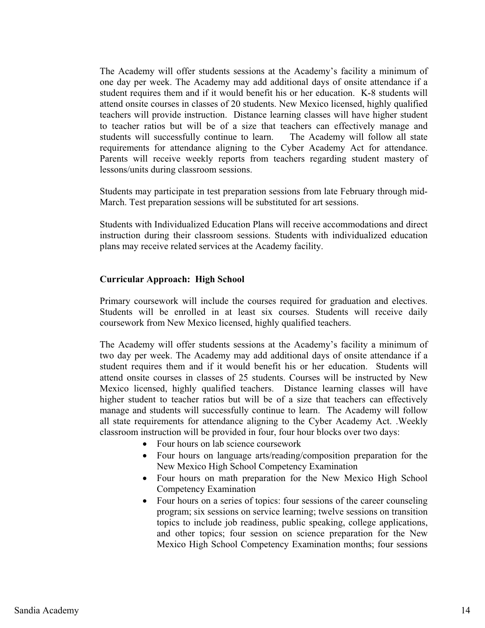The Academy will offer students sessions at the Academy's facility a minimum of one day per week. The Academy may add additional days of onsite attendance if a student requires them and if it would benefit his or her education. K-8 students will attend onsite courses in classes of 20 students. New Mexico licensed, highly qualified teachers will provide instruction. Distance learning classes will have higher student to teacher ratios but will be of a size that teachers can effectively manage and students will successfully continue to learn. The Academy will follow all state requirements for attendance aligning to the Cyber Academy Act for attendance. Parents will receive weekly reports from teachers regarding student mastery of lessons/units during classroom sessions.

Students may participate in test preparation sessions from late February through mid-March. Test preparation sessions will be substituted for art sessions.

Students with Individualized Education Plans will receive accommodations and direct instruction during their classroom sessions. Students with individualized education plans may receive related services at the Academy facility.

#### **Curricular Approach: High School**

Primary coursework will include the courses required for graduation and electives. Students will be enrolled in at least six courses. Students will receive daily coursework from New Mexico licensed, highly qualified teachers.

The Academy will offer students sessions at the Academy's facility a minimum of two day per week. The Academy may add additional days of onsite attendance if a student requires them and if it would benefit his or her education. Students will attend onsite courses in classes of 25 students. Courses will be instructed by New Mexico licensed, highly qualified teachers. Distance learning classes will have higher student to teacher ratios but will be of a size that teachers can effectively manage and students will successfully continue to learn. The Academy will follow all state requirements for attendance aligning to the Cyber Academy Act. .Weekly classroom instruction will be provided in four, four hour blocks over two days:

- Four hours on lab science coursework
- Four hours on language arts/reading/composition preparation for the New Mexico High School Competency Examination
- Four hours on math preparation for the New Mexico High School Competency Examination
- Four hours on a series of topics: four sessions of the career counseling program; six sessions on service learning; twelve sessions on transition topics to include job readiness, public speaking, college applications, and other topics; four session on science preparation for the New Mexico High School Competency Examination months; four sessions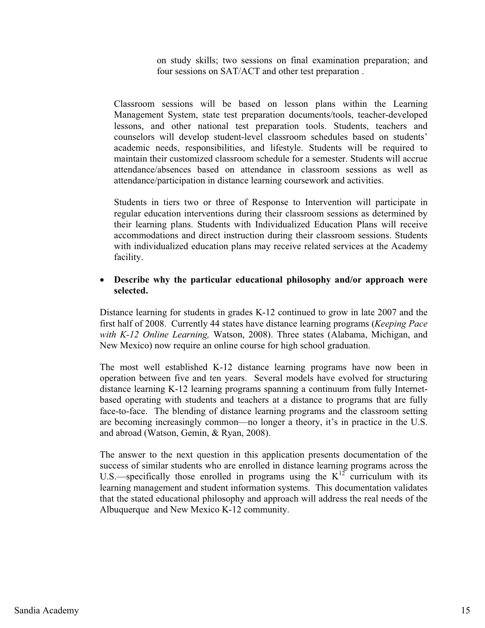on study skills; two sessions on final examination preparation; and four sessions on SAT/ACT and other test preparation .

Classroom sessions will be based on lesson plans within the Learning Management System, state test preparation documents/tools, teacher-developed lessons, and other national test preparation tools. Students, teachers and counselors will develop student-level classroom schedules based on students' academic needs, responsibilities, and lifestyle. Students will be required to maintain their customized classroom schedule for a semester. Students will accrue attendance/absences based on attendance in classroom sessions as well as attendance/participation in distance learning coursework and activities.

Students in tiers two or three of Response to Intervention will participate in regular education interventions during their classroom sessions as determined by their learning plans. Students with Individualized Education Plans will receive accommodations and direct instruction during their classroom sessions. Students with individualized education plans may receive related services at the Academy facility.

#### $\bullet$  **Describe why the particular educational philosophy and/or approach were selected.**

Distance learning for students in grades K-12 continued to grow in late 2007 and the first half of 2008. Currently 44 states have distance learning programs (*Keeping Pace with K-12 Online Learning,* Watson, 2008). Three states (Alabama, Michigan, and New Mexico) now require an online course for high school graduation.

The most well established K-12 distance learning programs have now been in operation between five and ten years. Several models have evolved for structuring distance learning K-12 learning programs spanning a continuum from fully Internetbased operating with students and teachers at a distance to programs that are fully face-to-face. The blending of distance learning programs and the classroom setting are becoming increasingly common—no longer a theory, it's in practice in the U.S. and abroad (Watson, Gemin, & Ryan, 2008).

The answer to the next question in this application presents documentation of the success of similar students who are enrolled in distance learning programs across the U.S.—specifically those enrolled in programs using the  $K^{12}$  curriculum with its learning management and student information systems. This documentation validates that the stated educational philosophy and approach will address the real needs of the Albuquerque and New Mexico K-12 community.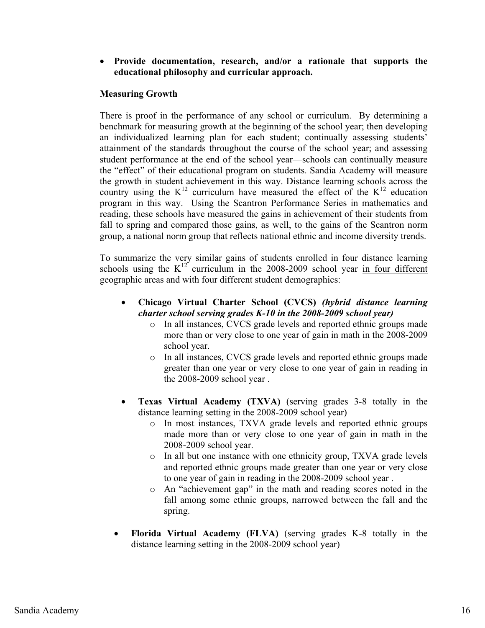# - **Provide documentation, research, and/or a rationale that supports the educational philosophy and curricular approach.**

# **Measuring Growth**

There is proof in the performance of any school or curriculum. By determining a benchmark for measuring growth at the beginning of the school year; then developing an individualized learning plan for each student; continually assessing students' attainment of the standards throughout the course of the school year; and assessing student performance at the end of the school year—schools can continually measure the "effect" of their educational program on students. Sandia Academy will measure the growth in student achievement in this way. Distance learning schools across the country using the  $K^{12}$  curriculum have measured the effect of the  $K^{12}$  education program in this way. Using the Scantron Performance Series in mathematics and reading, these schools have measured the gains in achievement of their students from fall to spring and compared those gains, as well, to the gains of the Scantron norm group, a national norm group that reflects national ethnic and income diversity trends.

To summarize the very similar gains of students enrolled in four distance learning schools using the  $K^{12}$  curriculum in the 2008-2009 school year in four different geographic areas and with four different student demographics:

- $\bullet$  **Chicago Virtual Charter School (CVCS)** *(hybrid distance learning charter school serving grades K-10 in the 2008-2009 school year)*
	- o In all instances, CVCS grade levels and reported ethnic groups made more than or very close to one year of gain in math in the 2008-2009 school year.
	- o In all instances, CVCS grade levels and reported ethnic groups made greater than one year or very close to one year of gain in reading in the 2008-2009 school year .
- $\bullet$  **Texas Virtual Academy (TXVA)** (serving grades 3-8 totally in the distance learning setting in the 2008-2009 school year)
	- o In most instances, TXVA grade levels and reported ethnic groups made more than or very close to one year of gain in math in the 2008-2009 school year.
	- o In all but one instance with one ethnicity group, TXVA grade levels and reported ethnic groups made greater than one year or very close to one year of gain in reading in the 2008-2009 school year .
	- o An "achievement gap" in the math and reading scores noted in the fall among some ethnic groups, narrowed between the fall and the spring.
- - **Florida Virtual Academy (FLVA)** (serving grades K-8 totally in the distance learning setting in the 2008-2009 school year)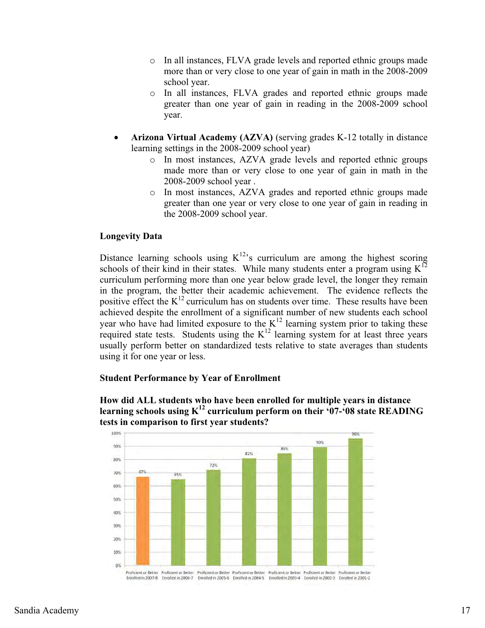- o In all instances, FLVA grade levels and reported ethnic groups made more than or very close to one year of gain in math in the 2008-2009 school year.
- o In all instances, FLVA grades and reported ethnic groups made greater than one year of gain in reading in the 2008-2009 school year.
- - **Arizona Virtual Academy (AZVA)** (serving grades K-12 totally in distance learning settings in the 2008-2009 school year)
	- o In most instances, AZVA grade levels and reported ethnic groups made more than or very close to one year of gain in math in the 2008-2009 school year .
	- o In most instances, AZVA grades and reported ethnic groups made greater than one year or very close to one year of gain in reading in the 2008-2009 school year.

# **Longevity Data**

Distance learning schools using  $K^{12}$ 's curriculum are among the highest scoring schools of their kind in their states. While many students enter a program using  $K^{12}$ curriculum performing more than one year below grade level, the longer they remain in the program, the better their academic achievement. The evidence reflects the positive effect the  $K^{12}$  curriculum has on students over time. These results have been achieved despite the enrollment of a significant number of new students each school year who have had limited exposure to the  $K^{12}$  learning system prior to taking these required state tests. Students using the  $K<sup>12</sup>$  learning system for at least three years usually perform better on standardized tests relative to state averages than students using it for one year or less.

### **Student Performance by Year of Enrollment**



**How did ALL students who have been enrolled for multiple years in distance learning schools using K12 curriculum perform on their '07-'08 state READING tests in comparison to first year students?**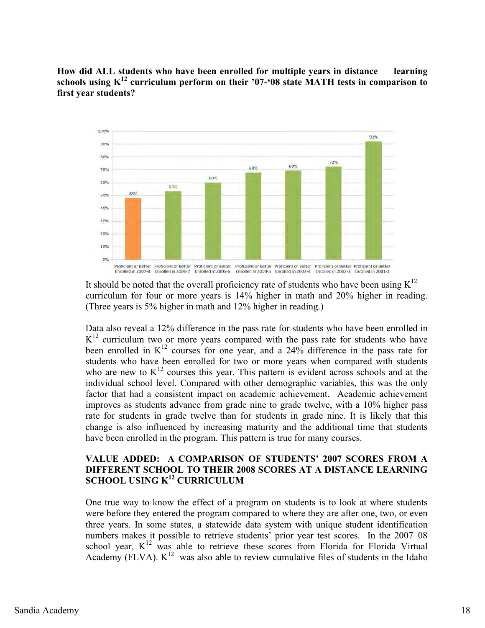**How did ALL students who have been enrolled for multiple years in distance learning schools using K12 curriculum perform on their '07-'08 state MATH tests in comparison to first year students?**



It should be noted that the overall proficiency rate of students who have been using  $K^{12}$ curriculum for four or more years is 14% higher in math and 20% higher in reading. (Three years is 5% higher in math and 12% higher in reading.)

Data also reveal a 12% difference in the pass rate for students who have been enrolled in  $K<sup>12</sup>$  curriculum two or more years compared with the pass rate for students who have been enrolled in  $K^{12}$  courses for one year, and a 24% difference in the pass rate for students who have been enrolled for two or more years when compared with students who are new to  $K^{12}$  courses this year. This pattern is evident across schools and at the individual school level. Compared with other demographic variables, this was the only factor that had a consistent impact on academic achievement. Academic achievement improves as students advance from grade nine to grade twelve, with a 10% higher pass rate for students in grade twelve than for students in grade nine. It is likely that this change is also influenced by increasing maturity and the additional time that students have been enrolled in the program. This pattern is true for many courses.

# **VALUE ADDED: A COMPARISON OF STUDENTS' 2007 SCORES FROM A DIFFERENT SCHOOL TO THEIR 2008 SCORES AT A DISTANCE LEARNING SCHOOL USING K12 CURRICULUM**

One true way to know the effect of a program on students is to look at where students were before they entered the program compared to where they are after one, two, or even three years. In some states, a statewide data system with unique student identification numbers makes it possible to retrieve students' prior year test scores. In the 2007–08 school year,  $K^{12}$  was able to retrieve these scores from Florida for Florida Virtual Academy (FLVA).  $K^{12}$  was also able to review cumulative files of students in the Idaho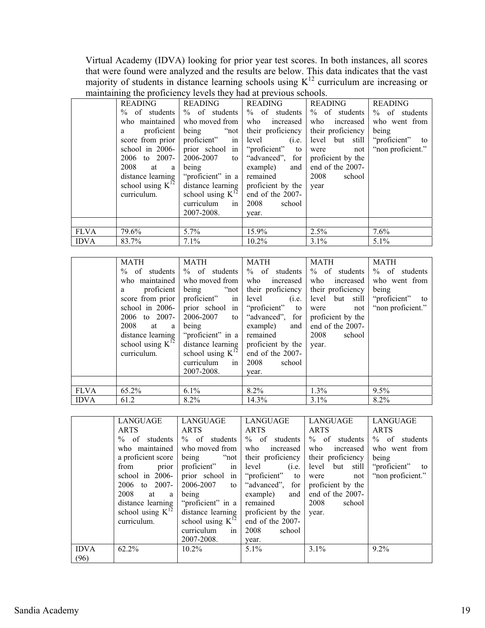Virtual Academy (IDVA) looking for prior year test scores. In both instances, all scores that were found were analyzed and the results are below. This data indicates that the vast majority of students in distance learning schools using  $K^{12}$  curriculum are increasing or maintaining the proficiency levels they had at previous schools.

|             | <b>READING</b>        | READING               | READING                         | <b>READING</b>      | <b>READING</b>     |
|-------------|-----------------------|-----------------------|---------------------------------|---------------------|--------------------|
|             | $\%$ of students      | $\%$ of students      | $\%$ of students                | $\%$ of students    | $\%$ of students   |
|             | who maintained        | who moved from        | who increased                   | who increased       | who went from      |
|             | proficient<br>a       |                       | being "not their proficiency    | their proficiency   | being              |
|             | score from prior      | proficient" in        | (i.e.<br>level                  | level but still     | "proficient"<br>to |
|             | school in 2006-       |                       | prior school in "proficient" to | were<br>not         | "non proficient."  |
|             | to $2007 -$<br>2006   |                       | $2006-2007$ to "advanced", for  | proficient by the   |                    |
|             | 2008<br>at a          | being                 | example)<br>and                 | end of the $2007$ - |                    |
|             | distance learning     | "proficient" in a     | remained                        | 2008<br>school      |                    |
|             | school using $K^{12}$ | distance learning     | proficient by the               | year                |                    |
|             | curriculum.           | school using $K^{12}$ | end of the 2007-                |                     |                    |
|             |                       | curriculum<br>in      | 2008<br>school                  |                     |                    |
|             |                       | 2007-2008.            | year.                           |                     |                    |
|             |                       |                       |                                 |                     |                    |
| <b>FLVA</b> | 79.6%                 | 5.7%                  | 15.9%                           | 2.5%                | 7.6%               |
| <b>IDVA</b> | 83.7%                 | 7.1%                  | 10.2%                           | $3.1\%$             | $5.1\%$            |

|             | <b>MATH</b><br>$\%$ of students<br>who maintained<br>proficient<br>a<br>score from prior<br>school in 2006-<br>to $2007 -$<br>2006<br>2008<br>$\mathbf{a}$<br>at<br>distance learning<br>school using $K^{12}$<br>curriculum. | <b>MATH</b><br>$\%$ of students<br>who moved from<br>proficient" in<br>being<br>"proficient" in a<br>school using $K^{12}$<br>in<br>curriculum<br>2007-2008. | <b>MATH</b><br>$%$ of students<br>who increased<br>being "not their proficiency<br>level<br>(i.e.<br>prior school in "proficient" to<br>$2006-2007$ to "advanced", for<br>example)<br>and<br>remained<br>distance learning $\vert$ proficient by the<br>end of the 2007-<br>2008<br>school<br>year. | <b>MATH</b><br>$\%$ of students<br>who increased<br>their proficiency<br>level but still<br>were<br>not<br>proficient by the<br>end of the 2007-<br>2008<br>school<br>year. | <b>MATH</b><br>$\%$ of students<br>who went from<br>being<br>"proficient" to<br>"non proficient." |
|-------------|-------------------------------------------------------------------------------------------------------------------------------------------------------------------------------------------------------------------------------|--------------------------------------------------------------------------------------------------------------------------------------------------------------|-----------------------------------------------------------------------------------------------------------------------------------------------------------------------------------------------------------------------------------------------------------------------------------------------------|-----------------------------------------------------------------------------------------------------------------------------------------------------------------------------|---------------------------------------------------------------------------------------------------|
|             |                                                                                                                                                                                                                               |                                                                                                                                                              |                                                                                                                                                                                                                                                                                                     |                                                                                                                                                                             |                                                                                                   |
| <b>FLVA</b> | 65.2%                                                                                                                                                                                                                         | $6.1\%$                                                                                                                                                      | $8.2\%$                                                                                                                                                                                                                                                                                             | $1.3\%$                                                                                                                                                                     | $9.5\%$                                                                                           |
| <b>IDVA</b> | 61.2                                                                                                                                                                                                                          | 8.2%                                                                                                                                                         | 14.3%                                                                                                                                                                                                                                                                                               | 3.1%                                                                                                                                                                        | 8.2%                                                                                              |

|             | LANGUAGE              | LANGUAGE              | LANGUAGE          | LANGUAGE          | LANGUAGE          |
|-------------|-----------------------|-----------------------|-------------------|-------------------|-------------------|
|             | <b>ARTS</b>           | <b>ARTS</b>           | <b>ARTS</b>       | <b>ARTS</b>       | <b>ARTS</b>       |
|             | $\%$ of students      | $%$ of students       | $\%$ of students  | $\%$ of students  | $\%$ of students  |
|             | who maintained        | who moved from        | who increased     | who<br>increased  | who went from     |
|             | a proficient score    | being "not            | their proficiency | their proficiency | being             |
|             | from<br>prior         | proficient" in        | level<br>(i.e.    | level but still   | "proficient" to   |
|             | school in 2006-       | prior school in       | "proficient" to   | not<br>were       | "non proficient." |
|             | 2006 to 2007-         | 2006-2007<br>to       | "advanced", for   | proficient by the |                   |
|             | 2008<br>at<br>a       | being                 | example)<br>and   | end of the 2007-  |                   |
|             | distance learning     | "proficient" in a     | remained          | 2008<br>school    |                   |
|             | school using $K^{12}$ | distance learning     | proficient by the | year.             |                   |
|             | curriculum.           | school using $K^{12}$ | end of the 2007-  |                   |                   |
|             |                       | curriculum<br>in      | 2008<br>school    |                   |                   |
|             |                       | 2007-2008.            | year.             |                   |                   |
| <b>IDVA</b> | 62.2%                 | $10.2\%$              | $5.1\%$           | $3.1\%$           | 9.2%              |
| (96)        |                       |                       |                   |                   |                   |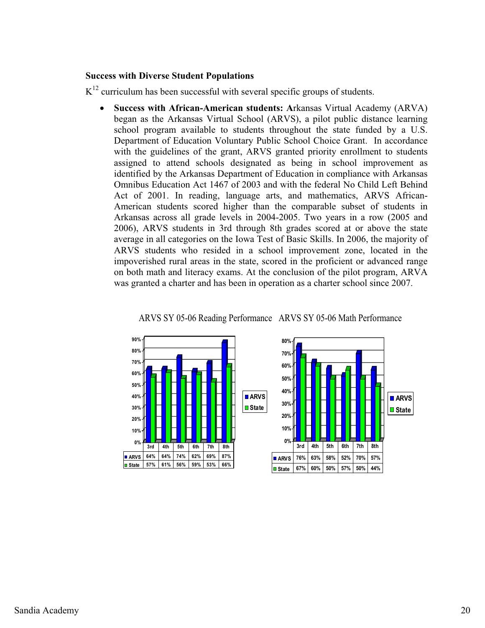#### **Success with Diverse Student Populations**

 $K^{12}$  curriculum has been successful with several specific groups of students.

 $\bullet$  **Success with African-American students: A**rkansas Virtual Academy (ARVA) began as the Arkansas Virtual School (ARVS), a pilot public distance learning school program available to students throughout the state funded by a U.S. Department of Education Voluntary Public School Choice Grant. In accordance with the guidelines of the grant, ARVS granted priority enrollment to students assigned to attend schools designated as being in school improvement as identified by the Arkansas Department of Education in compliance with Arkansas Omnibus Education Act 1467 of 2003 and with the federal No Child Left Behind Act of 2001. In reading, language arts, and mathematics, ARVS African-American students scored higher than the comparable subset of students in Arkansas across all grade levels in 2004-2005. Two years in a row (2005 and 2006), ARVS students in 3rd through 8th grades scored at or above the state average in all categories on the Iowa Test of Basic Skills. In 2006, the majority of ARVS students who resided in a school improvement zone, located in the impoverished rural areas in the state, scored in the proficient or advanced range on both math and literacy exams. At the conclusion of the pilot program, ARVA was granted a charter and has been in operation as a charter school since 2007.





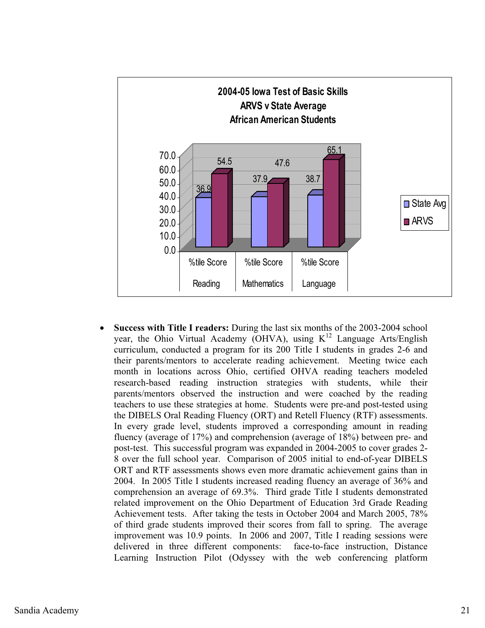

 $\bullet$  **Success with Title I readers:** During the last six months of the 2003-2004 school year, the Ohio Virtual Academy (OHVA), using  $K^{12}$  Language Arts/English curriculum, conducted a program for its 200 Title I students in grades 2-6 and their parents/mentors to accelerate reading achievement. Meeting twice each month in locations across Ohio, certified OHVA reading teachers modeled research-based reading instruction strategies with students, while their parents/mentors observed the instruction and were coached by the reading teachers to use these strategies at home. Students were pre-and post-tested using the DIBELS Oral Reading Fluency (ORT) and Retell Fluency (RTF) assessments. In every grade level, students improved a corresponding amount in reading fluency (average of 17%) and comprehension (average of 18%) between pre- and post-test. This successful program was expanded in 2004-2005 to cover grades 2- 8 over the full school year. Comparison of 2005 initial to end-of-year DIBELS ORT and RTF assessments shows even more dramatic achievement gains than in 2004. In 2005 Title I students increased reading fluency an average of 36% and comprehension an average of 69.3%. Third grade Title I students demonstrated related improvement on the Ohio Department of Education 3rd Grade Reading Achievement tests. After taking the tests in October 2004 and March 2005, 78% of third grade students improved their scores from fall to spring. The average improvement was 10.9 points. In 2006 and 2007, Title I reading sessions were delivered in three different components: face-to-face instruction, Distance Learning Instruction Pilot (Odyssey with the web conferencing platform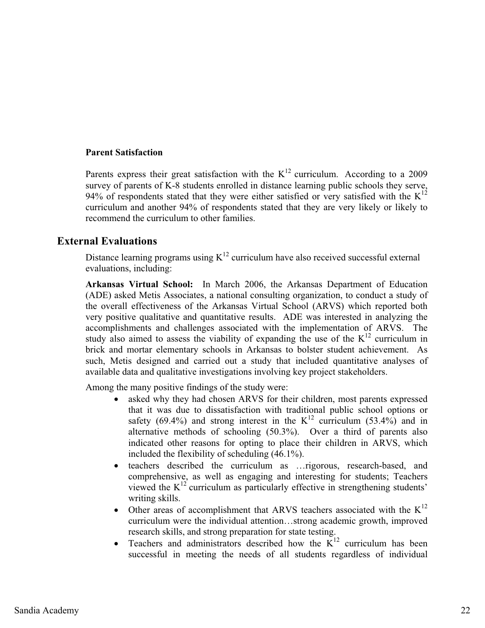#### **Parent Satisfaction**

Parents express their great satisfaction with the  $K^{12}$  curriculum. According to a 2009 survey of parents of K-8 students enrolled in distance learning public schools they serve, 94% of respondents stated that they were either satisfied or very satisfied with the  $K^{12}$ curriculum and another 94% of respondents stated that they are very likely or likely to recommend the curriculum to other families.

# **External Evaluations**

Distance learning programs using  $K^{12}$  curriculum have also received successful external evaluations, including:

**Arkansas Virtual School:** In March 2006, the Arkansas Department of Education (ADE) asked Metis Associates, a national consulting organization, to conduct a study of the overall effectiveness of the Arkansas Virtual School (ARVS) which reported both very positive qualitative and quantitative results. ADE was interested in analyzing the accomplishments and challenges associated with the implementation of ARVS. The study also aimed to assess the viability of expanding the use of the  $K^{12}$  curriculum in brick and mortar elementary schools in Arkansas to bolster student achievement. As such, Metis designed and carried out a study that included quantitative analyses of available data and qualitative investigations involving key project stakeholders.

Among the many positive findings of the study were:

- $\bullet$  asked why they had chosen ARVS for their children, most parents expressed that it was due to dissatisfaction with traditional public school options or safety (69.4%) and strong interest in the  $K^{12}$  curriculum (53.4%) and in alternative methods of schooling (50.3%). Over a third of parents also indicated other reasons for opting to place their children in ARVS, which included the flexibility of scheduling (46.1%).
- $\bullet$  teachers described the curriculum as …rigorous, research-based, and comprehensive, as well as engaging and interesting for students; Teachers viewed the  $K^{12}$  curriculum as particularly effective in strengthening students' writing skills.
- Other areas of accomplishment that ARVS teachers associated with the  $K^{12}$ curriculum were the individual attention…strong academic growth, improved research skills, and strong preparation for state testing.
- $\bullet$ Teachers and administrators described how the  $K<sup>12</sup>$  curriculum has been successful in meeting the needs of all students regardless of individual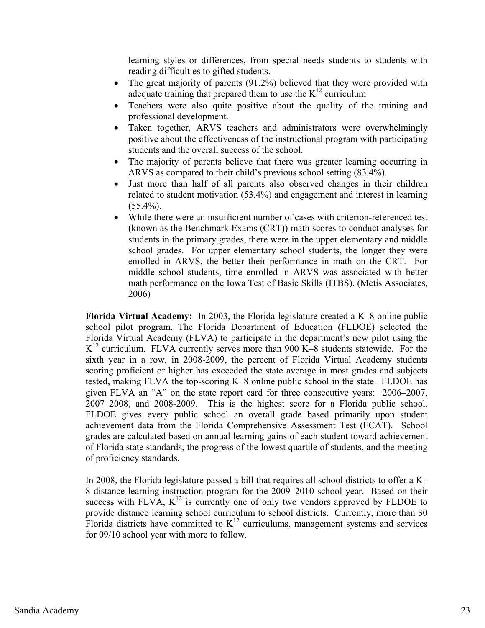learning styles or differences, from special needs students to students with reading difficulties to gifted students.

- $\bullet$  The great majority of parents (91.2%) believed that they were provided with adequate training that prepared them to use the  $K^{12}$  curriculum
- $\bullet$  Teachers were also quite positive about the quality of the training and professional development.
- $\bullet$  Taken together, ARVS teachers and administrators were overwhelmingly positive about the effectiveness of the instructional program with participating students and the overall success of the school.
- $\bullet$  The majority of parents believe that there was greater learning occurring in ARVS as compared to their child's previous school setting (83.4%).
- - Just more than half of all parents also observed changes in their children related to student motivation (53.4%) and engagement and interest in learning  $(55.4\%).$
- $\bullet$  While there were an insufficient number of cases with criterion-referenced test (known as the Benchmark Exams (CRT)) math scores to conduct analyses for students in the primary grades, there were in the upper elementary and middle school grades. For upper elementary school students, the longer they were enrolled in ARVS, the better their performance in math on the CRT. For middle school students, time enrolled in ARVS was associated with better math performance on the Iowa Test of Basic Skills (ITBS). (Metis Associates, 2006)

**Florida Virtual Academy:** In 2003, the Florida legislature created a K–8 online public school pilot program. The Florida Department of Education (FLDOE) selected the Florida Virtual Academy (FLVA) to participate in the department's new pilot using the  $K^{12}$  curriculum. FLVA currently serves more than 900 K–8 students statewide. For the sixth year in a row, in 2008-2009, the percent of Florida Virtual Academy students scoring proficient or higher has exceeded the state average in most grades and subjects tested, making FLVA the top-scoring K–8 online public school in the state. FLDOE has given FLVA an "A" on the state report card for three consecutive years: 2006–2007, 2007–2008, and 2008-2009. This is the highest score for a Florida public school. FLDOE gives every public school an overall grade based primarily upon student achievement data from the Florida Comprehensive Assessment Test (FCAT). School grades are calculated based on annual learning gains of each student toward achievement of Florida state standards, the progress of the lowest quartile of students, and the meeting of proficiency standards.

In 2008, the Florida legislature passed a bill that requires all school districts to offer a K– 8 distance learning instruction program for the 2009–2010 school year. Based on their success with FLVA,  $K^{12}$  is currently one of only two vendors approved by FLDOE to provide distance learning school curriculum to school districts. Currently, more than 30 Florida districts have committed to  $K^{12}$  curriculums, management systems and services for 09/10 school year with more to follow.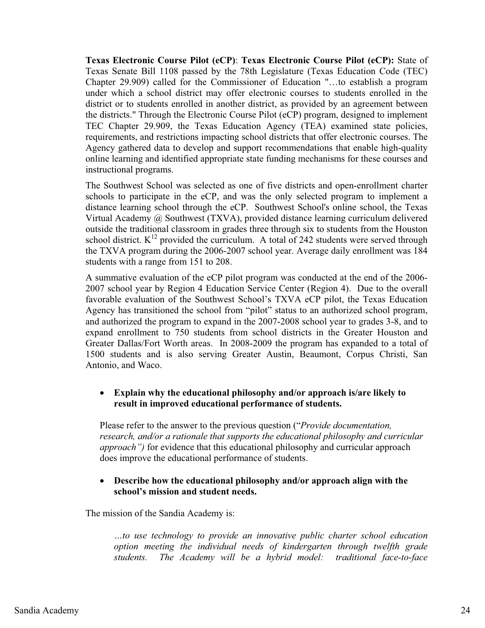**Texas Electronic Course Pilot (eCP)**: **Texas Electronic Course Pilot (eCP):** State of Texas Senate Bill 1108 passed by the 78th Legislature (Texas Education Code (TEC) Chapter 29.909) called for the Commissioner of Education "…to establish a program under which a school district may offer electronic courses to students enrolled in the district or to students enrolled in another district, as provided by an agreement between the districts." Through the Electronic Course Pilot (eCP) program, designed to implement TEC Chapter 29.909, the Texas Education Agency (TEA) examined state policies, requirements, and restrictions impacting school districts that offer electronic courses. The Agency gathered data to develop and support recommendations that enable high-quality online learning and identified appropriate state funding mechanisms for these courses and instructional programs.

The Southwest School was selected as one of five districts and open-enrollment charter schools to participate in the eCP, and was the only selected program to implement a distance learning school through the eCP. Southwest School's online school, the Texas Virtual Academy @ Southwest (TXVA), provided distance learning curriculum delivered outside the traditional classroom in grades three through six to students from the Houston school district.  $K^{12}$  provided the curriculum. A total of 242 students were served through the TXVA program during the 2006-2007 school year. Average daily enrollment was 184 students with a range from 151 to 208.

A summative evaluation of the eCP pilot program was conducted at the end of the 2006- 2007 school year by Region 4 Education Service Center (Region 4). Due to the overall favorable evaluation of the Southwest School's TXVA eCP pilot, the Texas Education Agency has transitioned the school from "pilot" status to an authorized school program, and authorized the program to expand in the 2007-2008 school year to grades 3-8, and to expand enrollment to 750 students from school districts in the Greater Houston and Greater Dallas/Fort Worth areas. In 2008-2009 the program has expanded to a total of 1500 students and is also serving Greater Austin, Beaumont, Corpus Christi, San Antonio, and Waco.

#### $\bullet$  **Explain why the educational philosophy and/or approach is/are likely to result in improved educational performance of students.**

Please refer to the answer to the previous question ("*Provide documentation, research, and/or a rationale that supports the educational philosophy and curricular approach")* for evidence that this educational philosophy and curricular approach does improve the educational performance of students.

#### $\bullet$  **Describe how the educational philosophy and/or approach align with the school's mission and student needs.**

The mission of the Sandia Academy is:

*…to use technology to provide an innovative public charter school education option meeting the individual needs of kindergarten through twelfth grade students. The Academy will be a hybrid model: traditional face-to-face*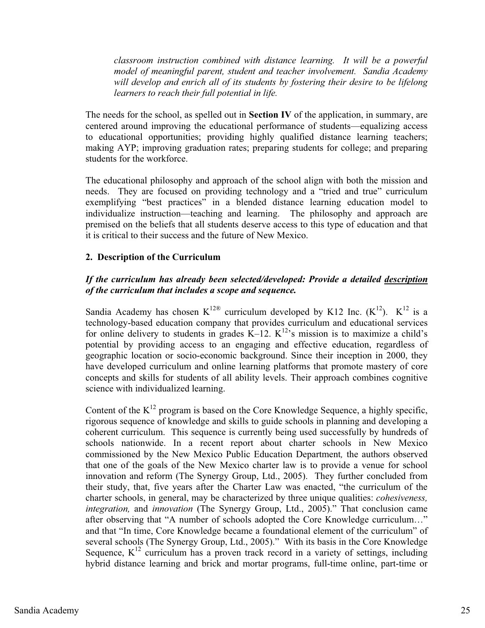*classroom instruction combined with distance learning. It will be a powerful model of meaningful parent, student and teacher involvement. Sandia Academy will develop and enrich all of its students by fostering their desire to be lifelong learners to reach their full potential in life.* 

The needs for the school, as spelled out in **Section IV** of the application, in summary, are centered around improving the educational performance of students—equalizing access to educational opportunities; providing highly qualified distance learning teachers; making AYP; improving graduation rates; preparing students for college; and preparing students for the workforce.

The educational philosophy and approach of the school align with both the mission and needs. They are focused on providing technology and a "tried and true" curriculum exemplifying "best practices" in a blended distance learning education model to individualize instruction—teaching and learning. The philosophy and approach are premised on the beliefs that all students deserve access to this type of education and that it is critical to their success and the future of New Mexico.

# **2. Description of the Curriculum**

# *If the curriculum has already been selected/developed: Provide a detailed description of the curriculum that includes a scope and sequence.*

Sandia Academy has chosen  $K^{12\otimes}$  curriculum developed by K12 Inc.  $(K^{12})$ .  $K^{12}$  is a technology-based education company that provides curriculum and educational services for online delivery to students in grades  $K-12$ .  $K^{12}$ 's mission is to maximize a child's potential by providing access to an engaging and effective education, regardless of geographic location or socio-economic background. Since their inception in 2000, they have developed curriculum and online learning platforms that promote mastery of core concepts and skills for students of all ability levels. Their approach combines cognitive science with individualized learning.

Content of the  $K^{12}$  program is based on the Core Knowledge Sequence, a highly specific, rigorous sequence of knowledge and skills to guide schools in planning and developing a coherent curriculum. This sequence is currently being used successfully by hundreds of schools nationwide. In a recent report about charter schools in New Mexico commissioned by the New Mexico Public Education Department*,* the authors observed that one of the goals of the New Mexico charter law is to provide a venue for school innovation and reform (The Synergy Group, Ltd., 2005). They further concluded from their study, that, five years after the Charter Law was enacted, "the curriculum of the charter schools, in general, may be characterized by three unique qualities: *cohesiveness, integration,* and *innovation* (The Synergy Group, Ltd., 2005)." That conclusion came after observing that "A number of schools adopted the Core Knowledge curriculum…" and that "In time, Core Knowledge became a foundational element of the curriculum" of several schools (The Synergy Group, Ltd., 2005)." With its basis in the Core Knowledge Sequence,  $K^{12}$  curriculum has a proven track record in a variety of settings, including hybrid distance learning and brick and mortar programs, full-time online, part-time or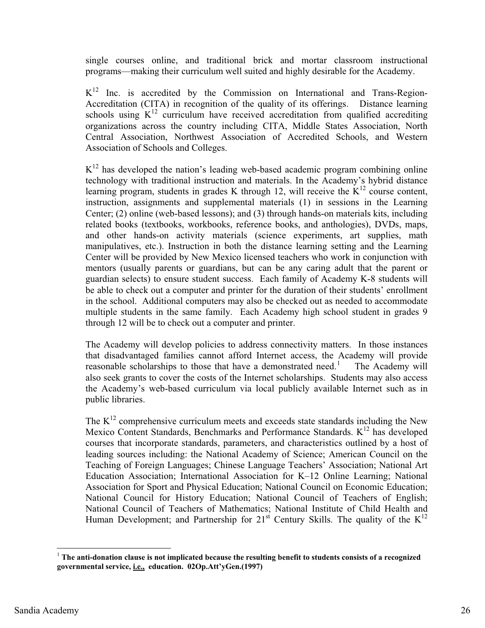single courses online, and traditional brick and mortar classroom instructional programs—making their curriculum well suited and highly desirable for the Academy.

 $K^{12}$  Inc. is accredited by the Commission on International and Trans-Region-Accreditation (CITA) in recognition of the quality of its offerings. Distance learning schools using  $K^{12}$  curriculum have received accreditation from qualified accrediting organizations across the country including CITA, Middle States Association, North Central Association, Northwest Association of Accredited Schools, and Western Association of Schools and Colleges.

 $K<sup>12</sup>$  has developed the nation's leading web-based academic program combining online technology with traditional instruction and materials. In the Academy's hybrid distance learning program, students in grades K through 12, will receive the  $K^{12}$  course content, instruction, assignments and supplemental materials (1) in sessions in the Learning Center; (2) online (web-based lessons); and (3) through hands-on materials kits, including related books (textbooks, workbooks, reference books, and anthologies), DVDs, maps, and other hands-on activity materials (science experiments, art supplies, math manipulatives, etc.). Instruction in both the distance learning setting and the Learning Center will be provided by New Mexico licensed teachers who work in conjunction with mentors (usually parents or guardians, but can be any caring adult that the parent or guardian selects) to ensure student success. Each family of Academy K-8 students will be able to check out a computer and printer for the duration of their students' enrollment in the school. Additional computers may also be checked out as needed to accommodate multiple students in the same family. Each Academy high school student in grades 9 through 12 will be to check out a computer and printer.

The Academy will develop policies to address connectivity matters. In those instances that disadvantaged families cannot afford Internet access, the Academy will provide reasonable scholarships to those that have a demonstrated need.<sup>1</sup> The Academy will also seek grants to cover the costs of the Internet scholarships. Students may also access the Academy's web-based curriculum via local publicly available Internet such as in public libraries.

The  $K^{12}$  comprehensive curriculum meets and exceeds state standards including the New Mexico Content Standards, Benchmarks and Performance Standards.  $K^{12}$  has developed courses that incorporate standards, parameters, and characteristics outlined by a host of leading sources including: the National Academy of Science; American Council on the Teaching of Foreign Languages; Chinese Language Teachers' Association; National Art Education Association; International Association for K–12 Online Learning; National Association for Sport and Physical Education; National Council on Economic Education; National Council for History Education; National Council of Teachers of English; National Council of Teachers of Mathematics; National Institute of Child Health and Human Development; and Partnership for  $21<sup>st</sup>$  Century Skills. The quality of the  $K<sup>12</sup>$ 

<sup>&</sup>lt;sup>1</sup> The anti-donation clause is not implicated because the resulting benefit to students consists of a recognized **governmental service, i.e., education. 02Op.Att'yGen.(1997)**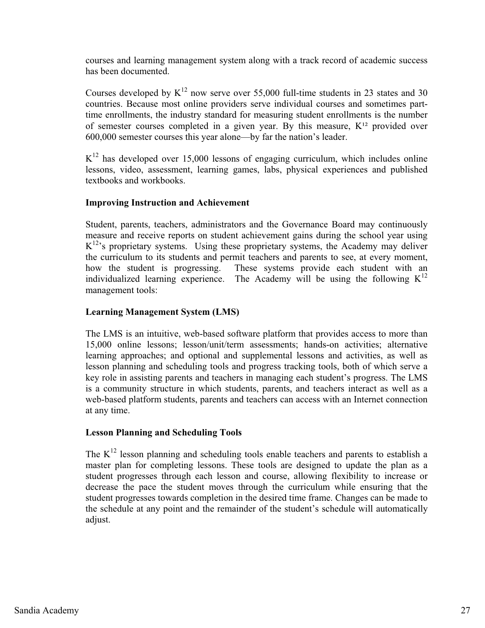courses and learning management system along with a track record of academic success has been documented.

Courses developed by  $K^{12}$  now serve over 55,000 full-time students in 23 states and 30 countries. Because most online providers serve individual courses and sometimes parttime enrollments, the industry standard for measuring student enrollments is the number of semester courses completed in a given year. By this measure,  $K^{12}$  provided over 600,000 semester courses this year alone—by far the nation's leader.

 $K^{12}$  has developed over 15,000 lessons of engaging curriculum, which includes online lessons, video, assessment, learning games, labs, physical experiences and published textbooks and workbooks.

# **Improving Instruction and Achievement**

Student, parents, teachers, administrators and the Governance Board may continuously measure and receive reports on student achievement gains during the school year using  $K^{12}$ 's proprietary systems. Using these proprietary systems, the Academy may deliver the curriculum to its students and permit teachers and parents to see, at every moment, how the student is progressing. These systems provide each student with an individualized learning experience. The Academy will be using the following  $K^{12}$ management tools:

# **Learning Management System (LMS)**

The LMS is an intuitive, web-based software platform that provides access to more than 15,000 online lessons; lesson/unit/term assessments; hands-on activities; alternative learning approaches; and optional and supplemental lessons and activities, as well as lesson planning and scheduling tools and progress tracking tools, both of which serve a key role in assisting parents and teachers in managing each student's progress. The LMS is a community structure in which students, parents, and teachers interact as well as a web-based platform students, parents and teachers can access with an Internet connection at any time.

# **Lesson Planning and Scheduling Tools**

The  $K^{12}$  lesson planning and scheduling tools enable teachers and parents to establish a master plan for completing lessons. These tools are designed to update the plan as a student progresses through each lesson and course, allowing flexibility to increase or decrease the pace the student moves through the curriculum while ensuring that the student progresses towards completion in the desired time frame. Changes can be made to the schedule at any point and the remainder of the student's schedule will automatically adjust.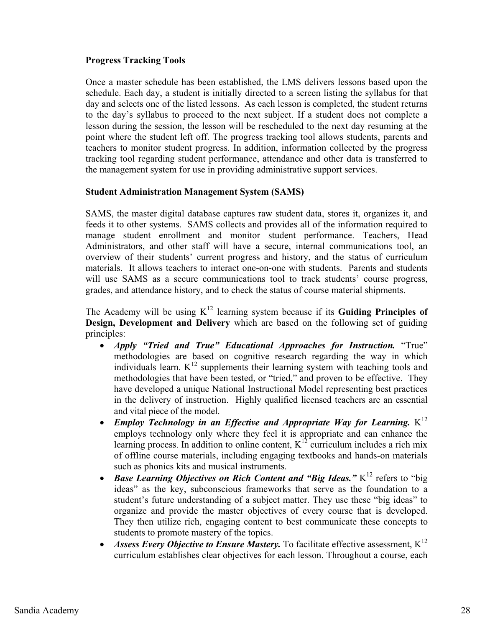# **Progress Tracking Tools**

Once a master schedule has been established, the LMS delivers lessons based upon the schedule. Each day, a student is initially directed to a screen listing the syllabus for that day and selects one of the listed lessons. As each lesson is completed, the student returns to the day's syllabus to proceed to the next subject. If a student does not complete a lesson during the session, the lesson will be rescheduled to the next day resuming at the point where the student left off. The progress tracking tool allows students, parents and teachers to monitor student progress. In addition, information collected by the progress tracking tool regarding student performance, attendance and other data is transferred to the management system for use in providing administrative support services.

# **Student Administration Management System (SAMS)**

SAMS, the master digital database captures raw student data, stores it, organizes it, and feeds it to other systems. SAMS collects and provides all of the information required to manage student enrollment and monitor student performance. Teachers, Head Administrators, and other staff will have a secure, internal communications tool, an overview of their students' current progress and history, and the status of curriculum materials. It allows teachers to interact one-on-one with students. Parents and students will use SAMS as a secure communications tool to track students' course progress, grades, and attendance history, and to check the status of course material shipments.

The Academy will be using  $K^{12}$  learning system because if its **Guiding Principles of Design, Development and Delivery** which are based on the following set of guiding principles:

- $\bullet$  *Apply "Tried and True" Educational Approaches for Instruction.* "True" methodologies are based on cognitive research regarding the way in which individuals learn.  $K^{12}$  supplements their learning system with teaching tools and methodologies that have been tested, or "tried," and proven to be effective. They have developed a unique National Instructional Model representing best practices in the delivery of instruction. Highly qualified licensed teachers are an essential and vital piece of the model.
- $\bullet$ *Employ Technology in an Effective and Appropriate Way for Learning.*  $K^{12}$ employs technology only where they feel it is appropriate and can enhance the learning process. In addition to online content,  $K^{12}$  curriculum includes a rich mix of offline course materials, including engaging textbooks and hands-on materials such as phonics kits and musical instruments.
- $\bullet$ *Base Learning Objectives on Rich Content and "Big Ideas."* K<sup>12</sup> refers to "big ideas" as the key, subconscious frameworks that serve as the foundation to a student's future understanding of a subject matter. They use these "big ideas" to organize and provide the master objectives of every course that is developed. They then utilize rich, engaging content to best communicate these concepts to students to promote mastery of the topics.
- $\bullet$ *Assess Every Objective to Ensure Mastery.* To facilitate effective assessment,  $K^{12}$ curriculum establishes clear objectives for each lesson. Throughout a course, each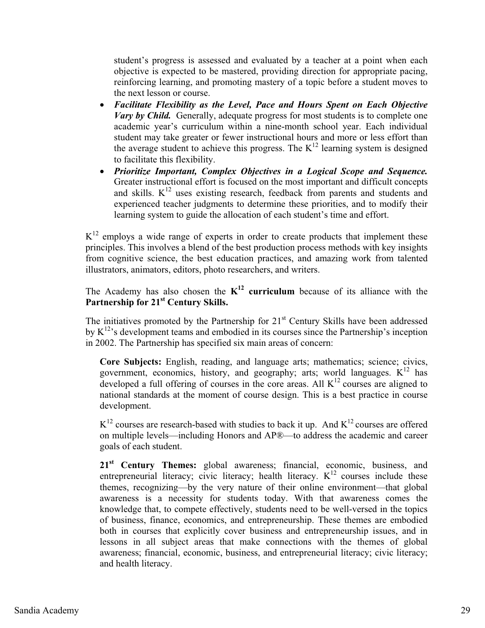student's progress is assessed and evaluated by a teacher at a point when each objective is expected to be mastered, providing direction for appropriate pacing, reinforcing learning, and promoting mastery of a topic before a student moves to the next lesson or course.

- **•** *Facilitate Flexibility as the Level, Pace and Hours Spent on Each Objective Vary by Child.* Generally, adequate progress for most students is to complete one academic year's curriculum within a nine-month school year. Each individual student may take greater or fewer instructional hours and more or less effort than the average student to achieve this progress. The  $K^{12}$  learning system is designed to facilitate this flexibility.
- **•** Prioritize Important, Complex Objectives in a Logical Scope and Sequence. Greater instructional effort is focused on the most important and difficult concepts and skills.  $K^{12}$  uses existing research, feedback from parents and students and experienced teacher judgments to determine these priorities, and to modify their learning system to guide the allocation of each student's time and effort.

 $K<sup>12</sup>$  employs a wide range of experts in order to create products that implement these principles. This involves a blend of the best production process methods with key insights from cognitive science, the best education practices, and amazing work from talented illustrators, animators, editors, photo researchers, and writers.

The Academy has also chosen the  $K^{12}$  curriculum because of its alliance with the Partnership for 21<sup>st</sup> Century Skills.

The initiatives promoted by the Partnership for  $21<sup>st</sup>$  Century Skills have been addressed by  $K^{12}$ 's development teams and embodied in its courses since the Partnership's inception in 2002. The Partnership has specified six main areas of concern:

**Core Subjects:** English, reading, and language arts; mathematics; science; civics, government, economics, history, and geography; arts; world languages.  $K^{12}$  has developed a full offering of courses in the core areas. All  $K^{12}$  courses are aligned to national standards at the moment of course design. This is a best practice in course development.

 $K^{12}$  courses are research-based with studies to back it up. And  $K^{12}$  courses are offered on multiple levels—including Honors and AP®—to address the academic and career goals of each student.

21<sup>st</sup> Century Themes: global awareness; financial, economic, business, and entrepreneurial literacy; civic literacy; health literacy.  $K^{12}$  courses include these themes, recognizing—by the very nature of their online environment—that global awareness is a necessity for students today. With that awareness comes the knowledge that, to compete effectively, students need to be well-versed in the topics of business, finance, economics, and entrepreneurship. These themes are embodied both in courses that explicitly cover business and entrepreneurship issues, and in lessons in all subject areas that make connections with the themes of global awareness; financial, economic, business, and entrepreneurial literacy; civic literacy; and health literacy.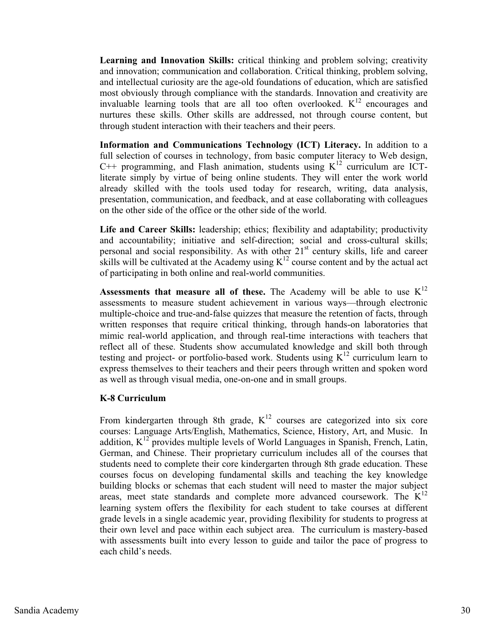**Learning and Innovation Skills:** critical thinking and problem solving; creativity and innovation; communication and collaboration. Critical thinking, problem solving, and intellectual curiosity are the age-old foundations of education, which are satisfied most obviously through compliance with the standards. Innovation and creativity are invaluable learning tools that are all too often overlooked.  $K^{12}$  encourages and nurtures these skills. Other skills are addressed, not through course content, but through student interaction with their teachers and their peers.

**Information and Communications Technology (ICT) Literacy.** In addition to a full selection of courses in technology, from basic computer literacy to Web design,  $C_{\rm{++}}$  programming, and Flash animation, students using  $K_{\rm{++}}$  curriculum are ICTliterate simply by virtue of being online students. They will enter the work world already skilled with the tools used today for research, writing, data analysis, presentation, communication, and feedback, and at ease collaborating with colleagues on the other side of the office or the other side of the world.

**Life and Career Skills:** leadership; ethics; flexibility and adaptability; productivity and accountability; initiative and self-direction; social and cross-cultural skills; personal and social responsibility. As with other 21<sup>st</sup> century skills, life and career skills will be cultivated at the Academy using  $K^{12}$  course content and by the actual act of participating in both online and real-world communities.

**Assessments that measure all of these.** The Academy will be able to use  $K^{12}$ assessments to measure student achievement in various ways—through electronic multiple-choice and true-and-false quizzes that measure the retention of facts, through written responses that require critical thinking, through hands-on laboratories that mimic real-world application, and through real-time interactions with teachers that reflect all of these. Students show accumulated knowledge and skill both through testing and project- or portfolio-based work. Students using  $K^{12}$  curriculum learn to express themselves to their teachers and their peers through written and spoken word as well as through visual media, one-on-one and in small groups.

### **K-8 Curriculum**

From kindergarten through 8th grade,  $K^{12}$  courses are categorized into six core courses: Language Arts/English, Mathematics, Science, History, Art, and Music. In addition,  $K^{12}$  provides multiple levels of World Languages in Spanish, French, Latin, German, and Chinese. Their proprietary curriculum includes all of the courses that students need to complete their core kindergarten through 8th grade education. These courses focus on developing fundamental skills and teaching the key knowledge building blocks or schemas that each student will need to master the major subject areas, meet state standards and complete more advanced coursework. The  $K<sup>12</sup>$ learning system offers the flexibility for each student to take courses at different grade levels in a single academic year, providing flexibility for students to progress at their own level and pace within each subject area. The curriculum is mastery-based with assessments built into every lesson to guide and tailor the pace of progress to each child's needs.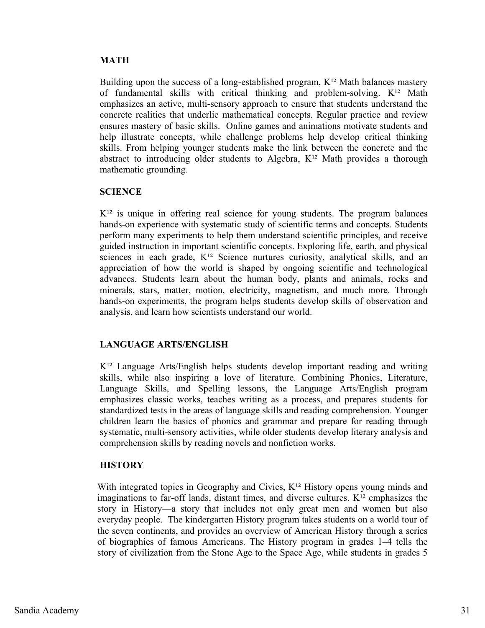# **MATH**

Building upon the success of a long-established program,  $K^{12}$  Math balances mastery of fundamental skills with critical thinking and problem-solving.  $K^{12}$  Math emphasizes an active, multi-sensory approach to ensure that students understand the concrete realities that underlie mathematical concepts. Regular practice and review ensures mastery of basic skills. Online games and animations motivate students and help illustrate concepts, while challenge problems help develop critical thinking skills. From helping younger students make the link between the concrete and the abstract to introducing older students to Algebra,  $K^{12}$  Math provides a thorough mathematic grounding.

# **SCIENCE**

 $K<sup>12</sup>$  is unique in offering real science for young students. The program balances hands-on experience with systematic study of scientific terms and concepts. Students perform many experiments to help them understand scientific principles, and receive guided instruction in important scientific concepts. Exploring life, earth, and physical sciences in each grade,  $K^{12}$  Science nurtures curiosity, analytical skills, and an appreciation of how the world is shaped by ongoing scientific and technological advances. Students learn about the human body, plants and animals, rocks and minerals, stars, matter, motion, electricity, magnetism, and much more. Through hands-on experiments, the program helps students develop skills of observation and analysis, and learn how scientists understand our world.

# **LANGUAGE ARTS/ENGLISH**

 $K<sup>12</sup>$  Language Arts/English helps students develop important reading and writing skills, while also inspiring a love of literature. Combining Phonics, Literature, Language Skills, and Spelling lessons, the Language Arts/English program emphasizes classic works, teaches writing as a process, and prepares students for standardized tests in the areas of language skills and reading comprehension. Younger children learn the basics of phonics and grammar and prepare for reading through systematic, multi-sensory activities, while older students develop literary analysis and comprehension skills by reading novels and nonfiction works.

# **HISTORY**

With integrated topics in Geography and Civics,  $K^{12}$  History opens young minds and imaginations to far-off lands, distant times, and diverse cultures.  $K^{12}$  emphasizes the story in History—a story that includes not only great men and women but also everyday people. The kindergarten History program takes students on a world tour of the seven continents, and provides an overview of American History through a series of biographies of famous Americans. The History program in grades 1–4 tells the story of civilization from the Stone Age to the Space Age, while students in grades 5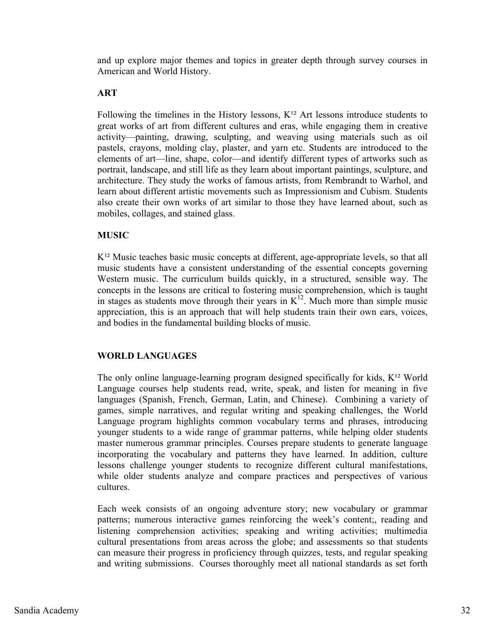and up explore major themes and topics in greater depth through survey courses in American and World History.

# **ART**

Following the timelines in the History lessons,  $K^{12}$  Art lessons introduce students to great works of art from different cultures and eras, while engaging them in creative activity—painting, drawing, sculpting, and weaving using materials such as oil pastels, crayons, molding clay, plaster, and yarn etc. Students are introduced to the elements of art—line, shape, color—and identify different types of artworks such as portrait, landscape, and still life as they learn about important paintings, sculpture, and architecture. They study the works of famous artists, from Rembrandt to Warhol, and learn about different artistic movements such as Impressionism and Cubism. Students also create their own works of art similar to those they have learned about, such as mobiles, collages, and stained glass.

# **MUSIC**

 $K^{12}$  Music teaches basic music concepts at different, age-appropriate levels, so that all music students have a consistent understanding of the essential concepts governing Western music. The curriculum builds quickly, in a structured, sensible way. The concepts in the lessons are critical to fostering music comprehension, which is taught in stages as students move through their years in  $K^{12}$ . Much more than simple music appreciation, this is an approach that will help students train their own ears, voices, and bodies in the fundamental building blocks of music.

# **WORLD LANGUAGES**

The only online language-learning program designed specifically for kids,  $K^{12}$  World Language courses help students read, write, speak, and listen for meaning in five languages (Spanish, French, German, Latin, and Chinese). Combining a variety of games, simple narratives, and regular writing and speaking challenges, the World Language program highlights common vocabulary terms and phrases, introducing younger students to a wide range of grammar patterns, while helping older students master numerous grammar principles. Courses prepare students to generate language incorporating the vocabulary and patterns they have learned. In addition, culture lessons challenge younger students to recognize different cultural manifestations, while older students analyze and compare practices and perspectives of various cultures.

Each week consists of an ongoing adventure story; new vocabulary or grammar patterns; numerous interactive games reinforcing the week's content;, reading and listening comprehension activities; speaking and writing activities; multimedia cultural presentations from areas across the globe; and assessments so that students can measure their progress in proficiency through quizzes, tests, and regular speaking and writing submissions. Courses thoroughly meet all national standards as set forth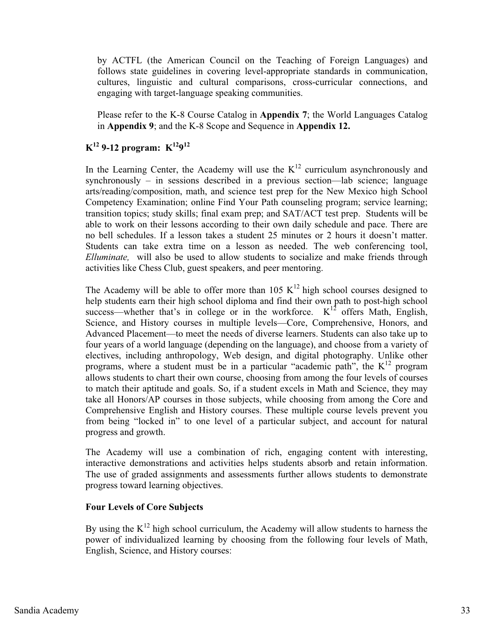by ACTFL (the American Council on the Teaching of Foreign Languages) and follows state guidelines in covering level-appropriate standards in communication, cultures, linguistic and cultural comparisons, cross-curricular connections, and engaging with target-language speaking communities.

Please refer to the K-8 Course Catalog in **Appendix 7**; the World Languages Catalog in **Appendix 9**; and the K-8 Scope and Sequence in **Appendix 12.**

# $K^{12}$  9-12 program:  $K^{12}9^{12}$

In the Learning Center, the Academy will use the  $K^{12}$  curriculum asynchronously and synchronously – in sessions described in a previous section—lab science; language arts/reading/composition, math, and science test prep for the New Mexico high School Competency Examination; online Find Your Path counseling program; service learning; transition topics; study skills; final exam prep; and SAT/ACT test prep. Students will be able to work on their lessons according to their own daily schedule and pace. There are no bell schedules. If a lesson takes a student 25 minutes or 2 hours it doesn't matter. Students can take extra time on a lesson as needed. The web conferencing tool, *Elluminate,* will also be used to allow students to socialize and make friends through activities like Chess Club, guest speakers, and peer mentoring.

The Academy will be able to offer more than 105  $K^{12}$  high school courses designed to help students earn their high school diploma and find their own path to post-high school success—whether that's in college or in the workforce.  $K^{12}$  offers Math, English, Science, and History courses in multiple levels—Core, Comprehensive, Honors, and Advanced Placement—to meet the needs of diverse learners. Students can also take up to four years of a world language (depending on the language), and choose from a variety of electives, including anthropology, Web design, and digital photography. Unlike other programs, where a student must be in a particular "academic path", the  $K^{12}$  program allows students to chart their own course, choosing from among the four levels of courses to match their aptitude and goals. So, if a student excels in Math and Science, they may take all Honors/AP courses in those subjects, while choosing from among the Core and Comprehensive English and History courses. These multiple course levels prevent you from being "locked in" to one level of a particular subject, and account for natural progress and growth.

The Academy will use a combination of rich, engaging content with interesting, interactive demonstrations and activities helps students absorb and retain information. The use of graded assignments and assessments further allows students to demonstrate progress toward learning objectives.

### **Four Levels of Core Subjects**

By using the  $K^{12}$  high school curriculum, the Academy will allow students to harness the power of individualized learning by choosing from the following four levels of Math, English, Science, and History courses: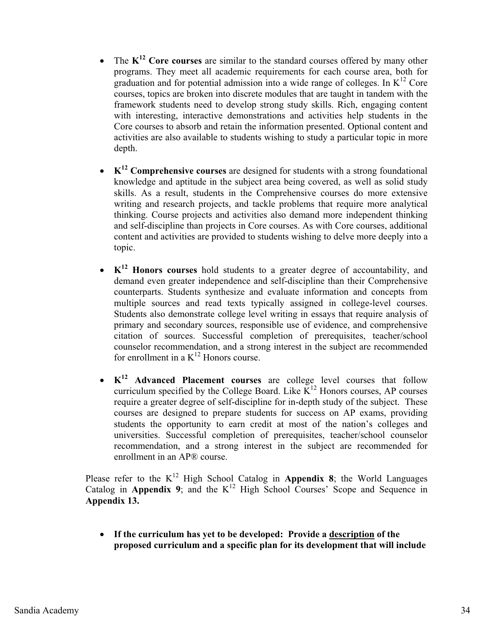- $\bullet$  The **K12 Core courses** are similar to the standard courses offered by many other programs. They meet all academic requirements for each course area, both for graduation and for potential admission into a wide range of colleges. In  $K^{12}$  Core courses, topics are broken into discrete modules that are taught in tandem with the framework students need to develop strong study skills. Rich, engaging content with interesting, interactive demonstrations and activities help students in the Core courses to absorb and retain the information presented. Optional content and activities are also available to students wishing to study a particular topic in more depth.
- **K<sup>12</sup> Comprehensive courses** are designed for students with a strong foundational knowledge and aptitude in the subject area being covered, as well as solid study skills. As a result, students in the Comprehensive courses do more extensive writing and research projects, and tackle problems that require more analytical thinking. Course projects and activities also demand more independent thinking and self-discipline than projects in Core courses. As with Core courses, additional content and activities are provided to students wishing to delve more deeply into a topic.
- **K12 Honors courses** hold students to a greater degree of accountability, and demand even greater independence and self-discipline than their Comprehensive counterparts. Students synthesize and evaluate information and concepts from multiple sources and read texts typically assigned in college-level courses. Students also demonstrate college level writing in essays that require analysis of primary and secondary sources, responsible use of evidence, and comprehensive citation of sources. Successful completion of prerequisites, teacher/school counselor recommendation, and a strong interest in the subject are recommended for enrollment in a  $K^{12}$  Honors course.
- $K^{12}$  **Advanced Placement courses** are college level courses that follow curriculum specified by the College Board. Like  $K^{12}$  Honors courses, AP courses require a greater degree of self-discipline for in-depth study of the subject. These courses are designed to prepare students for success on AP exams, providing students the opportunity to earn credit at most of the nation's colleges and universities. Successful completion of prerequisites, teacher/school counselor recommendation, and a strong interest in the subject are recommended for enrollment in an AP® course.

Please refer to the  $K^{12}$  High School Catalog in **Appendix 8**; the World Languages Catalog in **Appendix 9**; and the K<sup>12</sup> High School Courses' Scope and Sequence in **Appendix 13.**

 $\bullet$  **If the curriculum has yet to be developed: Provide a description of the proposed curriculum and a specific plan for its development that will include**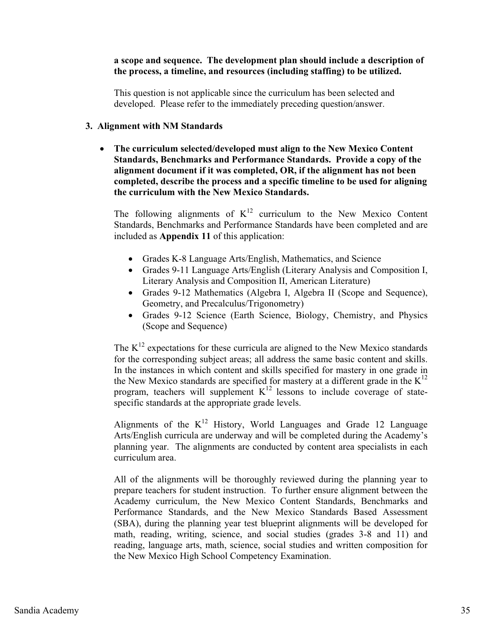# **a scope and sequence. The development plan should include a description of the process, a timeline, and resources (including staffing) to be utilized.**

This question is not applicable since the curriculum has been selected and developed. Please refer to the immediately preceding question/answer.

### **3. Alignment with NM Standards**

 $\bullet$  **The curriculum selected/developed must align to the New Mexico Content Standards, Benchmarks and Performance Standards. Provide a copy of the alignment document if it was completed, OR, if the alignment has not been completed, describe the process and a specific timeline to be used for aligning the curriculum with the New Mexico Standards.** 

The following alignments of  $K^{12}$  curriculum to the New Mexico Content Standards, Benchmarks and Performance Standards have been completed and are included as **Appendix 11** of this application:

- Grades K-8 Language Arts/English, Mathematics, and Science
- Grades 9-11 Language Arts/English (Literary Analysis and Composition I, Literary Analysis and Composition II, American Literature)
- Grades 9-12 Mathematics (Algebra I, Algebra II (Scope and Sequence), Geometry, and Precalculus/Trigonometry)
- Grades 9-12 Science (Earth Science, Biology, Chemistry, and Physics (Scope and Sequence)

The  $K^{12}$  expectations for these curricula are aligned to the New Mexico standards for the corresponding subject areas; all address the same basic content and skills. In the instances in which content and skills specified for mastery in one grade in the New Mexico standards are specified for mastery at a different grade in the  $K^{12}$ program, teachers will supplement  $K^{12}$  lessons to include coverage of statespecific standards at the appropriate grade levels.

Alignments of the  $K^{12}$  History, World Languages and Grade 12 Language Arts/English curricula are underway and will be completed during the Academy's planning year. The alignments are conducted by content area specialists in each curriculum area.

All of the alignments will be thoroughly reviewed during the planning year to prepare teachers for student instruction. To further ensure alignment between the Academy curriculum, the New Mexico Content Standards, Benchmarks and Performance Standards, and the New Mexico Standards Based Assessment (SBA), during the planning year test blueprint alignments will be developed for math, reading, writing, science, and social studies (grades 3-8 and 11) and reading, language arts, math, science, social studies and written composition for the New Mexico High School Competency Examination.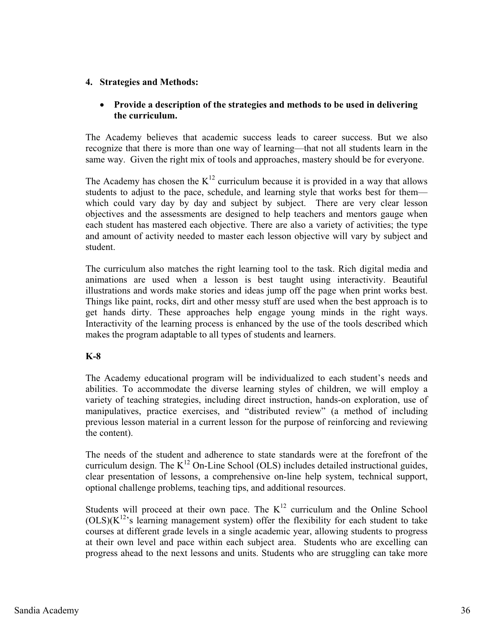# **4. Strategies and Methods:**

# - **Provide a description of the strategies and methods to be used in delivering the curriculum.**

The Academy believes that academic success leads to career success. But we also recognize that there is more than one way of learning—that not all students learn in the same way. Given the right mix of tools and approaches, mastery should be for everyone.

The Academy has chosen the  $K^{12}$  curriculum because it is provided in a way that allows students to adjust to the pace, schedule, and learning style that works best for them which could vary day by day and subject by subject. There are very clear lesson objectives and the assessments are designed to help teachers and mentors gauge when each student has mastered each objective. There are also a variety of activities; the type and amount of activity needed to master each lesson objective will vary by subject and student.

The curriculum also matches the right learning tool to the task. Rich digital media and animations are used when a lesson is best taught using interactivity. Beautiful illustrations and words make stories and ideas jump off the page when print works best. Things like paint, rocks, dirt and other messy stuff are used when the best approach is to get hands dirty. These approaches help engage young minds in the right ways. Interactivity of the learning process is enhanced by the use of the tools described which makes the program adaptable to all types of students and learners.

# **K-8**

The Academy educational program will be individualized to each student's needs and abilities. To accommodate the diverse learning styles of children, we will employ a variety of teaching strategies, including direct instruction, hands-on exploration, use of manipulatives, practice exercises, and "distributed review" (a method of including previous lesson material in a current lesson for the purpose of reinforcing and reviewing the content).

The needs of the student and adherence to state standards were at the forefront of the curriculum design. The  $K^{12}$  On-Line School (OLS) includes detailed instructional guides, clear presentation of lessons, a comprehensive on-line help system, technical support, optional challenge problems, teaching tips, and additional resources.

Students will proceed at their own pace. The  $K<sup>12</sup>$  curriculum and the Online School  $(OLS)(K^{12})$  learning management system) offer the flexibility for each student to take courses at different grade levels in a single academic year, allowing students to progress at their own level and pace within each subject area. Students who are excelling can progress ahead to the next lessons and units. Students who are struggling can take more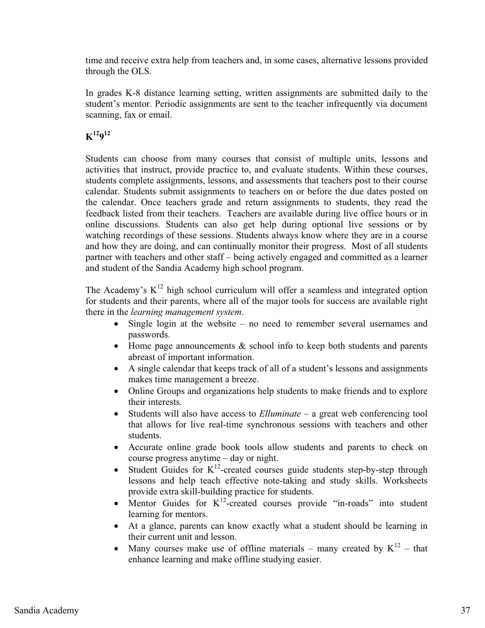time and receive extra help from teachers and, in some cases, alternative lessons provided through the OLS.

In grades K-8 distance learning setting, written assignments are submitted daily to the student's mentor. Periodic assignments are sent to the teacher infrequently via document scanning, fax or email.

**K12912**

Students can choose from many courses that consist of multiple units, lessons and activities that instruct, provide practice to, and evaluate students. Within these courses, students complete assignments, lessons, and assessments that teachers post to their course calendar. Students submit assignments to teachers on or before the due dates posted on the calendar. Once teachers grade and return assignments to students, they read the feedback listed from their teachers. Teachers are available during live office hours or in online discussions. Students can also get help during optional live sessions or by watching recordings of these sessions. Students always know where they are in a course and how they are doing, and can continually monitor their progress. Most of all students partner with teachers and other staff – being actively engaged and committed as a learner and student of the Sandia Academy high school program.

The Academy's  $K^{12}$  high school curriculum will offer a seamless and integrated option for students and their parents, where all of the major tools for success are available right there in the *learning management system*.

- $\bullet$  Single login at the website – no need to remember several usernames and passwords.
- Home page announcements & school info to keep both students and parents abreast of important information.
- $\bullet$  A single calendar that keeps track of all of a student's lessons and assignments makes time management a breeze.
- $\bullet$  Online Groups and organizations help students to make friends and to explore their interests.
- $\bullet$  Students will also have access to *Elluminate* – a great web conferencing tool that allows for live real-time synchronous sessions with teachers and other students.
- $\bullet$  Accurate online grade book tools allow students and parents to check on course progress anytime – day or night.
- $\bullet$ Student Guides for  $K^{12}$ -created courses guide students step-by-step through lessons and help teach effective note-taking and study skills. Worksheets provide extra skill-building practice for students.
- $\bullet$ Mentor Guides for  $K^{12}$ -created courses provide "in-roads" into student learning for mentors.
- At a glance, parents can know exactly what a student should be learning in their current unit and lesson.
- $\bullet$ Many courses make use of offline materials – many created by  $K^{12}$  – that enhance learning and make offline studying easier.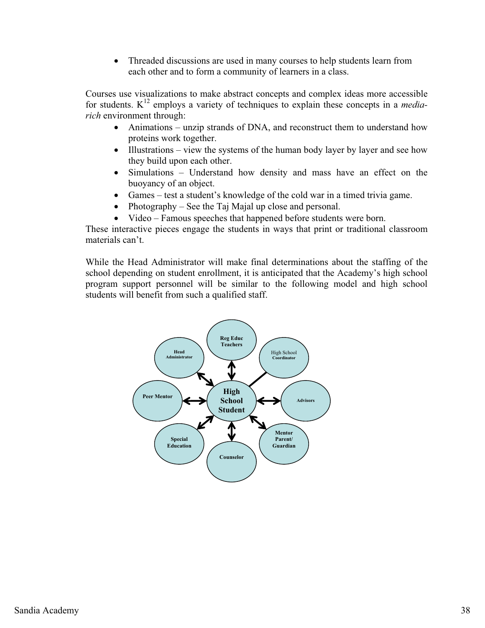$\bullet$  Threaded discussions are used in many courses to help students learn from each other and to form a community of learners in a class.

Courses use visualizations to make abstract concepts and complex ideas more accessible for students. K12 employs a variety of techniques to explain these concepts in a *mediarich* environment through:

- Animations unzip strands of DNA, and reconstruct them to understand how proteins work together.
- Illustrations view the systems of the human body layer by layer and see how they build upon each other.
- $\bullet$  Simulations – Understand how density and mass have an effect on the buoyancy of an object.
- $\bullet$ Games – test a student's knowledge of the cold war in a timed trivia game.
- $\bullet$ Photography – See the Taj Majal up close and personal.
- -Video – Famous speeches that happened before students were born.

These interactive pieces engage the students in ways that print or traditional classroom materials can't.

While the Head Administrator will make final determinations about the staffing of the school depending on student enrollment, it is anticipated that the Academy's high school program support personnel will be similar to the following model and high school students will benefit from such a qualified staff.

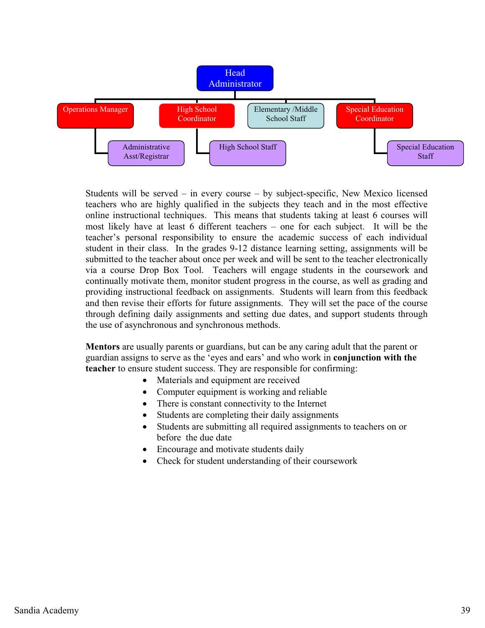

Students will be served – in every course – by subject-specific, New Mexico licensed teachers who are highly qualified in the subjects they teach and in the most effective online instructional techniques. This means that students taking at least 6 courses will most likely have at least 6 different teachers – one for each subject. It will be the teacher's personal responsibility to ensure the academic success of each individual student in their class. In the grades 9-12 distance learning setting, assignments will be submitted to the teacher about once per week and will be sent to the teacher electronically via a course Drop Box Tool. Teachers will engage students in the coursework and continually motivate them, monitor student progress in the course, as well as grading and providing instructional feedback on assignments. Students will learn from this feedback and then revise their efforts for future assignments. They will set the pace of the course through defining daily assignments and setting due dates, and support students through the use of asynchronous and synchronous methods.

**Mentors** are usually parents or guardians, but can be any caring adult that the parent or guardian assigns to serve as the 'eyes and ears' and who work in **conjunction with the teacher** to ensure student success. They are responsible for confirming:

- -Materials and equipment are received
- -Computer equipment is working and reliable
- -There is constant connectivity to the Internet
- -Students are completing their daily assignments
- - Students are submitting all required assignments to teachers on or before the due date
- -Encourage and motivate students daily
- Check for student understanding of their coursework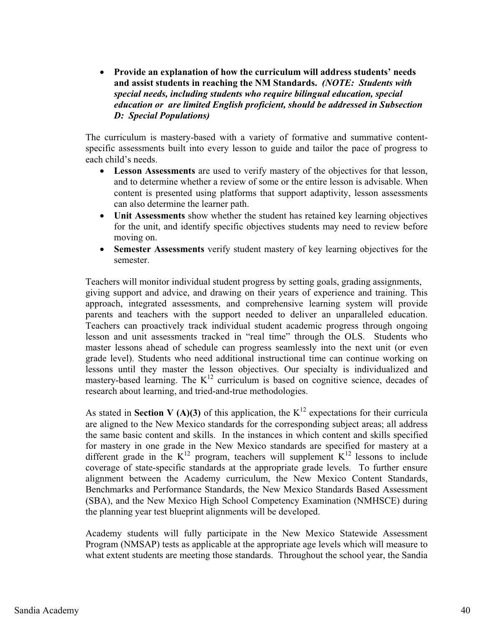$\bullet$  **Provide an explanation of how the curriculum will address students' needs and assist students in reaching the NM Standards.** *(NOTE: Students with special needs, including students who require bilingual education, special education or are limited English proficient, should be addressed in Subsection D: Special Populations)* 

The curriculum is mastery-based with a variety of formative and summative contentspecific assessments built into every lesson to guide and tailor the pace of progress to each child's needs.

- $\bullet$  **Lesson Assessments** are used to verify mastery of the objectives for that lesson, and to determine whether a review of some or the entire lesson is advisable. When content is presented using platforms that support adaptivity, lesson assessments can also determine the learner path.
- $\bullet$  **Unit Assessments** show whether the student has retained key learning objectives for the unit, and identify specific objectives students may need to review before moving on.
- $\bullet$  **Semester Assessments** verify student mastery of key learning objectives for the semester.

Teachers will monitor individual student progress by setting goals, grading assignments, giving support and advice, and drawing on their years of experience and training. This approach, integrated assessments, and comprehensive learning system will provide parents and teachers with the support needed to deliver an unparalleled education. Teachers can proactively track individual student academic progress through ongoing lesson and unit assessments tracked in "real time" through the OLS. Students who master lessons ahead of schedule can progress seamlessly into the next unit (or even grade level). Students who need additional instructional time can continue working on lessons until they master the lesson objectives. Our specialty is individualized and mastery-based learning. The  $K^{12}$  curriculum is based on cognitive science, decades of research about learning, and tried-and-true methodologies.

As stated in **Section V (A)(3)** of this application, the  $K^{12}$  expectations for their curricula are aligned to the New Mexico standards for the corresponding subject areas; all address the same basic content and skills. In the instances in which content and skills specified for mastery in one grade in the New Mexico standards are specified for mastery at a different grade in the  $K^{12}$  program, teachers will supplement  $K^{12}$  lessons to include coverage of state-specific standards at the appropriate grade levels. To further ensure alignment between the Academy curriculum, the New Mexico Content Standards, Benchmarks and Performance Standards, the New Mexico Standards Based Assessment (SBA), and the New Mexico High School Competency Examination (NMHSCE) during the planning year test blueprint alignments will be developed.

Academy students will fully participate in the New Mexico Statewide Assessment Program (NMSAP) tests as applicable at the appropriate age levels which will measure to what extent students are meeting those standards. Throughout the school year, the Sandia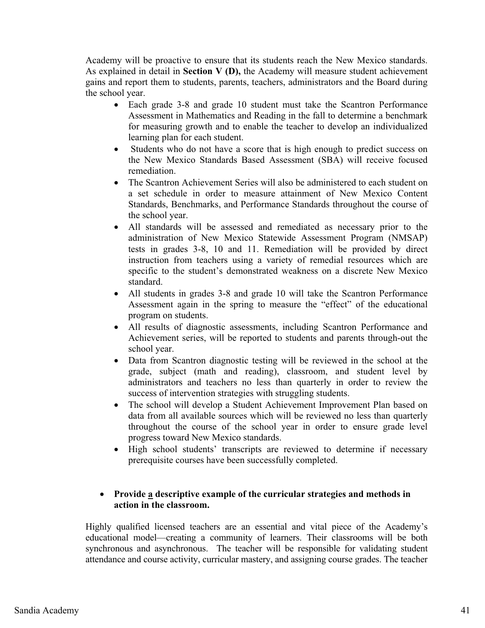Academy will be proactive to ensure that its students reach the New Mexico standards. As explained in detail in **Section V (D),** the Academy will measure student achievement gains and report them to students, parents, teachers, administrators and the Board during the school year.

- Each grade 3-8 and grade 10 student must take the Scantron Performance Assessment in Mathematics and Reading in the fall to determine a benchmark for measuring growth and to enable the teacher to develop an individualized learning plan for each student.
- Students who do not have a score that is high enough to predict success on the New Mexico Standards Based Assessment (SBA) will receive focused remediation.
- - The Scantron Achievement Series will also be administered to each student on a set schedule in order to measure attainment of New Mexico Content Standards, Benchmarks, and Performance Standards throughout the course of the school year.
- All standards will be assessed and remediated as necessary prior to the administration of New Mexico Statewide Assessment Program (NMSAP) tests in grades 3-8, 10 and 11. Remediation will be provided by direct instruction from teachers using a variety of remedial resources which are specific to the student's demonstrated weakness on a discrete New Mexico standard.
- All students in grades 3-8 and grade 10 will take the Scantron Performance Assessment again in the spring to measure the "effect" of the educational program on students.
- $\bullet$  All results of diagnostic assessments, including Scantron Performance and Achievement series, will be reported to students and parents through-out the school year.
- $\bullet$  Data from Scantron diagnostic testing will be reviewed in the school at the grade, subject (math and reading), classroom, and student level by administrators and teachers no less than quarterly in order to review the success of intervention strategies with struggling students.
- $\bullet$  The school will develop a Student Achievement Improvement Plan based on data from all available sources which will be reviewed no less than quarterly throughout the course of the school year in order to ensure grade level progress toward New Mexico standards.
- High school students' transcripts are reviewed to determine if necessary prerequisite courses have been successfully completed.

# • Provide **a** descriptive example of the curricular strategies and methods in **action in the classroom.**

Highly qualified licensed teachers are an essential and vital piece of the Academy's educational model—creating a community of learners. Their classrooms will be both synchronous and asynchronous. The teacher will be responsible for validating student attendance and course activity, curricular mastery, and assigning course grades. The teacher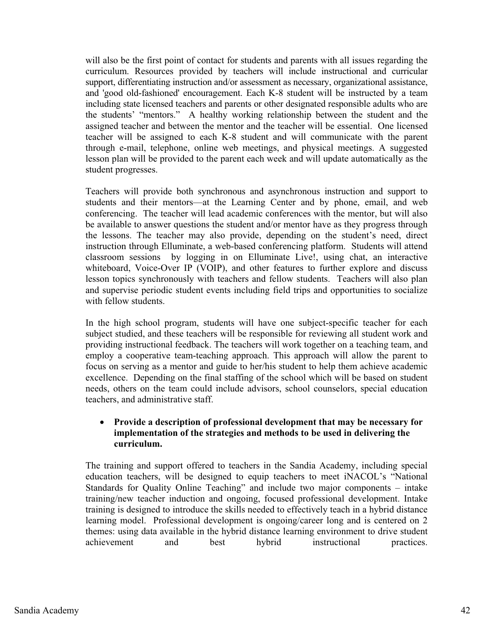will also be the first point of contact for students and parents with all issues regarding the curriculum. Resources provided by teachers will include instructional and curricular support, differentiating instruction and/or assessment as necessary, organizational assistance, and 'good old-fashioned' encouragement. Each K-8 student will be instructed by a team including state licensed teachers and parents or other designated responsible adults who are the students' "mentors." A healthy working relationship between the student and the assigned teacher and between the mentor and the teacher will be essential. One licensed teacher will be assigned to each K-8 student and will communicate with the parent through e-mail, telephone, online web meetings, and physical meetings. A suggested lesson plan will be provided to the parent each week and will update automatically as the student progresses.

Teachers will provide both synchronous and asynchronous instruction and support to students and their mentors—at the Learning Center and by phone, email, and web conferencing. The teacher will lead academic conferences with the mentor, but will also be available to answer questions the student and/or mentor have as they progress through the lessons. The teacher may also provide, depending on the student's need, direct instruction through Elluminate, a web-based conferencing platform. Students will attend classroom sessions by logging in on Elluminate Live!, using chat, an interactive whiteboard, Voice-Over IP (VOIP), and other features to further explore and discuss lesson topics synchronously with teachers and fellow students. Teachers will also plan and supervise periodic student events including field trips and opportunities to socialize with fellow students.

In the high school program, students will have one subject-specific teacher for each subject studied, and these teachers will be responsible for reviewing all student work and providing instructional feedback. The teachers will work together on a teaching team, and employ a cooperative team-teaching approach. This approach will allow the parent to focus on serving as a mentor and guide to her/his student to help them achieve academic excellence. Depending on the final staffing of the school which will be based on student needs, others on the team could include advisors, school counselors, special education teachers, and administrative staff.

# - **Provide a description of professional development that may be necessary for implementation of the strategies and methods to be used in delivering the curriculum.**

The training and support offered to teachers in the Sandia Academy, including special education teachers, will be designed to equip teachers to meet iNACOL's "National Standards for Quality Online Teaching" and include two major components – intake training/new teacher induction and ongoing, focused professional development. Intake training is designed to introduce the skills needed to effectively teach in a hybrid distance learning model. Professional development is ongoing/career long and is centered on 2 themes: using data available in the hybrid distance learning environment to drive student achievement and best hybrid instructional practices.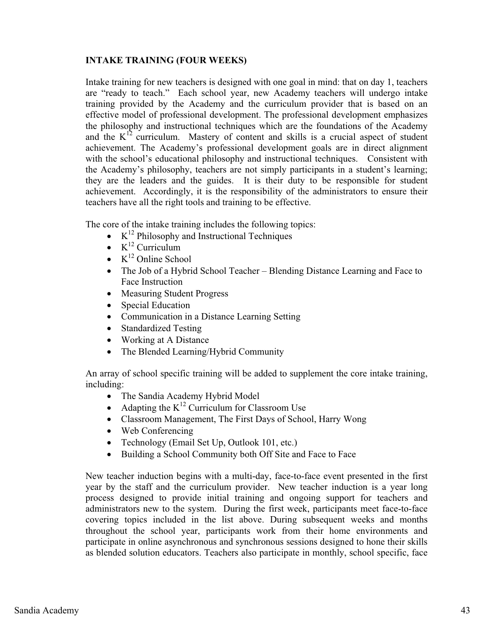# **INTAKE TRAINING (FOUR WEEKS)**

Intake training for new teachers is designed with one goal in mind: that on day 1, teachers are "ready to teach." Each school year, new Academy teachers will undergo intake training provided by the Academy and the curriculum provider that is based on an effective model of professional development. The professional development emphasizes the philosophy and instructional techniques which are the foundations of the Academy and the  $K^{12}$  curriculum. Mastery of content and skills is a crucial aspect of student achievement. The Academy's professional development goals are in direct alignment with the school's educational philosophy and instructional techniques. Consistent with the Academy's philosophy, teachers are not simply participants in a student's learning; they are the leaders and the guides. It is their duty to be responsible for student achievement. Accordingly, it is the responsibility of the administrators to ensure their teachers have all the right tools and training to be effective.

The core of the intake training includes the following topics:

- $\bullet$  K<sup>12</sup> Philosophy and Instructional Techniques
- $\bullet$  K<sup>12</sup> Curriculum
- $\bullet$  K<sup>12</sup> Online School
- The Job of a Hybrid School Teacher Blending Distance Learning and Face to Face Instruction
- Measuring Student Progress
- $\bullet$ Special Education
- Communication in a Distance Learning Setting
- Standardized Testing
- Working at A Distance
- -The Blended Learning/Hybrid Community

An array of school specific training will be added to supplement the core intake training, including:

- The Sandia Academy Hybrid Model
- Adapting the  $K^{12}$  Curriculum for Classroom Use
- Classroom Management, The First Days of School, Harry Wong
- Web Conferencing
- Technology (Email Set Up, Outlook 101, etc.)
- -Building a School Community both Off Site and Face to Face

New teacher induction begins with a multi-day, face-to-face event presented in the first year by the staff and the curriculum provider. New teacher induction is a year long process designed to provide initial training and ongoing support for teachers and administrators new to the system. During the first week, participants meet face-to-face covering topics included in the list above. During subsequent weeks and months throughout the school year, participants work from their home environments and participate in online asynchronous and synchronous sessions designed to hone their skills as blended solution educators. Teachers also participate in monthly, school specific, face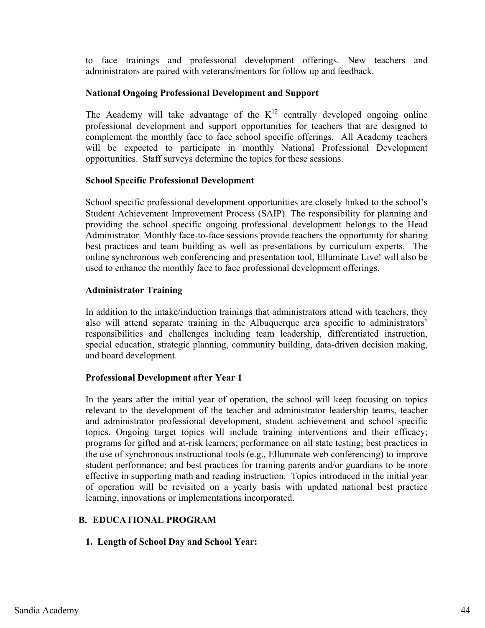to face trainings and professional development offerings. New teachers and administrators are paired with veterans/mentors for follow up and feedback.

# **National Ongoing Professional Development and Support**

The Academy will take advantage of the  $K^{12}$  centrally developed ongoing online professional development and support opportunities for teachers that are designed to complement the monthly face to face school specific offerings. All Academy teachers will be expected to participate in monthly National Professional Development opportunities. Staff surveys determine the topics for these sessions.

# **School Specific Professional Development**

School specific professional development opportunities are closely linked to the school's Student Achievement Improvement Process (SAIP). The responsibility for planning and providing the school specific ongoing professional development belongs to the Head Administrator. Monthly face-to-face sessions provide teachers the opportunity for sharing best practices and team building as well as presentations by curriculum experts. The online synchronous web conferencing and presentation tool, Elluminate Live! will also be used to enhance the monthly face to face professional development offerings.

# **Administrator Training**

In addition to the intake/induction trainings that administrators attend with teachers, they also will attend separate training in the Albuquerque area specific to administrators' responsibilities and challenges including team leadership, differentiated instruction, special education, strategic planning, community building, data-driven decision making, and board development.

# **Professional Development after Year 1**

In the years after the initial year of operation, the school will keep focusing on topics relevant to the development of the teacher and administrator leadership teams, teacher and administrator professional development, student achievement and school specific topics. Ongoing target topics will include training interventions and their efficacy; programs for gifted and at-risk learners; performance on all state testing; best practices in the use of synchronous instructional tools (e.g., Elluminate web conferencing) to improve student performance; and best practices for training parents and/or guardians to be more effective in supporting math and reading instruction. Topics introduced in the initial year of operation will be revisited on a yearly basis with updated national best practice learning, innovations or implementations incorporated.

# **B. EDUCATIONAL PROGRAM**

# **1. Length of School Day and School Year:**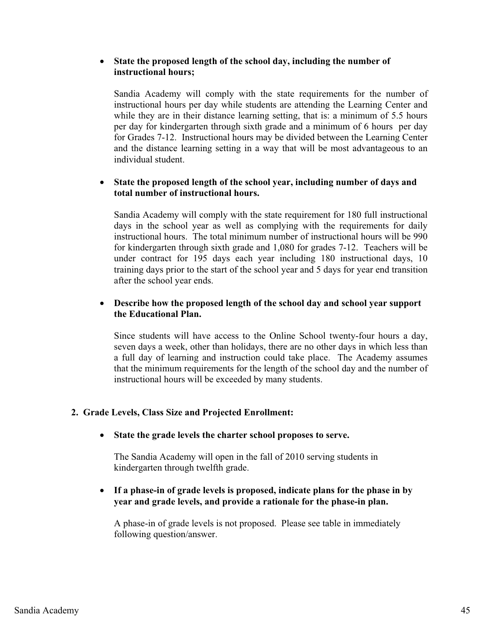# - **State the proposed length of the school day, including the number of instructional hours;**

Sandia Academy will comply with the state requirements for the number of instructional hours per day while students are attending the Learning Center and while they are in their distance learning setting, that is: a minimum of 5.5 hours per day for kindergarten through sixth grade and a minimum of 6 hours per day for Grades 7-12. Instructional hours may be divided between the Learning Center and the distance learning setting in a way that will be most advantageous to an individual student.

#### $\bullet$  **State the proposed length of the school year, including number of days and total number of instructional hours.**

Sandia Academy will comply with the state requirement for 180 full instructional days in the school year as well as complying with the requirements for daily instructional hours. The total minimum number of instructional hours will be 990 for kindergarten through sixth grade and 1,080 for grades 7-12. Teachers will be under contract for 195 days each year including 180 instructional days, 10 training days prior to the start of the school year and 5 days for year end transition after the school year ends.

#### $\bullet$  **Describe how the proposed length of the school day and school year support the Educational Plan.**

Since students will have access to the Online School twenty-four hours a day, seven days a week, other than holidays, there are no other days in which less than a full day of learning and instruction could take place. The Academy assumes that the minimum requirements for the length of the school day and the number of instructional hours will be exceeded by many students.

# **2. Grade Levels, Class Size and Projected Enrollment:**

- **State the grade levels the charter school proposes to serve.** 

The Sandia Academy will open in the fall of 2010 serving students in kindergarten through twelfth grade.

# - **If a phase-in of grade levels is proposed, indicate plans for the phase in by year and grade levels, and provide a rationale for the phase-in plan.**

A phase-in of grade levels is not proposed. Please see table in immediately following question/answer.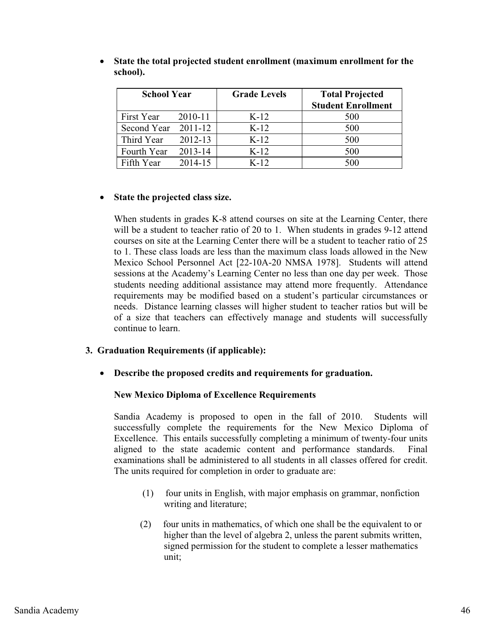| <b>School Year</b> |         | <b>Grade Levels</b> | <b>Total Projected</b>    |
|--------------------|---------|---------------------|---------------------------|
|                    |         |                     | <b>Student Enrollment</b> |
| First Year         | 2010-11 | $K-12$              | 500                       |
| Second Year        | 2011-12 | $K-12$              | 500                       |
| Third Year         | 2012-13 | $K-12$              | 500                       |
| Fourth Year        | 2013-14 | $K-12$              | 500                       |
| Fifth Year         | 2014-15 | $K-12$              | 500                       |

 $\bullet$  **State the total projected student enrollment (maximum enrollment for the school).**

#### $\bullet$ **State the projected class size.**

When students in grades K-8 attend courses on site at the Learning Center, there will be a student to teacher ratio of 20 to 1. When students in grades 9-12 attend courses on site at the Learning Center there will be a student to teacher ratio of 25 to 1. These class loads are less than the maximum class loads allowed in the New Mexico School Personnel Act [22-10A-20 NMSA 1978]. Students will attend sessions at the Academy's Learning Center no less than one day per week. Those students needing additional assistance may attend more frequently. Attendance requirements may be modified based on a student's particular circumstances or needs. Distance learning classes will higher student to teacher ratios but will be of a size that teachers can effectively manage and students will successfully continue to learn.

#### **3. Graduation Requirements (if applicable):**

- **Describe the proposed credits and requirements for graduation.** 

#### **New Mexico Diploma of Excellence Requirements**

Sandia Academy is proposed to open in the fall of 2010. Students will successfully complete the requirements for the New Mexico Diploma of Excellence. This entails successfully completing a minimum of twenty-four units aligned to the state academic content and performance standards. Final examinations shall be administered to all students in all classes offered for credit. The units required for completion in order to graduate are:

- (1) four units in English, with major emphasis on grammar, nonfiction writing and literature;
- (2) four units in mathematics, of which one shall be the equivalent to or higher than the level of algebra 2, unless the parent submits written, signed permission for the student to complete a lesser mathematics unit;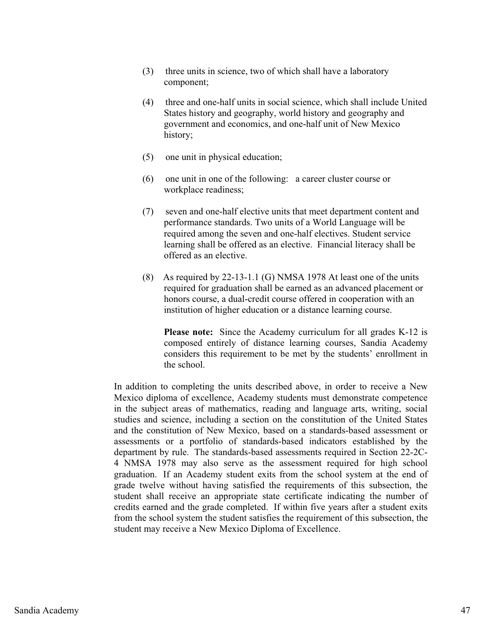- (3) three units in science, two of which shall have a laboratory component;
- (4) three and one-half units in social science, which shall include United States history and geography, world history and geography and government and economics, and one-half unit of New Mexico history;
- (5) one unit in physical education;
- (6) one unit in one of the following: a career cluster course or workplace readiness;
- (7) seven and one-half elective units that meet department content and performance standards. Two units of a World Language will be required among the seven and one-half electives. Student service learning shall be offered as an elective. Financial literacy shall be offered as an elective.
- (8) As required by 22-13-1.1 (G) NMSA 1978 At least one of the units required for graduation shall be earned as an advanced placement or honors course, a dual-credit course offered in cooperation with an institution of higher education or a distance learning course.

**Please note:** Since the Academy curriculum for all grades K-12 is composed entirely of distance learning courses, Sandia Academy considers this requirement to be met by the students' enrollment in the school.

In addition to completing the units described above, in order to receive a New Mexico diploma of excellence, Academy students must demonstrate competence in the subject areas of mathematics, reading and language arts, writing, social studies and science, including a section on the constitution of the United States and the constitution of New Mexico, based on a standards-based assessment or assessments or a portfolio of standards-based indicators established by the department by rule. The standards-based assessments required in Section 22-2C-4 NMSA 1978 may also serve as the assessment required for high school graduation. If an Academy student exits from the school system at the end of grade twelve without having satisfied the requirements of this subsection, the student shall receive an appropriate state certificate indicating the number of credits earned and the grade completed. If within five years after a student exits from the school system the student satisfies the requirement of this subsection, the student may receive a New Mexico Diploma of Excellence.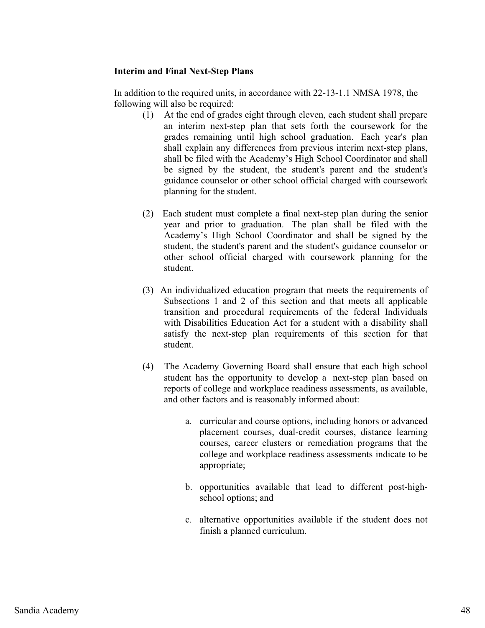## **Interim and Final Next-Step Plans**

In addition to the required units, in accordance with 22-13-1.1 NMSA 1978, the following will also be required:

- (1) At the end of grades eight through eleven, each student shall prepare an interim next-step plan that sets forth the coursework for the grades remaining until high school graduation. Each year's plan shall explain any differences from previous interim next-step plans, shall be filed with the Academy's High School Coordinator and shall be signed by the student, the student's parent and the student's guidance counselor or other school official charged with coursework planning for the student.
- (2) Each student must complete a final next-step plan during the senior year and prior to graduation. The plan shall be filed with the Academy's High School Coordinator and shall be signed by the student, the student's parent and the student's guidance counselor or other school official charged with coursework planning for the student.
- (3) An individualized education program that meets the requirements of Subsections 1 and 2 of this section and that meets all applicable transition and procedural requirements of the federal Individuals with Disabilities Education Act for a student with a disability shall satisfy the next-step plan requirements of this section for that student.
- (4) The Academy Governing Board shall ensure that each high school student has the opportunity to develop a next-step plan based on reports of college and workplace readiness assessments, as available, and other factors and is reasonably informed about:
	- a. curricular and course options, including honors or advanced placement courses, dual-credit courses, distance learning courses, career clusters or remediation programs that the college and workplace readiness assessments indicate to be appropriate;
	- b. opportunities available that lead to different post-highschool options; and
	- c. alternative opportunities available if the student does not finish a planned curriculum.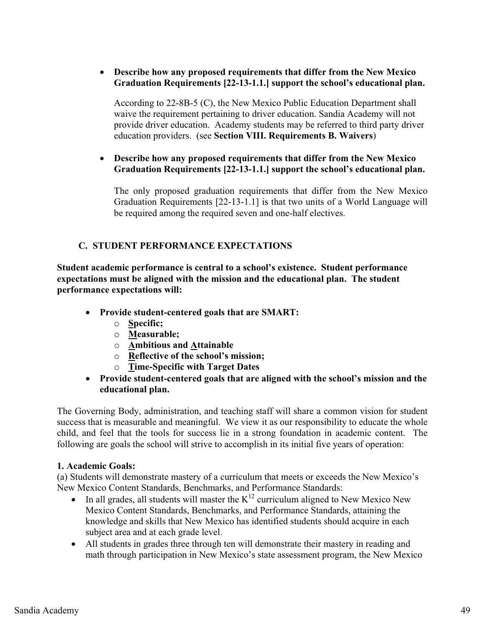# - **Describe how any proposed requirements that differ from the New Mexico Graduation Requirements [22-13-1.1.] support the school's educational plan.**

According to 22-8B-5 (C), the New Mexico Public Education Department shall waive the requirement pertaining to driver education. Sandia Academy will not provide driver education. Academy students may be referred to third party driver education providers. (see **Section VIII. Requirements B. Waivers**)

# - **Describe how any proposed requirements that differ from the New Mexico Graduation Requirements [22-13-1.1.] support the school's educational plan.**

The only proposed graduation requirements that differ from the New Mexico Graduation Requirements [22-13-1.1] is that two units of a World Language will be required among the required seven and one-half electives.

# **C. STUDENT PERFORMANCE EXPECTATIONS**

**Student academic performance is central to a school's existence. Student performance expectations must be aligned with the mission and the educational plan. The student performance expectations will:** 

- **Provide student-centered goals that are SMART:** 
	- o **Specific;**
	- o **Measurable;**
	- o **Ambitious and Attainable**
	- o **Reflective of the school's mission;**
	- o **Time-Specific with Target Dates**
- **Provide student-centered goals that are aligned with the school's mission and the educational plan.**

The Governing Body, administration, and teaching staff will share a common vision for student success that is measurable and meaningful. We view it as our responsibility to educate the whole child, and feel that the tools for success lie in a strong foundation in academic content. The following are goals the school will strive to accomplish in its initial five years of operation:

# **1. Academic Goals:**

(a) Students will demonstrate mastery of a curriculum that meets or exceeds the New Mexico's New Mexico Content Standards, Benchmarks, and Performance Standards:

- $\bullet$ In all grades, all students will master the  $K^{12}$  curriculum aligned to New Mexico New Mexico Content Standards, Benchmarks, and Performance Standards, attaining the knowledge and skills that New Mexico has identified students should acquire in each subject area and at each grade level.
- All students in grades three through ten will demonstrate their mastery in reading and math through participation in New Mexico's state assessment program, the New Mexico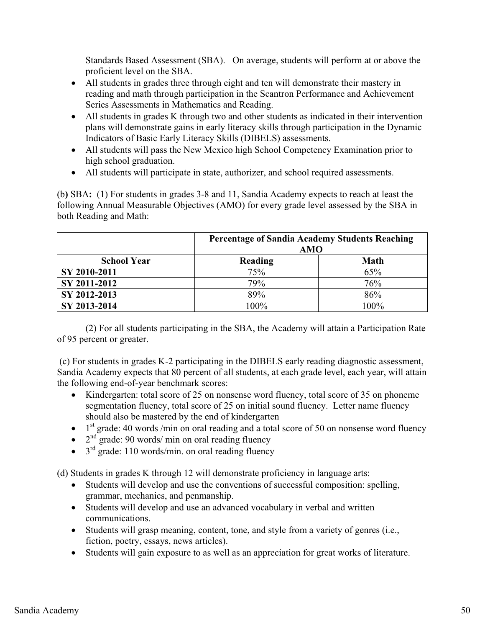Standards Based Assessment (SBA). On average, students will perform at or above the proficient level on the SBA.

- All students in grades three through eight and ten will demonstrate their mastery in reading and math through participation in the Scantron Performance and Achievement Series Assessments in Mathematics and Reading.
- All students in grades K through two and other students as indicated in their intervention plans will demonstrate gains in early literacy skills through participation in the Dynamic Indicators of Basic Early Literacy Skills (DIBELS) assessments.
- All students will pass the New Mexico high School Competency Examination prior to high school graduation.
- All students will participate in state, authorizer, and school required assessments.

(b**)** SBA**:** (1) For students in grades 3-8 and 11, Sandia Academy expects to reach at least the following Annual Measurable Objectives (AMO) for every grade level assessed by the SBA in both Reading and Math:

|                    | <b>Percentage of Sandia Academy Students Reaching</b><br>AMO |             |
|--------------------|--------------------------------------------------------------|-------------|
| <b>School Year</b> | Reading                                                      | <b>Math</b> |
| SY 2010-2011       | 75%                                                          | 65%         |
| SY 2011-2012       | 79%                                                          | 76%         |
| SY 2012-2013       | 89%                                                          | 86%         |
| SY 2013-2014       | $100\%$                                                      | 100%        |

 (2) For all students participating in the SBA, the Academy will attain a Participation Rate of 95 percent or greater.

 (c) For students in grades K-2 participating in the DIBELS early reading diagnostic assessment, Sandia Academy expects that 80 percent of all students, at each grade level, each year, will attain the following end-of-year benchmark scores:

- Kindergarten: total score of 25 on nonsense word fluency, total score of 35 on phoneme segmentation fluency, total score of 25 on initial sound fluency. Letter name fluency should also be mastered by the end of kindergarten
- $\bullet$  1<sup>st</sup> grade: 40 words /min on oral reading and a total score of 50 on nonsense word fluency
- $\bullet$  2<sup>nd</sup> grade: 90 words/ min on oral reading fluency
- $\bullet$  3<sup>rd</sup> grade: 110 words/min. on oral reading fluency

(d) Students in grades K through 12 will demonstrate proficiency in language arts:

- Students will develop and use the conventions of successful composition: spelling, grammar, mechanics, and penmanship.
- Students will develop and use an advanced vocabulary in verbal and written communications.
- Students will grasp meaning, content, tone, and style from a variety of genres (i.e., fiction, poetry, essays, news articles).
- Students will gain exposure to as well as an appreciation for great works of literature.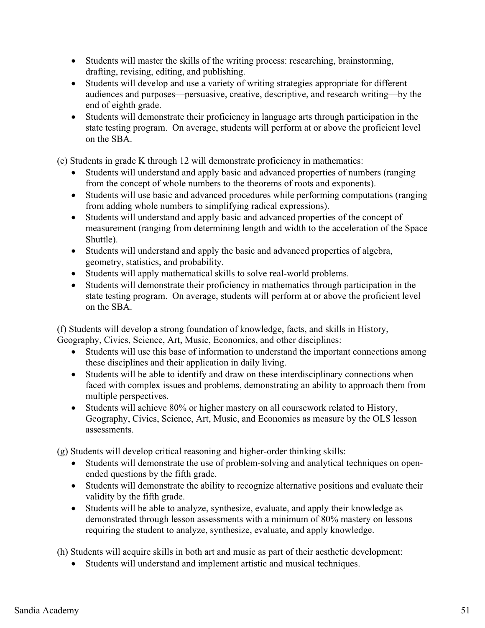- Students will master the skills of the writing process: researching, brainstorming, drafting, revising, editing, and publishing.
- Students will develop and use a variety of writing strategies appropriate for different audiences and purposes—persuasive, creative, descriptive, and research writing—by the end of eighth grade.
- Students will demonstrate their proficiency in language arts through participation in the state testing program. On average, students will perform at or above the proficient level on the SBA.

(e) Students in grade K through 12 will demonstrate proficiency in mathematics:

- Students will understand and apply basic and advanced properties of numbers (ranging from the concept of whole numbers to the theorems of roots and exponents).
- Students will use basic and advanced procedures while performing computations (ranging from adding whole numbers to simplifying radical expressions).
- Students will understand and apply basic and advanced properties of the concept of measurement (ranging from determining length and width to the acceleration of the Space Shuttle).
- Students will understand and apply the basic and advanced properties of algebra, geometry, statistics, and probability.
- Students will apply mathematical skills to solve real-world problems.
- Students will demonstrate their proficiency in mathematics through participation in the state testing program. On average, students will perform at or above the proficient level on the SBA.

(f) Students will develop a strong foundation of knowledge, facts, and skills in History, Geography, Civics, Science, Art, Music, Economics, and other disciplines:

- Students will use this base of information to understand the important connections among these disciplines and their application in daily living.
- Students will be able to identify and draw on these interdisciplinary connections when faced with complex issues and problems, demonstrating an ability to approach them from multiple perspectives.
- Students will achieve 80% or higher mastery on all coursework related to History, Geography, Civics, Science, Art, Music, and Economics as measure by the OLS lesson assessments.

(g) Students will develop critical reasoning and higher-order thinking skills:

- Students will demonstrate the use of problem-solving and analytical techniques on openended questions by the fifth grade.
- Students will demonstrate the ability to recognize alternative positions and evaluate their validity by the fifth grade.
- Students will be able to analyze, synthesize, evaluate, and apply their knowledge as demonstrated through lesson assessments with a minimum of 80% mastery on lessons requiring the student to analyze, synthesize, evaluate, and apply knowledge.

(h) Students will acquire skills in both art and music as part of their aesthetic development:

- Students will understand and implement artistic and musical techniques.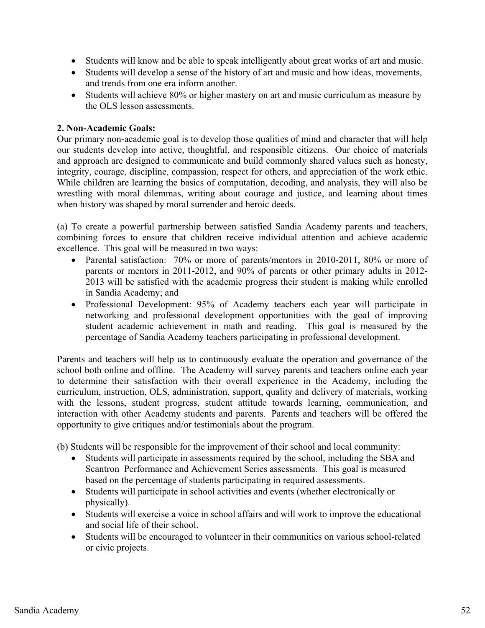- Students will know and be able to speak intelligently about great works of art and music.
- Students will develop a sense of the history of art and music and how ideas, movements, and trends from one era inform another.
- Students will achieve 80% or higher mastery on art and music curriculum as measure by the OLS lesson assessments.

# **2. Non-Academic Goals:**

Our primary non-academic goal is to develop those qualities of mind and character that will help our students develop into active, thoughtful, and responsible citizens. Our choice of materials and approach are designed to communicate and build commonly shared values such as honesty, integrity, courage, discipline, compassion, respect for others, and appreciation of the work ethic. While children are learning the basics of computation, decoding, and analysis, they will also be wrestling with moral dilemmas, writing about courage and justice, and learning about times when history was shaped by moral surrender and heroic deeds.

(a) To create a powerful partnership between satisfied Sandia Academy parents and teachers, combining forces to ensure that children receive individual attention and achieve academic excellence. This goal will be measured in two ways:

- Parental satisfaction: 70% or more of parents/mentors in 2010-2011, 80% or more of parents or mentors in 2011-2012, and 90% of parents or other primary adults in 2012- 2013 will be satisfied with the academic progress their student is making while enrolled in Sandia Academy; and
- Professional Development: 95% of Academy teachers each year will participate in networking and professional development opportunities with the goal of improving student academic achievement in math and reading. This goal is measured by the percentage of Sandia Academy teachers participating in professional development.

Parents and teachers will help us to continuously evaluate the operation and governance of the school both online and offline. The Academy will survey parents and teachers online each year to determine their satisfaction with their overall experience in the Academy, including the curriculum, instruction, OLS, administration, support, quality and delivery of materials, working with the lessons, student progress, student attitude towards learning, communication, and interaction with other Academy students and parents. Parents and teachers will be offered the opportunity to give critiques and/or testimonials about the program.

(b) Students will be responsible for the improvement of their school and local community:

- - Students will participate in assessments required by the school, including the SBA and Scantron Performance and Achievement Series assessments. This goal is measured based on the percentage of students participating in required assessments.
- Students will participate in school activities and events (whether electronically or physically).
- Students will exercise a voice in school affairs and will work to improve the educational and social life of their school.
- Students will be encouraged to volunteer in their communities on various school-related or civic projects.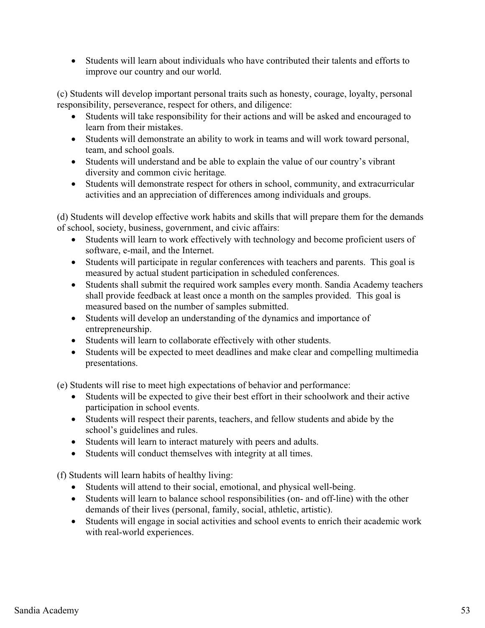- Students will learn about individuals who have contributed their talents and efforts to improve our country and our world.

(c) Students will develop important personal traits such as honesty, courage, loyalty, personal responsibility, perseverance, respect for others, and diligence:

- Students will take responsibility for their actions and will be asked and encouraged to learn from their mistakes.
- Students will demonstrate an ability to work in teams and will work toward personal, team, and school goals.
- Students will understand and be able to explain the value of our country's vibrant diversity and common civic heritage*.*
- Students will demonstrate respect for others in school, community, and extracurricular activities and an appreciation of differences among individuals and groups.

(d) Students will develop effective work habits and skills that will prepare them for the demands of school, society, business, government, and civic affairs:

- Students will learn to work effectively with technology and become proficient users of software, e-mail, and the Internet.
- Students will participate in regular conferences with teachers and parents. This goal is measured by actual student participation in scheduled conferences.
- Students shall submit the required work samples every month. Sandia Academy teachers shall provide feedback at least once a month on the samples provided. This goal is measured based on the number of samples submitted.
- Students will develop an understanding of the dynamics and importance of entrepreneurship.
- Students will learn to collaborate effectively with other students.
- Students will be expected to meet deadlines and make clear and compelling multimedia presentations.

(e) Students will rise to meet high expectations of behavior and performance:

- Students will be expected to give their best effort in their schoolwork and their active participation in school events.
- Students will respect their parents, teachers, and fellow students and abide by the school's guidelines and rules.
- Students will learn to interact maturely with peers and adults.
- Students will conduct themselves with integrity at all times.

(f) Students will learn habits of healthy living:

- Students will attend to their social, emotional, and physical well-being.
- Students will learn to balance school responsibilities (on- and off-line) with the other demands of their lives (personal, family, social, athletic, artistic).
- Students will engage in social activities and school events to enrich their academic work with real-world experiences.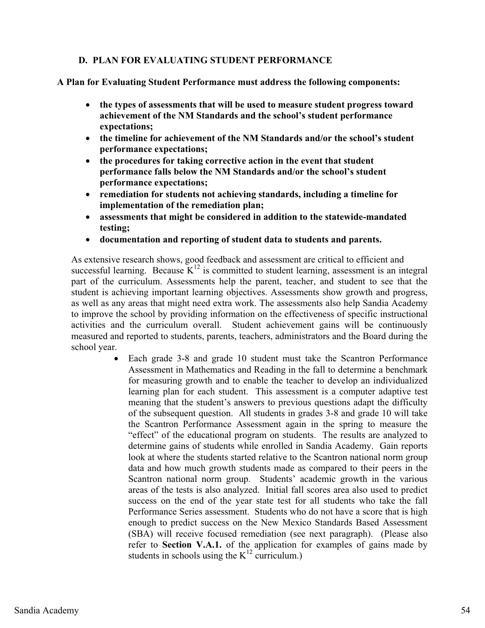# **D. PLAN FOR EVALUATING STUDENT PERFORMANCE**

**A Plan for Evaluating Student Performance must address the following components:** 

- **the types of assessments that will be used to measure student progress toward achievement of the NM Standards and the school's student performance expectations;**
- **the timeline for achievement of the NM Standards and/or the school's student performance expectations;**
- **the procedures for taking corrective action in the event that student performance falls below the NM Standards and/or the school's student performance expectations;**
- **remediation for students not achieving standards, including a timeline for implementation of the remediation plan;**
- $\bullet$  **assessments that might be considered in addition to the statewide-mandated testing;**
- $\bullet$ **documentation and reporting of student data to students and parents.**

As extensive research shows, good feedback and assessment are critical to efficient and successful learning. Because  $K^{12}$  is committed to student learning, assessment is an integral part of the curriculum. Assessments help the parent, teacher, and student to see that the student is achieving important learning objectives. Assessments show growth and progress, as well as any areas that might need extra work. The assessments also help Sandia Academy to improve the school by providing information on the effectiveness of specific instructional activities and the curriculum overall. Student achievement gains will be continuously measured and reported to students, parents, teachers, administrators and the Board during the school year.

 $\bullet$  Each grade 3-8 and grade 10 student must take the Scantron Performance Assessment in Mathematics and Reading in the fall to determine a benchmark for measuring growth and to enable the teacher to develop an individualized learning plan for each student. This assessment is a computer adaptive test meaning that the student's answers to previous questions adapt the difficulty of the subsequent question. All students in grades 3-8 and grade 10 will take the Scantron Performance Assessment again in the spring to measure the "effect" of the educational program on students. The results are analyzed to determine gains of students while enrolled in Sandia Academy. Gain reports look at where the students started relative to the Scantron national norm group data and how much growth students made as compared to their peers in the Scantron national norm group. Students' academic growth in the various areas of the tests is also analyzed. Initial fall scores area also used to predict success on the end of the year state test for all students who take the fall Performance Series assessment. Students who do not have a score that is high enough to predict success on the New Mexico Standards Based Assessment (SBA) will receive focused remediation (see next paragraph). (Please also refer to **Section V.A.1.** of the application for examples of gains made by students in schools using the  $K^{12}$  curriculum.)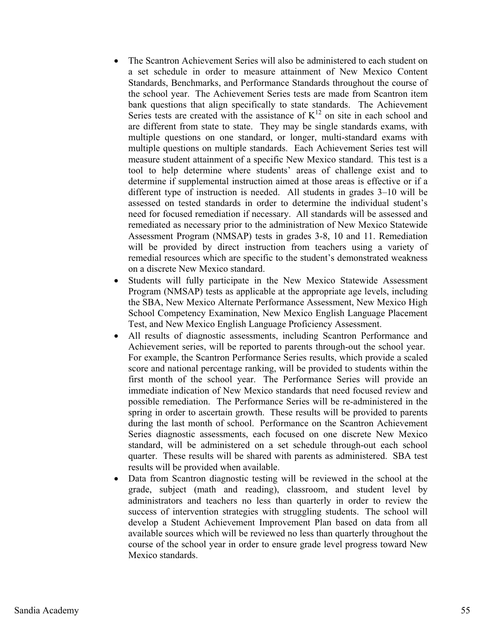- - The Scantron Achievement Series will also be administered to each student on a set schedule in order to measure attainment of New Mexico Content Standards, Benchmarks, and Performance Standards throughout the course of the school year. The Achievement Series tests are made from Scantron item bank questions that align specifically to state standards. The Achievement Series tests are created with the assistance of  $K^{12}$  on site in each school and are different from state to state. They may be single standards exams, with multiple questions on one standard, or longer, multi-standard exams with multiple questions on multiple standards. Each Achievement Series test will measure student attainment of a specific New Mexico standard. This test is a tool to help determine where students' areas of challenge exist and to determine if supplemental instruction aimed at those areas is effective or if a different type of instruction is needed. All students in grades 3–10 will be assessed on tested standards in order to determine the individual student's need for focused remediation if necessary. All standards will be assessed and remediated as necessary prior to the administration of New Mexico Statewide Assessment Program (NMSAP) tests in grades 3-8, 10 and 11. Remediation will be provided by direct instruction from teachers using a variety of remedial resources which are specific to the student's demonstrated weakness on a discrete New Mexico standard.
- $\bullet$  Students will fully participate in the New Mexico Statewide Assessment Program (NMSAP) tests as applicable at the appropriate age levels, including the SBA, New Mexico Alternate Performance Assessment, New Mexico High School Competency Examination, New Mexico English Language Placement Test, and New Mexico English Language Proficiency Assessment.
- $\bullet$  All results of diagnostic assessments, including Scantron Performance and Achievement series, will be reported to parents through-out the school year. For example, the Scantron Performance Series results, which provide a scaled score and national percentage ranking, will be provided to students within the first month of the school year. The Performance Series will provide an immediate indication of New Mexico standards that need focused review and possible remediation. The Performance Series will be re-administered in the spring in order to ascertain growth. These results will be provided to parents during the last month of school. Performance on the Scantron Achievement Series diagnostic assessments, each focused on one discrete New Mexico standard, will be administered on a set schedule through-out each school quarter. These results will be shared with parents as administered. SBA test results will be provided when available.
- $\bullet$  Data from Scantron diagnostic testing will be reviewed in the school at the grade, subject (math and reading), classroom, and student level by administrators and teachers no less than quarterly in order to review the success of intervention strategies with struggling students. The school will develop a Student Achievement Improvement Plan based on data from all available sources which will be reviewed no less than quarterly throughout the course of the school year in order to ensure grade level progress toward New Mexico standards.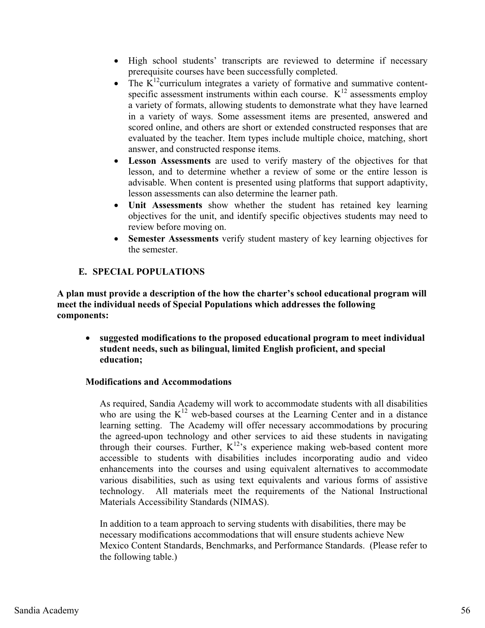- High school students' transcripts are reviewed to determine if necessary prerequisite courses have been successfully completed.
- $\bullet$ The  $K^{12}$ curriculum integrates a variety of formative and summative contentspecific assessment instruments within each course.  $K^{12}$  assessments employ a variety of formats, allowing students to demonstrate what they have learned in a variety of ways. Some assessment items are presented, answered and scored online, and others are short or extended constructed responses that are evaluated by the teacher. Item types include multiple choice, matching, short answer, and constructed response items.
- $\bullet$  **Lesson Assessments** are used to verify mastery of the objectives for that lesson, and to determine whether a review of some or the entire lesson is advisable. When content is presented using platforms that support adaptivity, lesson assessments can also determine the learner path.
- $\bullet$  **Unit Assessments** show whether the student has retained key learning objectives for the unit, and identify specific objectives students may need to review before moving on.
- $\bullet$  **Semester Assessments** verify student mastery of key learning objectives for the semester.

# **E. SPECIAL POPULATIONS**

**A plan must provide a description of the how the charter's school educational program will meet the individual needs of Special Populations which addresses the following components:** 

- **suggested modifications to the proposed educational program to meet individual student needs, such as bilingual, limited English proficient, and special education;**

## **Modifications and Accommodations**

As required, Sandia Academy will work to accommodate students with all disabilities who are using the  $K^{12}$  web-based courses at the Learning Center and in a distance learning setting. The Academy will offer necessary accommodations by procuring the agreed-upon technology and other services to aid these students in navigating through their courses. Further,  $K^{12}$ 's experience making web-based content more accessible to students with disabilities includes incorporating audio and video enhancements into the courses and using equivalent alternatives to accommodate various disabilities, such as using text equivalents and various forms of assistive technology. All materials meet the requirements of the National Instructional Materials Accessibility Standards (NIMAS).

In addition to a team approach to serving students with disabilities, there may be necessary modifications accommodations that will ensure students achieve New Mexico Content Standards, Benchmarks, and Performance Standards. (Please refer to the following table.)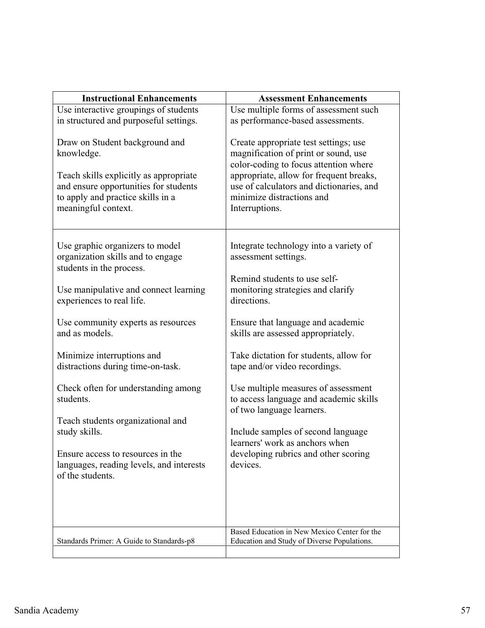| <b>Instructional Enhancements</b>                                                                                                                                                                                                                                                                                                                                                                                                                                                                                | <b>Assessment Enhancements</b>                                                                                                                                                                                                                                                                                                                                                                                                                                                                                                                     |
|------------------------------------------------------------------------------------------------------------------------------------------------------------------------------------------------------------------------------------------------------------------------------------------------------------------------------------------------------------------------------------------------------------------------------------------------------------------------------------------------------------------|----------------------------------------------------------------------------------------------------------------------------------------------------------------------------------------------------------------------------------------------------------------------------------------------------------------------------------------------------------------------------------------------------------------------------------------------------------------------------------------------------------------------------------------------------|
| Use interactive groupings of students<br>in structured and purposeful settings.                                                                                                                                                                                                                                                                                                                                                                                                                                  | Use multiple forms of assessment such<br>as performance-based assessments.                                                                                                                                                                                                                                                                                                                                                                                                                                                                         |
| Draw on Student background and<br>knowledge.<br>Teach skills explicitly as appropriate<br>and ensure opportunities for students<br>to apply and practice skills in a<br>meaningful context.                                                                                                                                                                                                                                                                                                                      | Create appropriate test settings; use<br>magnification of print or sound, use<br>color-coding to focus attention where<br>appropriate, allow for frequent breaks,<br>use of calculators and dictionaries, and<br>minimize distractions and<br>Interruptions.                                                                                                                                                                                                                                                                                       |
| Use graphic organizers to model<br>organization skills and to engage<br>students in the process.<br>Use manipulative and connect learning<br>experiences to real life.<br>Use community experts as resources<br>and as models.<br>Minimize interruptions and<br>distractions during time-on-task.<br>Check often for understanding among<br>students.<br>Teach students organizational and<br>study skills.<br>Ensure access to resources in the<br>languages, reading levels, and interests<br>of the students. | Integrate technology into a variety of<br>assessment settings.<br>Remind students to use self-<br>monitoring strategies and clarify<br>directions.<br>Ensure that language and academic<br>skills are assessed appropriately.<br>Take dictation for students, allow for<br>tape and/or video recordings.<br>Use multiple measures of assessment<br>to access language and academic skills<br>of two language learners.<br>Include samples of second language<br>learners' work as anchors when<br>developing rubrics and other scoring<br>devices. |
| Standards Primer: A Guide to Standards-p8                                                                                                                                                                                                                                                                                                                                                                                                                                                                        | Based Education in New Mexico Center for the<br>Education and Study of Diverse Populations.                                                                                                                                                                                                                                                                                                                                                                                                                                                        |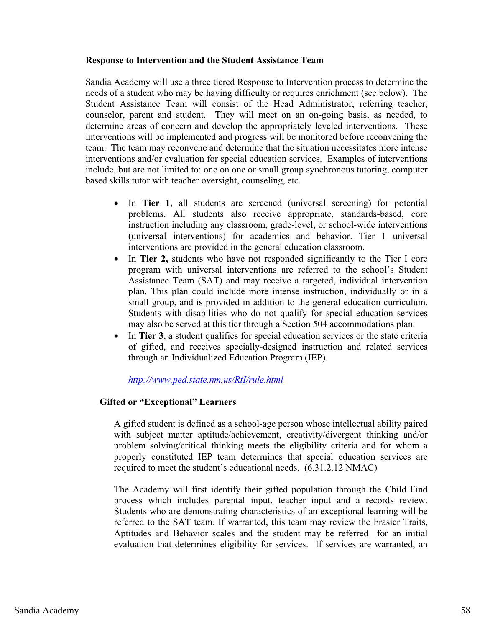#### **Response to Intervention and the Student Assistance Team**

Sandia Academy will use a three tiered Response to Intervention process to determine the needs of a student who may be having difficulty or requires enrichment (see below). The Student Assistance Team will consist of the Head Administrator, referring teacher, counselor, parent and student. They will meet on an on-going basis, as needed, to determine areas of concern and develop the appropriately leveled interventions. These interventions will be implemented and progress will be monitored before reconvening the team. The team may reconvene and determine that the situation necessitates more intense interventions and/or evaluation for special education services. Examples of interventions include, but are not limited to: one on one or small group synchronous tutoring, computer based skills tutor with teacher oversight, counseling, etc.

- In **Tier 1,** all students are screened (universal screening) for potential problems. All students also receive appropriate, standards-based, core instruction including any classroom, grade-level, or school-wide interventions (universal interventions) for academics and behavior. Tier 1 universal interventions are provided in the general education classroom.
- In **Tier 2,** students who have not responded significantly to the Tier I core program with universal interventions are referred to the school's Student Assistance Team (SAT) and may receive a targeted, individual intervention plan. This plan could include more intense instruction, individually or in a small group, and is provided in addition to the general education curriculum. Students with disabilities who do not qualify for special education services may also be served at this tier through a Section 504 accommodations plan.
- $\bullet$  In **Tier 3**, a student qualifies for special education services or the state criteria of gifted, and receives specially-designed instruction and related services through an Individualized Education Program (IEP).

## *http://www.ped.state.nm.us/RtI/rule.html*

## **Gifted or "Exceptional" Learners**

A gifted student is defined as a school-age person whose intellectual ability paired with subject matter aptitude/achievement, creativity/divergent thinking and/or problem solving/critical thinking meets the eligibility criteria and for whom a properly constituted IEP team determines that special education services are required to meet the student's educational needs. (6.31.2.12 NMAC)

The Academy will first identify their gifted population through the Child Find process which includes parental input, teacher input and a records review. Students who are demonstrating characteristics of an exceptional learning will be referred to the SAT team. If warranted, this team may review the Frasier Traits, Aptitudes and Behavior scales and the student may be referred for an initial evaluation that determines eligibility for services. If services are warranted, an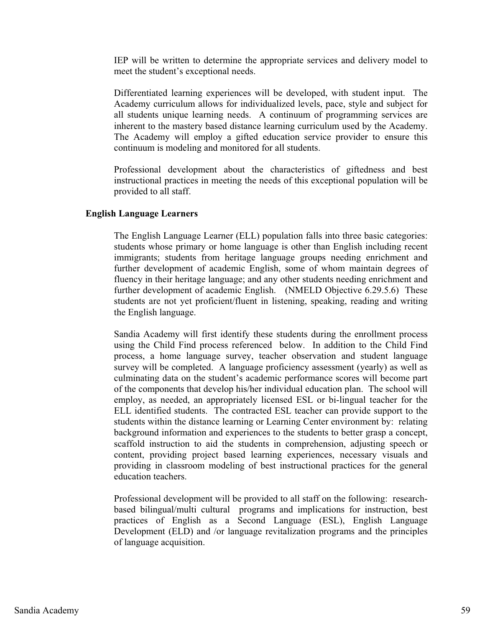IEP will be written to determine the appropriate services and delivery model to meet the student's exceptional needs.

Differentiated learning experiences will be developed, with student input. The Academy curriculum allows for individualized levels, pace, style and subject for all students unique learning needs. A continuum of programming services are inherent to the mastery based distance learning curriculum used by the Academy. The Academy will employ a gifted education service provider to ensure this continuum is modeling and monitored for all students.

Professional development about the characteristics of giftedness and best instructional practices in meeting the needs of this exceptional population will be provided to all staff.

#### **English Language Learners**

The English Language Learner (ELL) population falls into three basic categories: students whose primary or home language is other than English including recent immigrants; students from heritage language groups needing enrichment and further development of academic English, some of whom maintain degrees of fluency in their heritage language; and any other students needing enrichment and further development of academic English. (NMELD Objective 6.29.5.6) These students are not yet proficient/fluent in listening, speaking, reading and writing the English language.

Sandia Academy will first identify these students during the enrollment process using the Child Find process referenced below. In addition to the Child Find process, a home language survey, teacher observation and student language survey will be completed. A language proficiency assessment (yearly) as well as culminating data on the student's academic performance scores will become part of the components that develop his/her individual education plan. The school will employ, as needed, an appropriately licensed ESL or bi-lingual teacher for the ELL identified students. The contracted ESL teacher can provide support to the students within the distance learning or Learning Center environment by: relating background information and experiences to the students to better grasp a concept, scaffold instruction to aid the students in comprehension, adjusting speech or content, providing project based learning experiences, necessary visuals and providing in classroom modeling of best instructional practices for the general education teachers.

Professional development will be provided to all staff on the following: researchbased bilingual/multi cultural programs and implications for instruction, best practices of English as a Second Language (ESL), English Language Development (ELD) and /or language revitalization programs and the principles of language acquisition.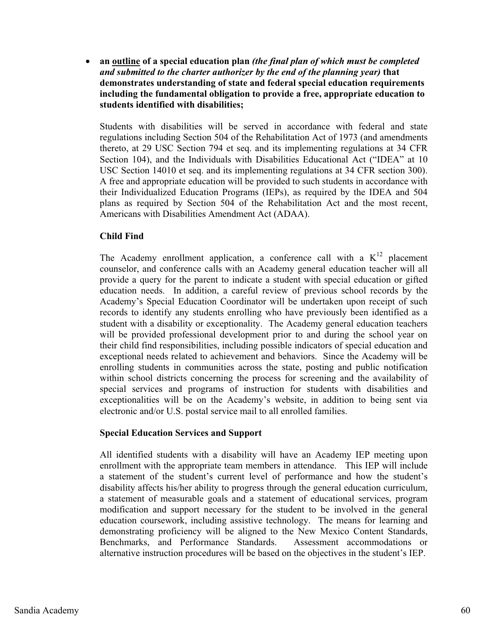$\bullet$  **an outline of a special education plan** *(the final plan of which must be completed and submitted to the charter authorizer by the end of the planning year)* **that demonstrates understanding of state and federal special education requirements including the fundamental obligation to provide a free, appropriate education to students identified with disabilities;** 

Students with disabilities will be served in accordance with federal and state regulations including Section 504 of the Rehabilitation Act of 1973 (and amendments thereto, at 29 USC Section 794 et seq. and its implementing regulations at 34 CFR Section 104), and the Individuals with Disabilities Educational Act ("IDEA" at 10 USC Section 14010 et seq. and its implementing regulations at 34 CFR section 300). A free and appropriate education will be provided to such students in accordance with their Individualized Education Programs (IEPs), as required by the IDEA and 504 plans as required by Section 504 of the Rehabilitation Act and the most recent, Americans with Disabilities Amendment Act (ADAA).

# **Child Find**

The Academy enrollment application, a conference call with a  $K^{12}$  placement counselor, and conference calls with an Academy general education teacher will all provide a query for the parent to indicate a student with special education or gifted education needs. In addition, a careful review of previous school records by the Academy's Special Education Coordinator will be undertaken upon receipt of such records to identify any students enrolling who have previously been identified as a student with a disability or exceptionality. The Academy general education teachers will be provided professional development prior to and during the school year on their child find responsibilities, including possible indicators of special education and exceptional needs related to achievement and behaviors. Since the Academy will be enrolling students in communities across the state, posting and public notification within school districts concerning the process for screening and the availability of special services and programs of instruction for students with disabilities and exceptionalities will be on the Academy's website, in addition to being sent via electronic and/or U.S. postal service mail to all enrolled families.

## **Special Education Services and Support**

All identified students with a disability will have an Academy IEP meeting upon enrollment with the appropriate team members in attendance. This IEP will include a statement of the student's current level of performance and how the student's disability affects his/her ability to progress through the general education curriculum, a statement of measurable goals and a statement of educational services, program modification and support necessary for the student to be involved in the general education coursework, including assistive technology. The means for learning and demonstrating proficiency will be aligned to the New Mexico Content Standards, Benchmarks, and Performance Standards. Assessment accommodations or alternative instruction procedures will be based on the objectives in the student's IEP.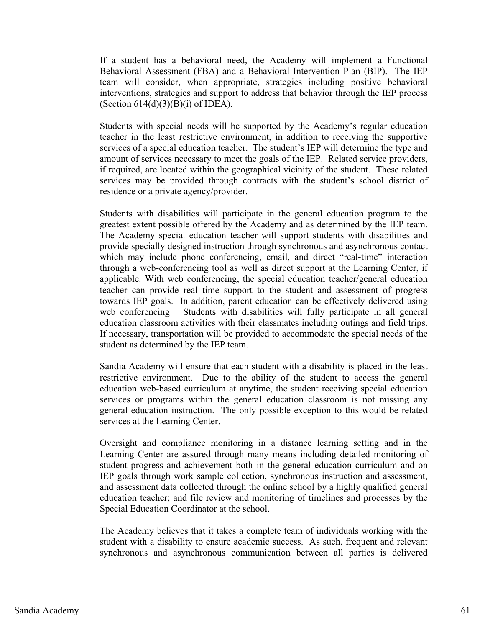If a student has a behavioral need, the Academy will implement a Functional Behavioral Assessment (FBA) and a Behavioral Intervention Plan (BIP). The IEP team will consider, when appropriate, strategies including positive behavioral interventions, strategies and support to address that behavior through the IEP process (Section  $614(d)(3)(B)(i)$  of IDEA).

Students with special needs will be supported by the Academy's regular education teacher in the least restrictive environment, in addition to receiving the supportive services of a special education teacher. The student's IEP will determine the type and amount of services necessary to meet the goals of the IEP. Related service providers, if required, are located within the geographical vicinity of the student. These related services may be provided through contracts with the student's school district of residence or a private agency/provider.

Students with disabilities will participate in the general education program to the greatest extent possible offered by the Academy and as determined by the IEP team. The Academy special education teacher will support students with disabilities and provide specially designed instruction through synchronous and asynchronous contact which may include phone conferencing, email, and direct "real-time" interaction through a web-conferencing tool as well as direct support at the Learning Center, if applicable. With web conferencing, the special education teacher/general education teacher can provide real time support to the student and assessment of progress towards IEP goals. In addition, parent education can be effectively delivered using web conferencing Students with disabilities will fully participate in all general education classroom activities with their classmates including outings and field trips. If necessary, transportation will be provided to accommodate the special needs of the student as determined by the IEP team.

Sandia Academy will ensure that each student with a disability is placed in the least restrictive environment. Due to the ability of the student to access the general education web-based curriculum at anytime, the student receiving special education services or programs within the general education classroom is not missing any general education instruction. The only possible exception to this would be related services at the Learning Center.

Oversight and compliance monitoring in a distance learning setting and in the Learning Center are assured through many means including detailed monitoring of student progress and achievement both in the general education curriculum and on IEP goals through work sample collection, synchronous instruction and assessment, and assessment data collected through the online school by a highly qualified general education teacher; and file review and monitoring of timelines and processes by the Special Education Coordinator at the school.

The Academy believes that it takes a complete team of individuals working with the student with a disability to ensure academic success. As such, frequent and relevant synchronous and asynchronous communication between all parties is delivered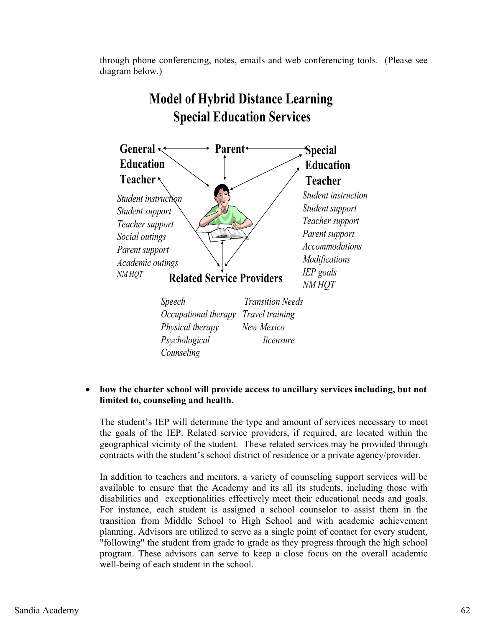through phone conferencing, notes, emails and web conferencing tools. (Please see diagram below.)



# **Model of Hybrid Distance Learning Special Education Services**

#### $\bullet$  **how the charter school will provide access to ancillary services including, but not limited to, counseling and health.**

The student's IEP will determine the type and amount of services necessary to meet the goals of the IEP. Related service providers, if required, are located within the geographical vicinity of the student. These related services may be provided through contracts with the student's school district of residence or a private agency/provider.

In addition to teachers and mentors, a variety of counseling support services will be available to ensure that the Academy and its all its students, including those with disabilities and exceptionalities effectively meet their educational needs and goals. For instance, each student is assigned a school counselor to assist them in the transition from Middle School to High School and with academic achievement planning. Advisors are utilized to serve as a single point of contact for every student, "following" the student from grade to grade as they progress through the high school program. These advisors can serve to keep a close focus on the overall academic well-being of each student in the school.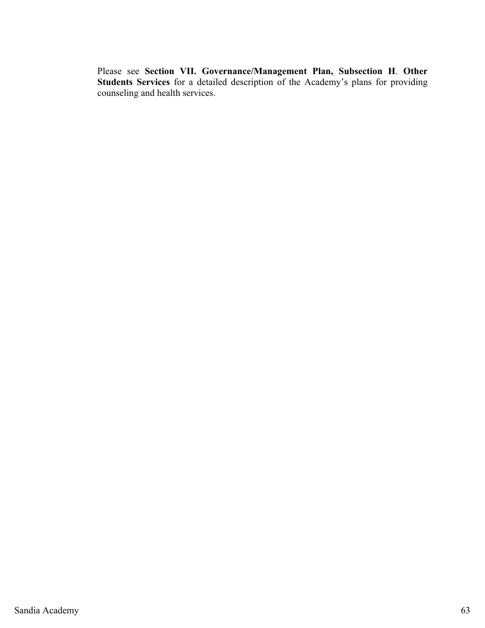Please see **Section VII. Governance/Management Plan, Subsection H**. **Other Students Services** for a detailed description of the Academy's plans for providing counseling and health services.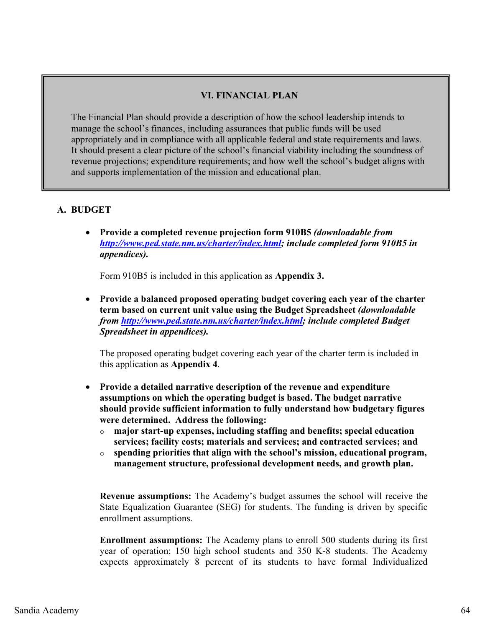# **VI. FINANCIAL PLAN**

The Financial Plan should provide a description of how the school leadership intends to manage the school's finances, including assurances that public funds will be used appropriately and in compliance with all applicable federal and state requirements and laws. It should present a clear picture of the school's financial viability including the soundness of revenue projections; expenditure requirements; and how well the school's budget aligns with and supports implementation of the mission and educational plan.

# **A. BUDGET**

 $\bullet$  **Provide a completed revenue projection form 910B5** *(downloadable from http://www.ped.state.nm.us/charter/index.html; include completed form 910B5 in appendices).*

Form 910B5 is included in this application as **Appendix 3.**

- **Provide a balanced proposed operating budget covering each year of the charter term based on current unit value using the Budget Spreadsheet** *(downloadable from http://www.ped.state.nm.us/charter/index.html; include completed Budget Spreadsheet in appendices).* 

The proposed operating budget covering each year of the charter term is included in this application as **Appendix 4**.

- $\bullet$  **Provide a detailed narrative description of the revenue and expenditure assumptions on which the operating budget is based. The budget narrative should provide sufficient information to fully understand how budgetary figures were determined. Address the following:** 
	- o **major start-up expenses, including staffing and benefits; special education services; facility costs; materials and services; and contracted services; and**
	- o **spending priorities that align with the school's mission, educational program, management structure, professional development needs, and growth plan.**

**Revenue assumptions:** The Academy's budget assumes the school will receive the State Equalization Guarantee (SEG) for students. The funding is driven by specific enrollment assumptions.

**Enrollment assumptions:** The Academy plans to enroll 500 students during its first year of operation; 150 high school students and 350 K-8 students. The Academy expects approximately 8 percent of its students to have formal Individualized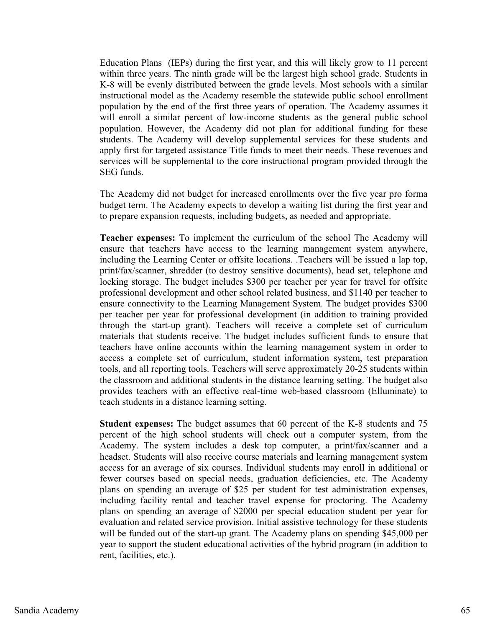Education Plans (IEPs) during the first year, and this will likely grow to 11 percent within three years. The ninth grade will be the largest high school grade. Students in K-8 will be evenly distributed between the grade levels. Most schools with a similar instructional model as the Academy resemble the statewide public school enrollment population by the end of the first three years of operation. The Academy assumes it will enroll a similar percent of low-income students as the general public school population. However, the Academy did not plan for additional funding for these students. The Academy will develop supplemental services for these students and apply first for targeted assistance Title funds to meet their needs. These revenues and services will be supplemental to the core instructional program provided through the SEG funds.

The Academy did not budget for increased enrollments over the five year pro forma budget term. The Academy expects to develop a waiting list during the first year and to prepare expansion requests, including budgets, as needed and appropriate.

**Teacher expenses:** To implement the curriculum of the school The Academy will ensure that teachers have access to the learning management system anywhere, including the Learning Center or offsite locations. .Teachers will be issued a lap top, print/fax/scanner, shredder (to destroy sensitive documents), head set, telephone and locking storage. The budget includes \$300 per teacher per year for travel for offsite professional development and other school related business, and \$1140 per teacher to ensure connectivity to the Learning Management System. The budget provides \$300 per teacher per year for professional development (in addition to training provided through the start-up grant). Teachers will receive a complete set of curriculum materials that students receive. The budget includes sufficient funds to ensure that teachers have online accounts within the learning management system in order to access a complete set of curriculum, student information system, test preparation tools, and all reporting tools. Teachers will serve approximately 20-25 students within the classroom and additional students in the distance learning setting. The budget also provides teachers with an effective real-time web-based classroom (Elluminate) to teach students in a distance learning setting.

**Student expenses:** The budget assumes that 60 percent of the K-8 students and 75 percent of the high school students will check out a computer system, from the Academy. The system includes a desk top computer, a print/fax/scanner and a headset. Students will also receive course materials and learning management system access for an average of six courses. Individual students may enroll in additional or fewer courses based on special needs, graduation deficiencies, etc. The Academy plans on spending an average of \$25 per student for test administration expenses, including facility rental and teacher travel expense for proctoring. The Academy plans on spending an average of \$2000 per special education student per year for evaluation and related service provision. Initial assistive technology for these students will be funded out of the start-up grant. The Academy plans on spending \$45,000 per year to support the student educational activities of the hybrid program (in addition to rent, facilities, etc.).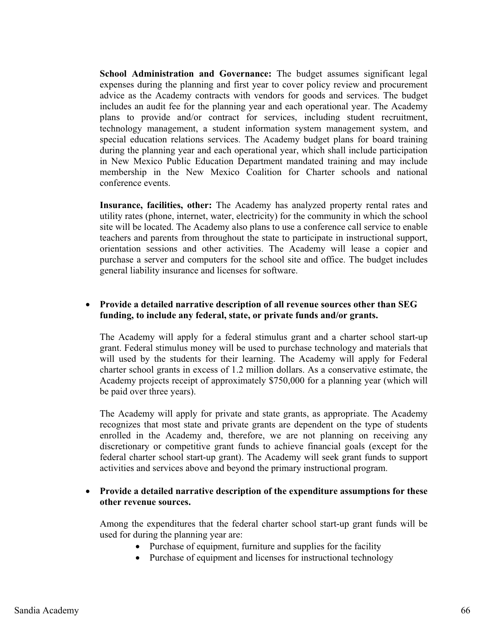**School Administration and Governance:** The budget assumes significant legal expenses during the planning and first year to cover policy review and procurement advice as the Academy contracts with vendors for goods and services. The budget includes an audit fee for the planning year and each operational year. The Academy plans to provide and/or contract for services, including student recruitment, technology management, a student information system management system, and special education relations services. The Academy budget plans for board training during the planning year and each operational year, which shall include participation in New Mexico Public Education Department mandated training and may include membership in the New Mexico Coalition for Charter schools and national conference events.

**Insurance, facilities, other:** The Academy has analyzed property rental rates and utility rates (phone, internet, water, electricity) for the community in which the school site will be located. The Academy also plans to use a conference call service to enable teachers and parents from throughout the state to participate in instructional support, orientation sessions and other activities. The Academy will lease a copier and purchase a server and computers for the school site and office. The budget includes general liability insurance and licenses for software.

# - **Provide a detailed narrative description of all revenue sources other than SEG funding, to include any federal, state, or private funds and/or grants.**

The Academy will apply for a federal stimulus grant and a charter school start-up grant. Federal stimulus money will be used to purchase technology and materials that will used by the students for their learning. The Academy will apply for Federal charter school grants in excess of 1.2 million dollars. As a conservative estimate, the Academy projects receipt of approximately \$750,000 for a planning year (which will be paid over three years).

The Academy will apply for private and state grants, as appropriate. The Academy recognizes that most state and private grants are dependent on the type of students enrolled in the Academy and, therefore, we are not planning on receiving any discretionary or competitive grant funds to achieve financial goals (except for the federal charter school start-up grant). The Academy will seek grant funds to support activities and services above and beyond the primary instructional program.

# - **Provide a detailed narrative description of the expenditure assumptions for these other revenue sources.**

Among the expenditures that the federal charter school start-up grant funds will be used for during the planning year are:

- Purchase of equipment, furniture and supplies for the facility
- Purchase of equipment and licenses for instructional technology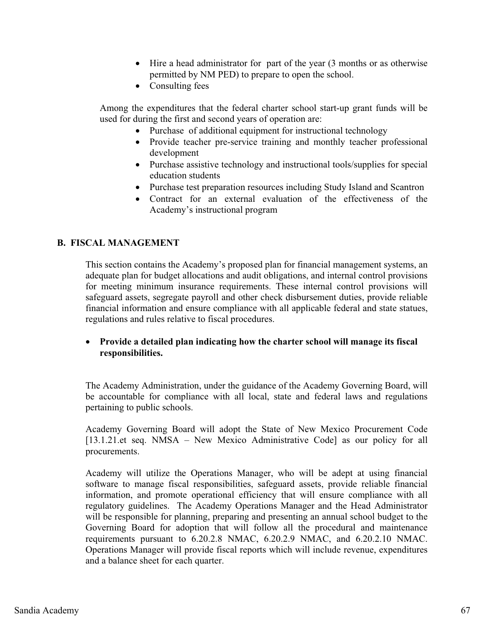- Hire a head administrator for part of the year (3 months or as otherwise permitted by NM PED) to prepare to open the school.
- Consulting fees

Among the expenditures that the federal charter school start-up grant funds will be used for during the first and second years of operation are:

- Purchase of additional equipment for instructional technology
- Provide teacher pre-service training and monthly teacher professional development
- Purchase assistive technology and instructional tools/supplies for special education students
- Purchase test preparation resources including Study Island and Scantron
- Contract for an external evaluation of the effectiveness of the Academy's instructional program

# **B. FISCAL MANAGEMENT**

This section contains the Academy's proposed plan for financial management systems, an adequate plan for budget allocations and audit obligations, and internal control provisions for meeting minimum insurance requirements. These internal control provisions will safeguard assets, segregate payroll and other check disbursement duties, provide reliable financial information and ensure compliance with all applicable federal and state statues, regulations and rules relative to fiscal procedures.

# - **Provide a detailed plan indicating how the charter school will manage its fiscal responsibilities.**

The Academy Administration, under the guidance of the Academy Governing Board, will be accountable for compliance with all local, state and federal laws and regulations pertaining to public schools.

Academy Governing Board will adopt the State of New Mexico Procurement Code [13.1.21.et seq. NMSA – New Mexico Administrative Code] as our policy for all procurements.

Academy will utilize the Operations Manager, who will be adept at using financial software to manage fiscal responsibilities, safeguard assets, provide reliable financial information, and promote operational efficiency that will ensure compliance with all regulatory guidelines. The Academy Operations Manager and the Head Administrator will be responsible for planning, preparing and presenting an annual school budget to the Governing Board for adoption that will follow all the procedural and maintenance requirements pursuant to 6.20.2.8 NMAC, 6.20.2.9 NMAC, and 6.20.2.10 NMAC. Operations Manager will provide fiscal reports which will include revenue, expenditures and a balance sheet for each quarter.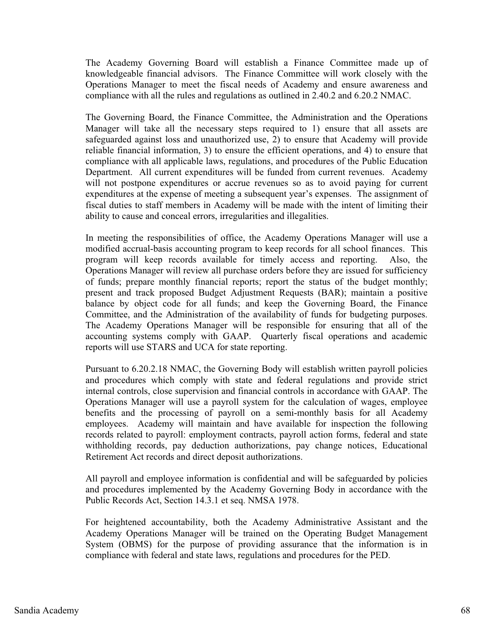The Academy Governing Board will establish a Finance Committee made up of knowledgeable financial advisors. The Finance Committee will work closely with the Operations Manager to meet the fiscal needs of Academy and ensure awareness and compliance with all the rules and regulations as outlined in 2.40.2 and 6.20.2 NMAC.

The Governing Board, the Finance Committee, the Administration and the Operations Manager will take all the necessary steps required to 1) ensure that all assets are safeguarded against loss and unauthorized use, 2) to ensure that Academy will provide reliable financial information, 3) to ensure the efficient operations, and 4) to ensure that compliance with all applicable laws, regulations, and procedures of the Public Education Department. All current expenditures will be funded from current revenues. Academy will not postpone expenditures or accrue revenues so as to avoid paying for current expenditures at the expense of meeting a subsequent year's expenses. The assignment of fiscal duties to staff members in Academy will be made with the intent of limiting their ability to cause and conceal errors, irregularities and illegalities.

In meeting the responsibilities of office, the Academy Operations Manager will use a modified accrual-basis accounting program to keep records for all school finances. This program will keep records available for timely access and reporting. Also, the Operations Manager will review all purchase orders before they are issued for sufficiency of funds; prepare monthly financial reports; report the status of the budget monthly; present and track proposed Budget Adjustment Requests (BAR); maintain a positive balance by object code for all funds; and keep the Governing Board, the Finance Committee, and the Administration of the availability of funds for budgeting purposes. The Academy Operations Manager will be responsible for ensuring that all of the accounting systems comply with GAAP. Quarterly fiscal operations and academic reports will use STARS and UCA for state reporting.

Pursuant to 6.20.2.18 NMAC, the Governing Body will establish written payroll policies and procedures which comply with state and federal regulations and provide strict internal controls, close supervision and financial controls in accordance with GAAP. The Operations Manager will use a payroll system for the calculation of wages, employee benefits and the processing of payroll on a semi-monthly basis for all Academy employees. Academy will maintain and have available for inspection the following records related to payroll: employment contracts, payroll action forms, federal and state withholding records, pay deduction authorizations, pay change notices, Educational Retirement Act records and direct deposit authorizations.

All payroll and employee information is confidential and will be safeguarded by policies and procedures implemented by the Academy Governing Body in accordance with the Public Records Act, Section 14.3.1 et seq. NMSA 1978.

For heightened accountability, both the Academy Administrative Assistant and the Academy Operations Manager will be trained on the Operating Budget Management System (OBMS) for the purpose of providing assurance that the information is in compliance with federal and state laws, regulations and procedures for the PED.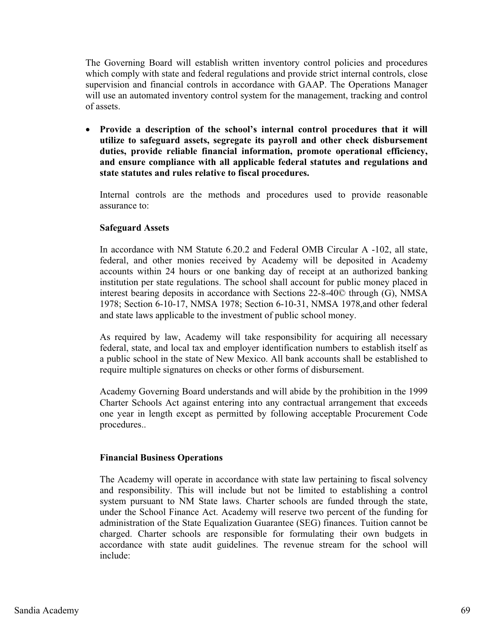The Governing Board will establish written inventory control policies and procedures which comply with state and federal regulations and provide strict internal controls, close supervision and financial controls in accordance with GAAP. The Operations Manager will use an automated inventory control system for the management, tracking and control of assets.

**•** Provide a description of the school's internal control procedures that it will **utilize to safeguard assets, segregate its payroll and other check disbursement duties, provide reliable financial information, promote operational efficiency, and ensure compliance with all applicable federal statutes and regulations and state statutes and rules relative to fiscal procedures.** 

Internal controls are the methods and procedures used to provide reasonable assurance to:

# **Safeguard Assets**

In accordance with NM Statute 6.20.2 and Federal OMB Circular A -102, all state, federal, and other monies received by Academy will be deposited in Academy accounts within 24 hours or one banking day of receipt at an authorized banking institution per state regulations. The school shall account for public money placed in interest bearing deposits in accordance with Sections 22-8-40© through (G), NMSA 1978; Section 6-10-17, NMSA 1978; Section 6-10-31, NMSA 1978,and other federal and state laws applicable to the investment of public school money.

As required by law, Academy will take responsibility for acquiring all necessary federal, state, and local tax and employer identification numbers to establish itself as a public school in the state of New Mexico. All bank accounts shall be established to require multiple signatures on checks or other forms of disbursement.

Academy Governing Board understands and will abide by the prohibition in the 1999 Charter Schools Act against entering into any contractual arrangement that exceeds one year in length except as permitted by following acceptable Procurement Code procedures..

## **Financial Business Operations**

The Academy will operate in accordance with state law pertaining to fiscal solvency and responsibility. This will include but not be limited to establishing a control system pursuant to NM State laws. Charter schools are funded through the state, under the School Finance Act. Academy will reserve two percent of the funding for administration of the State Equalization Guarantee (SEG) finances. Tuition cannot be charged. Charter schools are responsible for formulating their own budgets in accordance with state audit guidelines. The revenue stream for the school will include: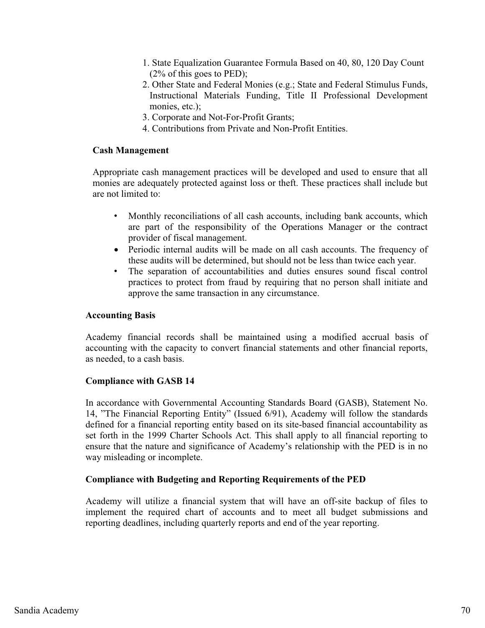- 1. State Equalization Guarantee Formula Based on 40, 80, 120 Day Count (2% of this goes to PED);
- 2. Other State and Federal Monies (e.g.; State and Federal Stimulus Funds, Instructional Materials Funding, Title II Professional Development monies, etc.):
- 3. Corporate and Not-For-Profit Grants;
- 4. Contributions from Private and Non-Profit Entities.

# **Cash Management**

Appropriate cash management practices will be developed and used to ensure that all monies are adequately protected against loss or theft. These practices shall include but are not limited to:

- Monthly reconciliations of all cash accounts, including bank accounts, which are part of the responsibility of the Operations Manager or the contract provider of fiscal management.
- Periodic internal audits will be made on all cash accounts. The frequency of these audits will be determined, but should not be less than twice each year.
- The separation of accountabilities and duties ensures sound fiscal control practices to protect from fraud by requiring that no person shall initiate and approve the same transaction in any circumstance.

# **Accounting Basis**

Academy financial records shall be maintained using a modified accrual basis of accounting with the capacity to convert financial statements and other financial reports, as needed, to a cash basis.

# **Compliance with GASB 14**

In accordance with Governmental Accounting Standards Board (GASB), Statement No. 14, "The Financial Reporting Entity" (Issued 6/91), Academy will follow the standards defined for a financial reporting entity based on its site-based financial accountability as set forth in the 1999 Charter Schools Act. This shall apply to all financial reporting to ensure that the nature and significance of Academy's relationship with the PED is in no way misleading or incomplete.

# **Compliance with Budgeting and Reporting Requirements of the PED**

Academy will utilize a financial system that will have an off-site backup of files to implement the required chart of accounts and to meet all budget submissions and reporting deadlines, including quarterly reports and end of the year reporting.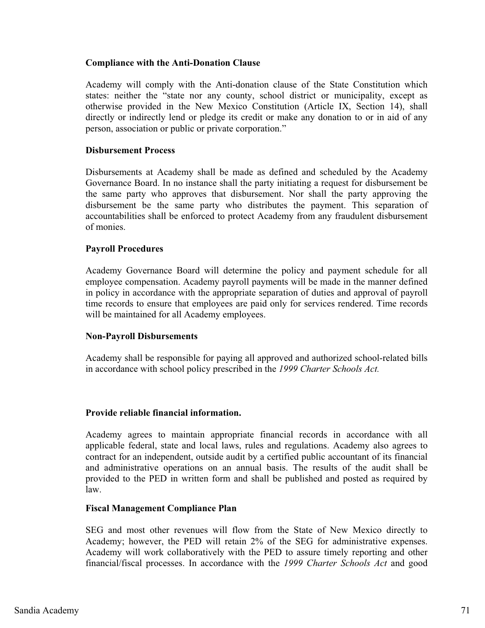# **Compliance with the Anti-Donation Clause**

Academy will comply with the Anti-donation clause of the State Constitution which states: neither the "state nor any county, school district or municipality, except as otherwise provided in the New Mexico Constitution (Article IX, Section 14), shall directly or indirectly lend or pledge its credit or make any donation to or in aid of any person, association or public or private corporation."

#### **Disbursement Process**

Disbursements at Academy shall be made as defined and scheduled by the Academy Governance Board. In no instance shall the party initiating a request for disbursement be the same party who approves that disbursement. Nor shall the party approving the disbursement be the same party who distributes the payment. This separation of accountabilities shall be enforced to protect Academy from any fraudulent disbursement of monies.

#### **Payroll Procedures**

Academy Governance Board will determine the policy and payment schedule for all employee compensation. Academy payroll payments will be made in the manner defined in policy in accordance with the appropriate separation of duties and approval of payroll time records to ensure that employees are paid only for services rendered. Time records will be maintained for all Academy employees.

## **Non-Payroll Disbursements**

Academy shall be responsible for paying all approved and authorized school-related bills in accordance with school policy prescribed in the *1999 Charter Schools Act.* 

#### **Provide reliable financial information.**

Academy agrees to maintain appropriate financial records in accordance with all applicable federal, state and local laws, rules and regulations. Academy also agrees to contract for an independent, outside audit by a certified public accountant of its financial and administrative operations on an annual basis. The results of the audit shall be provided to the PED in written form and shall be published and posted as required by law.

#### **Fiscal Management Compliance Plan**

SEG and most other revenues will flow from the State of New Mexico directly to Academy; however, the PED will retain 2% of the SEG for administrative expenses. Academy will work collaboratively with the PED to assure timely reporting and other financial/fiscal processes. In accordance with the *1999 Charter Schools Act* and good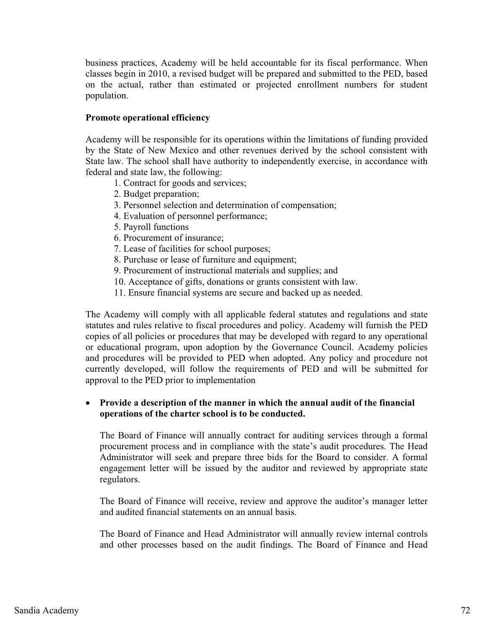business practices, Academy will be held accountable for its fiscal performance. When classes begin in 2010, a revised budget will be prepared and submitted to the PED, based on the actual, rather than estimated or projected enrollment numbers for student population.

### **Promote operational efficiency**

Academy will be responsible for its operations within the limitations of funding provided by the State of New Mexico and other revenues derived by the school consistent with State law. The school shall have authority to independently exercise, in accordance with federal and state law, the following:

- 1. Contract for goods and services;
- 2. Budget preparation;
- 3. Personnel selection and determination of compensation;
- 4. Evaluation of personnel performance;
- 5. Payroll functions
- 6. Procurement of insurance;
- 7. Lease of facilities for school purposes;
- 8. Purchase or lease of furniture and equipment;
- 9. Procurement of instructional materials and supplies; and
- 10. Acceptance of gifts, donations or grants consistent with law.
- 11. Ensure financial systems are secure and backed up as needed.

The Academy will comply with all applicable federal statutes and regulations and state statutes and rules relative to fiscal procedures and policy. Academy will furnish the PED copies of all policies or procedures that may be developed with regard to any operational or educational program, upon adoption by the Governance Council. Academy policies and procedures will be provided to PED when adopted. Any policy and procedure not currently developed, will follow the requirements of PED and will be submitted for approval to the PED prior to implementation

# - **Provide a description of the manner in which the annual audit of the financial operations of the charter school is to be conducted.**

The Board of Finance will annually contract for auditing services through a formal procurement process and in compliance with the state's audit procedures. The Head Administrator will seek and prepare three bids for the Board to consider. A formal engagement letter will be issued by the auditor and reviewed by appropriate state regulators.

The Board of Finance will receive, review and approve the auditor's manager letter and audited financial statements on an annual basis.

The Board of Finance and Head Administrator will annually review internal controls and other processes based on the audit findings. The Board of Finance and Head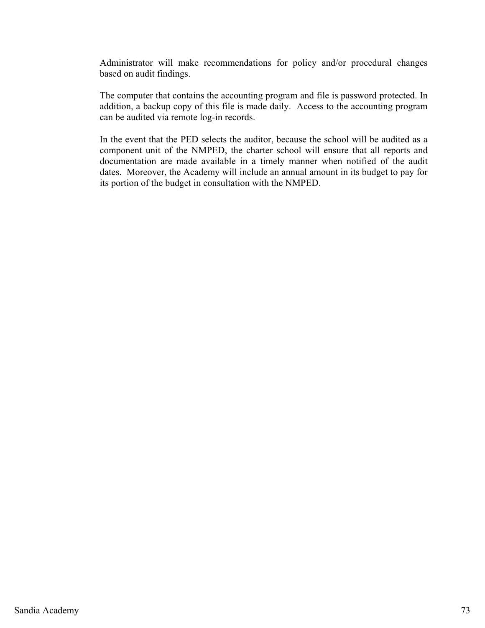Administrator will make recommendations for policy and/or procedural changes based on audit findings.

The computer that contains the accounting program and file is password protected. In addition, a backup copy of this file is made daily. Access to the accounting program can be audited via remote log-in records.

In the event that the PED selects the auditor, because the school will be audited as a component unit of the NMPED, the charter school will ensure that all reports and documentation are made available in a timely manner when notified of the audit dates. Moreover, the Academy will include an annual amount in its budget to pay for its portion of the budget in consultation with the NMPED.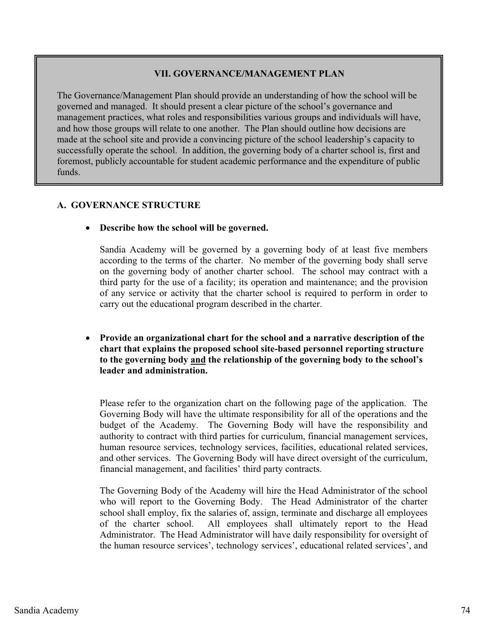# **VII. GOVERNANCE/MANAGEMENT PLAN**

The Governance/Management Plan should provide an understanding of how the school will be governed and managed. It should present a clear picture of the school's governance and management practices, what roles and responsibilities various groups and individuals will have, and how those groups will relate to one another. The Plan should outline how decisions are made at the school site and provide a convincing picture of the school leadership's capacity to successfully operate the school. In addition, the governing body of a charter school is, first and foremost, publicly accountable for student academic performance and the expenditure of public funds.

# **A. GOVERNANCE STRUCTURE**

- **Describe how the school will be governed.** 

Sandia Academy will be governed by a governing body of at least five members according to the terms of the charter. No member of the governing body shall serve on the governing body of another charter school. The school may contract with a third party for the use of a facility; its operation and maintenance; and the provision of any service or activity that the charter school is required to perform in order to carry out the educational program described in the charter.

- **Provide an organizational chart for the school and a narrative description of the chart that explains the proposed school site-based personnel reporting structure to the governing body and the relationship of the governing body to the school's leader and administration.** 

Please refer to the organization chart on the following page of the application. The Governing Body will have the ultimate responsibility for all of the operations and the budget of the Academy. The Governing Body will have the responsibility and authority to contract with third parties for curriculum, financial management services, human resource services, technology services, facilities, educational related services, and other services. The Governing Body will have direct oversight of the curriculum, financial management, and facilities' third party contracts.

The Governing Body of the Academy will hire the Head Administrator of the school who will report to the Governing Body. The Head Administrator of the charter school shall employ, fix the salaries of, assign, terminate and discharge all employees of the charter school. All employees shall ultimately report to the Head Administrator. The Head Administrator will have daily responsibility for oversight of the human resource services', technology services', educational related services', and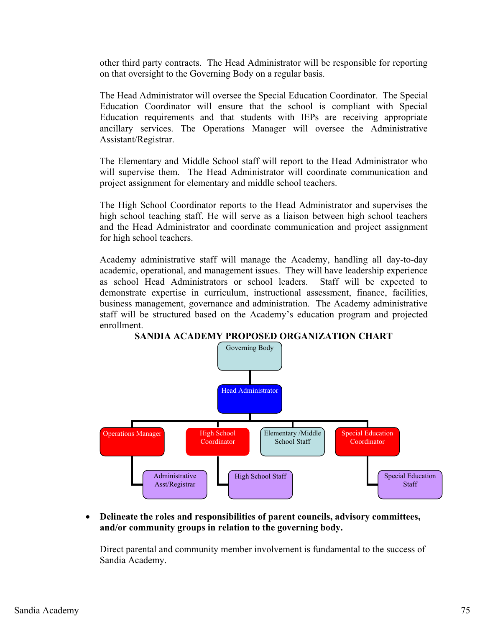other third party contracts. The Head Administrator will be responsible for reporting on that oversight to the Governing Body on a regular basis.

The Head Administrator will oversee the Special Education Coordinator. The Special Education Coordinator will ensure that the school is compliant with Special Education requirements and that students with IEPs are receiving appropriate ancillary services. The Operations Manager will oversee the Administrative Assistant/Registrar.

The Elementary and Middle School staff will report to the Head Administrator who will supervise them. The Head Administrator will coordinate communication and project assignment for elementary and middle school teachers.

The High School Coordinator reports to the Head Administrator and supervises the high school teaching staff. He will serve as a liaison between high school teachers and the Head Administrator and coordinate communication and project assignment for high school teachers.

Academy administrative staff will manage the Academy, handling all day-to-day academic, operational, and management issues. They will have leadership experience as school Head Administrators or school leaders. Staff will be expected to demonstrate expertise in curriculum, instructional assessment, finance, facilities, business management, governance and administration. The Academy administrative staff will be structured based on the Academy's education program and projected enrollment.



**SANDIA ACADEMY PROPOSED ORGANIZATION CHART** 

 $\bullet$  **Delineate the roles and responsibilities of parent councils, advisory committees, and/or community groups in relation to the governing body.** 

Direct parental and community member involvement is fundamental to the success of Sandia Academy.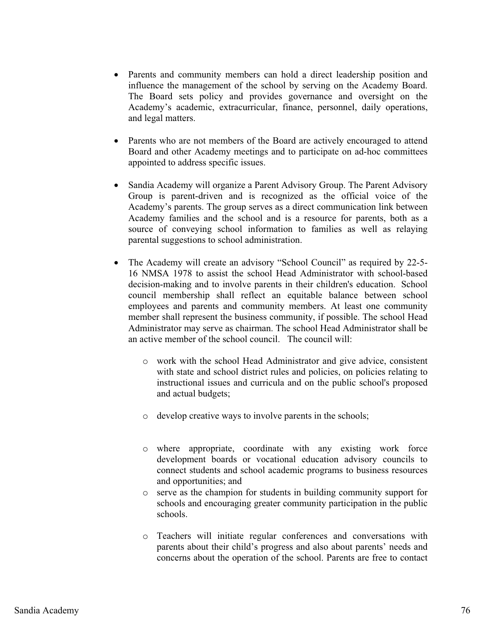- Parents and community members can hold a direct leadership position and influence the management of the school by serving on the Academy Board. The Board sets policy and provides governance and oversight on the Academy's academic, extracurricular, finance, personnel, daily operations, and legal matters.
- $\bullet$  Parents who are not members of the Board are actively encouraged to attend Board and other Academy meetings and to participate on ad-hoc committees appointed to address specific issues.
- $\bullet$  Sandia Academy will organize a Parent Advisory Group. The Parent Advisory Group is parent-driven and is recognized as the official voice of the Academy's parents. The group serves as a direct communication link between Academy families and the school and is a resource for parents, both as a source of conveying school information to families as well as relaying parental suggestions to school administration.
- $\bullet$  The Academy will create an advisory "School Council" as required by 22-5- 16 NMSA 1978 to assist the school Head Administrator with school-based decision-making and to involve parents in their children's education. School council membership shall reflect an equitable balance between school employees and parents and community members. At least one community member shall represent the business community, if possible. The school Head Administrator may serve as chairman. The school Head Administrator shall be an active member of the school council. The council will:
	- o work with the school Head Administrator and give advice, consistent with state and school district rules and policies, on policies relating to instructional issues and curricula and on the public school's proposed and actual budgets;
	- o develop creative ways to involve parents in the schools;
	- o where appropriate, coordinate with any existing work force development boards or vocational education advisory councils to connect students and school academic programs to business resources and opportunities; and
	- o serve as the champion for students in building community support for schools and encouraging greater community participation in the public schools.
	- o Teachers will initiate regular conferences and conversations with parents about their child's progress and also about parents' needs and concerns about the operation of the school. Parents are free to contact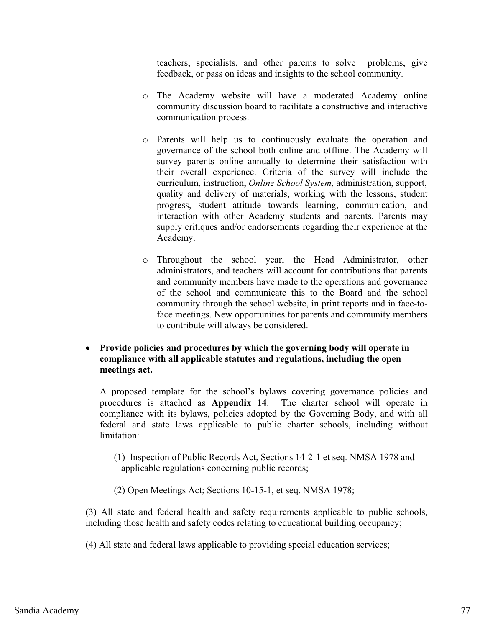teachers, specialists, and other parents to solve problems, give feedback, or pass on ideas and insights to the school community.

- o The Academy website will have a moderated Academy online community discussion board to facilitate a constructive and interactive communication process.
- o Parents will help us to continuously evaluate the operation and governance of the school both online and offline. The Academy will survey parents online annually to determine their satisfaction with their overall experience. Criteria of the survey will include the curriculum, instruction, *Online School System*, administration, support, quality and delivery of materials, working with the lessons, student progress, student attitude towards learning, communication, and interaction with other Academy students and parents. Parents may supply critiques and/or endorsements regarding their experience at the Academy.
- o Throughout the school year, the Head Administrator, other administrators, and teachers will account for contributions that parents and community members have made to the operations and governance of the school and communicate this to the Board and the school community through the school website, in print reports and in face-toface meetings. New opportunities for parents and community members to contribute will always be considered.
- **Provide policies and procedures by which the governing body will operate in compliance with all applicable statutes and regulations, including the open meetings act.**

A proposed template for the school's bylaws covering governance policies and procedures is attached as **Appendix 14**. The charter school will operate in compliance with its bylaws, policies adopted by the Governing Body, and with all federal and state laws applicable to public charter schools, including without limitation:

- (1) Inspection of Public Records Act, Sections 14-2-1 et seq. NMSA 1978 and applicable regulations concerning public records;
- (2) Open Meetings Act; Sections 10-15-1, et seq. NMSA 1978;

(3) All state and federal health and safety requirements applicable to public schools, including those health and safety codes relating to educational building occupancy;

(4) All state and federal laws applicable to providing special education services;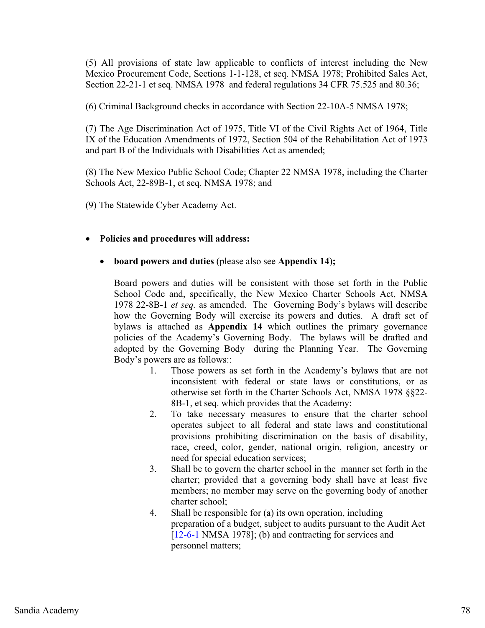(5) All provisions of state law applicable to conflicts of interest including the New Mexico Procurement Code, Sections 1-1-128, et seq. NMSA 1978; Prohibited Sales Act, Section 22-21-1 et seq. NMSA 1978 and federal regulations 34 CFR 75.525 and 80.36;

(6) Criminal Background checks in accordance with Section 22-10A-5 NMSA 1978;

(7) The Age Discrimination Act of 1975, Title VI of the Civil Rights Act of 1964, Title IX of the Education Amendments of 1972, Section 504 of the Rehabilitation Act of 1973 and part B of the Individuals with Disabilities Act as amended;

(8) The New Mexico Public School Code; Chapter 22 NMSA 1978, including the Charter Schools Act, 22-89B-1, et seq. NMSA 1978; and

(9) The Statewide Cyber Academy Act.

# - **Policies and procedures will address:**

#### $\bullet$ **board powers and duties** (please also see **Appendix 14**)**;**

Board powers and duties will be consistent with those set forth in the Public School Code and, specifically, the New Mexico Charter Schools Act, NMSA 1978 22-8B-1 *et seq.* as amended. The Governing Body's bylaws will describe how the Governing Body will exercise its powers and duties. A draft set of bylaws is attached as **Appendix 14** which outlines the primary governance policies of the Academy's Governing Body. The bylaws will be drafted and adopted by the Governing Body during the Planning Year. The Governing Body's powers are as follows::

- 1. Those powers as set forth in the Academy's bylaws that are not inconsistent with federal or state laws or constitutions, or as otherwise set forth in the Charter Schools Act, NMSA 1978 §§22- 8B-1, et seq. which provides that the Academy:
- 2. To take necessary measures to ensure that the charter school operates subject to all federal and state laws and constitutional provisions prohibiting discrimination on the basis of disability, race, creed, color, gender, national origin, religion, ancestry or need for special education services;
- 3. Shall be to govern the charter school in the manner set forth in the charter; provided that a governing body shall have at least five members; no member may serve on the governing body of another charter school;
- 4. Shall be responsible for (a) its own operation, including preparation of a budget, subject to audits pursuant to the Audit Act [12-6-1 NMSA 1978]; (b) and contracting for services and personnel matters;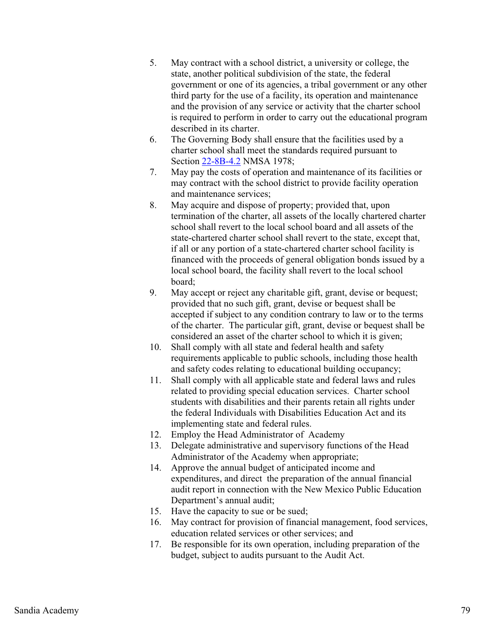- 5. May contract with a school district, a university or college, the state, another political subdivision of the state, the federal government or one of its agencies, a tribal government or any other third party for the use of a facility, its operation and maintenance and the provision of any service or activity that the charter school is required to perform in order to carry out the educational program described in its charter.
- 6. The Governing Body shall ensure that the facilities used by a charter school shall meet the standards required pursuant to Section 22-8B-4.2 NMSA 1978;
- 7. May pay the costs of operation and maintenance of its facilities or may contract with the school district to provide facility operation and maintenance services;
- 8. May acquire and dispose of property; provided that, upon termination of the charter, all assets of the locally chartered charter school shall revert to the local school board and all assets of the state-chartered charter school shall revert to the state, except that, if all or any portion of a state-chartered charter school facility is financed with the proceeds of general obligation bonds issued by a local school board, the facility shall revert to the local school board;
- 9. May accept or reject any charitable gift, grant, devise or bequest; provided that no such gift, grant, devise or bequest shall be accepted if subject to any condition contrary to law or to the terms of the charter. The particular gift, grant, devise or bequest shall be considered an asset of the charter school to which it is given;
- 10. Shall comply with all state and federal health and safety requirements applicable to public schools, including those health and safety codes relating to educational building occupancy;
- 11. Shall comply with all applicable state and federal laws and rules related to providing special education services. Charter school students with disabilities and their parents retain all rights under the federal Individuals with Disabilities Education Act and its implementing state and federal rules.
- 12. Employ the Head Administrator of Academy
- 13. Delegate administrative and supervisory functions of the Head Administrator of the Academy when appropriate;
- 14. Approve the annual budget of anticipated income and expenditures, and direct the preparation of the annual financial audit report in connection with the New Mexico Public Education Department's annual audit;
- 15. Have the capacity to sue or be sued;
- 16. May contract for provision of financial management, food services, education related services or other services; and
- 17. Be responsible for its own operation, including preparation of the budget, subject to audits pursuant to the Audit Act.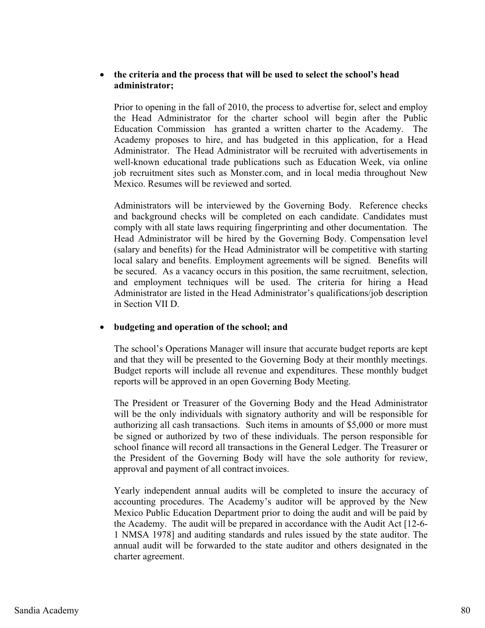#### $\bullet$  **the criteria and the process that will be used to select the school's head administrator;**

Prior to opening in the fall of 2010, the process to advertise for, select and employ the Head Administrator for the charter school will begin after the Public Education Commission has granted a written charter to the Academy. The Academy proposes to hire, and has budgeted in this application, for a Head Administrator. The Head Administrator will be recruited with advertisements in well-known educational trade publications such as Education Week, via online job recruitment sites such as Monster.com, and in local media throughout New Mexico. Resumes will be reviewed and sorted.

Administrators will be interviewed by the Governing Body. Reference checks and background checks will be completed on each candidate. Candidates must comply with all state laws requiring fingerprinting and other documentation. The Head Administrator will be hired by the Governing Body. Compensation level (salary and benefits) for the Head Administrator will be competitive with starting local salary and benefits. Employment agreements will be signed. Benefits will be secured. As a vacancy occurs in this position, the same recruitment, selection, and employment techniques will be used. The criteria for hiring a Head Administrator are listed in the Head Administrator's qualifications/job description in Section VII D.

#### $\bullet$ **budgeting and operation of the school; and**

The school's Operations Manager will insure that accurate budget reports are kept and that they will be presented to the Governing Body at their monthly meetings. Budget reports will include all revenue and expenditures. These monthly budget reports will be approved in an open Governing Body Meeting.

The President or Treasurer of the Governing Body and the Head Administrator will be the only individuals with signatory authority and will be responsible for authorizing all cash transactions. Such items in amounts of \$5,000 or more must be signed or authorized by two of these individuals. The person responsible for school finance will record all transactions in the General Ledger. The Treasurer or the President of the Governing Body will have the sole authority for review, approval and payment of all contract invoices.

Yearly independent annual audits will be completed to insure the accuracy of accounting procedures. The Academy's auditor will be approved by the New Mexico Public Education Department prior to doing the audit and will be paid by the Academy. The audit will be prepared in accordance with the Audit Act [12-6- 1 NMSA 1978] and auditing standards and rules issued by the state auditor. The annual audit will be forwarded to the state auditor and others designated in the charter agreement.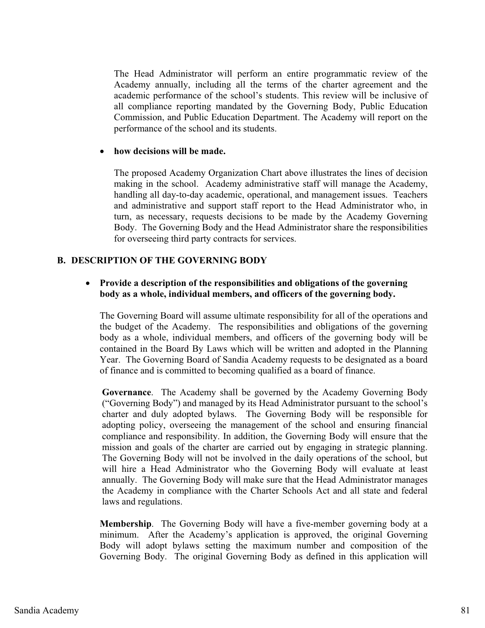The Head Administrator will perform an entire programmatic review of the Academy annually, including all the terms of the charter agreement and the academic performance of the school's students. This review will be inclusive of all compliance reporting mandated by the Governing Body, Public Education Commission, and Public Education Department. The Academy will report on the performance of the school and its students.

#### **how decisions will be made.**

The proposed Academy Organization Chart above illustrates the lines of decision making in the school. Academy administrative staff will manage the Academy, handling all day-to-day academic, operational, and management issues. Teachers and administrative and support staff report to the Head Administrator who, in turn, as necessary, requests decisions to be made by the Academy Governing Body. The Governing Body and the Head Administrator share the responsibilities for overseeing third party contracts for services.

### **B. DESCRIPTION OF THE GOVERNING BODY**

# - **Provide a description of the responsibilities and obligations of the governing body as a whole, individual members, and officers of the governing body.**

The Governing Board will assume ultimate responsibility for all of the operations and the budget of the Academy. The responsibilities and obligations of the governing body as a whole, individual members, and officers of the governing body will be contained in the Board By Laws which will be written and adopted in the Planning Year. The Governing Board of Sandia Academy requests to be designated as a board of finance and is committed to becoming qualified as a board of finance.

**Governance**. The Academy shall be governed by the Academy Governing Body ("Governing Body") and managed by its Head Administrator pursuant to the school's charter and duly adopted bylaws. The Governing Body will be responsible for adopting policy, overseeing the management of the school and ensuring financial compliance and responsibility. In addition, the Governing Body will ensure that the mission and goals of the charter are carried out by engaging in strategic planning. The Governing Body will not be involved in the daily operations of the school, but will hire a Head Administrator who the Governing Body will evaluate at least annually. The Governing Body will make sure that the Head Administrator manages the Academy in compliance with the Charter Schools Act and all state and federal laws and regulations.

**Membership**. The Governing Body will have a five-member governing body at a minimum. After the Academy's application is approved, the original Governing Body will adopt bylaws setting the maximum number and composition of the Governing Body. The original Governing Body as defined in this application will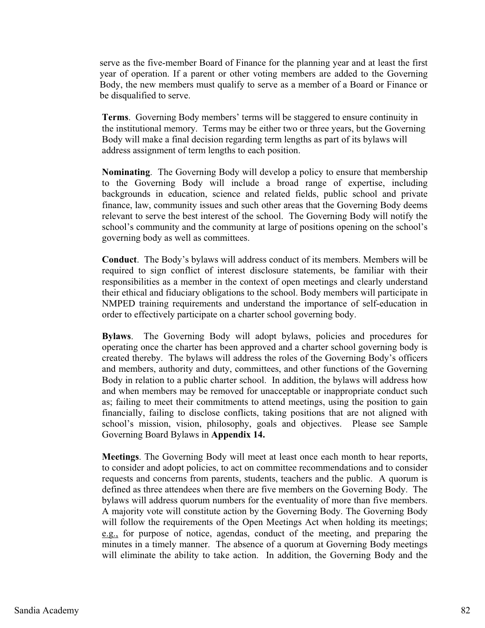serve as the five-member Board of Finance for the planning year and at least the first year of operation. If a parent or other voting members are added to the Governing Body, the new members must qualify to serve as a member of a Board or Finance or be disqualified to serve.

**Terms**. Governing Body members' terms will be staggered to ensure continuity in the institutional memory. Terms may be either two or three years, but the Governing Body will make a final decision regarding term lengths as part of its bylaws will address assignment of term lengths to each position.

**Nominating**. The Governing Body will develop a policy to ensure that membership to the Governing Body will include a broad range of expertise, including backgrounds in education, science and related fields, public school and private finance, law, community issues and such other areas that the Governing Body deems relevant to serve the best interest of the school. The Governing Body will notify the school's community and the community at large of positions opening on the school's governing body as well as committees.

**Conduct**. The Body's bylaws will address conduct of its members. Members will be required to sign conflict of interest disclosure statements, be familiar with their responsibilities as a member in the context of open meetings and clearly understand their ethical and fiduciary obligations to the school. Body members will participate in NMPED training requirements and understand the importance of self-education in order to effectively participate on a charter school governing body.

**Bylaws**. The Governing Body will adopt bylaws, policies and procedures for operating once the charter has been approved and a charter school governing body is created thereby. The bylaws will address the roles of the Governing Body's officers and members, authority and duty, committees, and other functions of the Governing Body in relation to a public charter school. In addition, the bylaws will address how and when members may be removed for unacceptable or inappropriate conduct such as; failing to meet their commitments to attend meetings, using the position to gain financially, failing to disclose conflicts, taking positions that are not aligned with school's mission, vision, philosophy, goals and objectives. Please see Sample Governing Board Bylaws in **Appendix 14.** 

**Meetings**. The Governing Body will meet at least once each month to hear reports, to consider and adopt policies, to act on committee recommendations and to consider requests and concerns from parents, students, teachers and the public. A quorum is defined as three attendees when there are five members on the Governing Body. The bylaws will address quorum numbers for the eventuality of more than five members. A majority vote will constitute action by the Governing Body. The Governing Body will follow the requirements of the Open Meetings Act when holding its meetings; e.g., for purpose of notice, agendas, conduct of the meeting, and preparing the minutes in a timely manner. The absence of a quorum at Governing Body meetings will eliminate the ability to take action. In addition, the Governing Body and the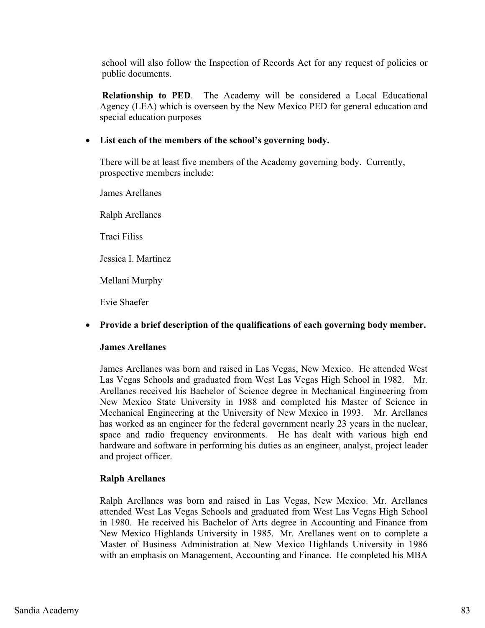school will also follow the Inspection of Records Act for any request of policies or public documents.

**Relationship to PED**. The Academy will be considered a Local Educational Agency (LEA) which is overseen by the New Mexico PED for general education and special education purposes

# - **List each of the members of the school's governing body.**

There will be at least five members of the Academy governing body. Currently, prospective members include:

James Arellanes Ralph Arellanes Traci Filiss Jessica I. Martinez Mellani Murphy

# - **Provide a brief description of the qualifications of each governing body member.**

### **James Arellanes**

Evie Shaefer

James Arellanes was born and raised in Las Vegas, New Mexico. He attended West Las Vegas Schools and graduated from West Las Vegas High School in 1982. Mr. Arellanes received his Bachelor of Science degree in Mechanical Engineering from New Mexico State University in 1988 and completed his Master of Science in Mechanical Engineering at the University of New Mexico in 1993. Mr. Arellanes has worked as an engineer for the federal government nearly 23 years in the nuclear, space and radio frequency environments. He has dealt with various high end hardware and software in performing his duties as an engineer, analyst, project leader and project officer.

### **Ralph Arellanes**

Ralph Arellanes was born and raised in Las Vegas, New Mexico. Mr. Arellanes attended West Las Vegas Schools and graduated from West Las Vegas High School in 1980. He received his Bachelor of Arts degree in Accounting and Finance from New Mexico Highlands University in 1985. Mr. Arellanes went on to complete a Master of Business Administration at New Mexico Highlands University in 1986 with an emphasis on Management, Accounting and Finance. He completed his MBA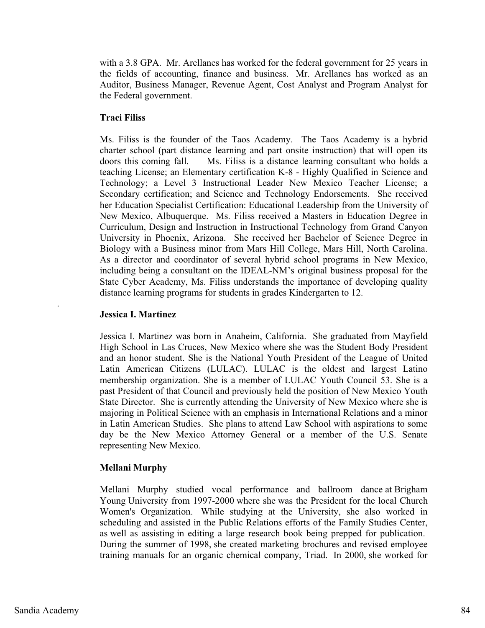with a 3.8 GPA. Mr. Arellanes has worked for the federal government for 25 years in the fields of accounting, finance and business. Mr. Arellanes has worked as an Auditor, Business Manager, Revenue Agent, Cost Analyst and Program Analyst for the Federal government.

# **Traci Filiss**

Ms. Filiss is the founder of the Taos Academy. The Taos Academy is a hybrid charter school (part distance learning and part onsite instruction) that will open its doors this coming fall. Ms. Filiss is a distance learning consultant who holds a teaching License; an Elementary certification K-8 - Highly Qualified in Science and Technology; a Level 3 Instructional Leader New Mexico Teacher License; a Secondary certification; and Science and Technology Endorsements. She received her Education Specialist Certification: Educational Leadership from the University of New Mexico, Albuquerque. Ms. Filiss received a Masters in Education Degree in Curriculum, Design and Instruction in Instructional Technology from Grand Canyon University in Phoenix, Arizona. She received her Bachelor of Science Degree in Biology with a Business minor from Mars Hill College, Mars Hill, North Carolina. As a director and coordinator of several hybrid school programs in New Mexico, including being a consultant on the IDEAL-NM's original business proposal for the State Cyber Academy, Ms. Filiss understands the importance of developing quality distance learning programs for students in grades Kindergarten to 12.

### **Jessica I. Martinez**

Jessica I. Martinez was born in Anaheim, California. She graduated from Mayfield High School in Las Cruces, New Mexico where she was the Student Body President and an honor student. She is the National Youth President of the League of United Latin American Citizens (LULAC). LULAC is the oldest and largest Latino membership organization. She is a member of LULAC Youth Council 53. She is a past President of that Council and previously held the position of New Mexico Youth State Director. She is currently attending the University of New Mexico where she is majoring in Political Science with an emphasis in International Relations and a minor in Latin American Studies. She plans to attend Law School with aspirations to some day be the New Mexico Attorney General or a member of the U.S. Senate representing New Mexico.

### **Mellani Murphy**

Mellani Murphy studied vocal performance and ballroom dance at Brigham Young University from 1997-2000 where she was the President for the local Church Women's Organization. While studying at the University, she also worked in scheduling and assisted in the Public Relations efforts of the Family Studies Center, as well as assisting in editing a large research book being prepped for publication. During the summer of 1998, she created marketing brochures and revised employee training manuals for an organic chemical company, Triad. In 2000, she worked for

.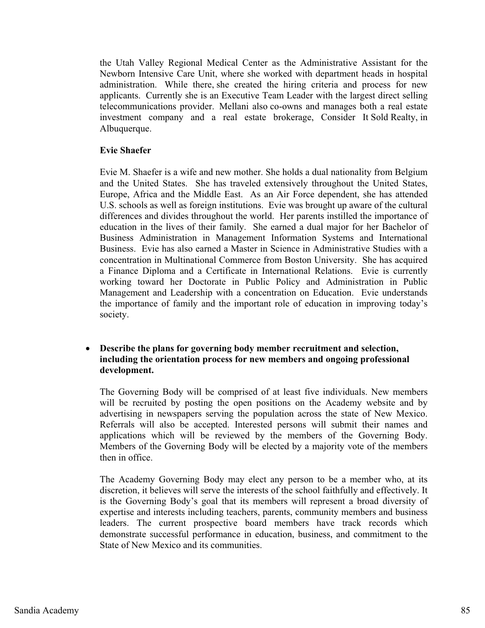the Utah Valley Regional Medical Center as the Administrative Assistant for the Newborn Intensive Care Unit, where she worked with department heads in hospital administration. While there, she created the hiring criteria and process for new applicants. Currently she is an Executive Team Leader with the largest direct selling telecommunications provider. Mellani also co-owns and manages both a real estate investment company and a real estate brokerage, Consider It Sold Realty, in Albuquerque.

### **Evie Shaefer**

Evie M. Shaefer is a wife and new mother. She holds a dual nationality from Belgium and the United States. She has traveled extensively throughout the United States, Europe, Africa and the Middle East. As an Air Force dependent, she has attended U.S. schools as well as foreign institutions. Evie was brought up aware of the cultural differences and divides throughout the world. Her parents instilled the importance of education in the lives of their family. She earned a dual major for her Bachelor of Business Administration in Management Information Systems and International Business. Evie has also earned a Master in Science in Administrative Studies with a concentration in Multinational Commerce from Boston University. She has acquired a Finance Diploma and a Certificate in International Relations. Evie is currently working toward her Doctorate in Public Policy and Administration in Public Management and Leadership with a concentration on Education. Evie understands the importance of family and the important role of education in improving today's society.

# - **Describe the plans for governing body member recruitment and selection, including the orientation process for new members and ongoing professional development.**

The Governing Body will be comprised of at least five individuals. New members will be recruited by posting the open positions on the Academy website and by advertising in newspapers serving the population across the state of New Mexico. Referrals will also be accepted. Interested persons will submit their names and applications which will be reviewed by the members of the Governing Body. Members of the Governing Body will be elected by a majority vote of the members then in office.

The Academy Governing Body may elect any person to be a member who, at its discretion, it believes will serve the interests of the school faithfully and effectively. It is the Governing Body's goal that its members will represent a broad diversity of expertise and interests including teachers, parents, community members and business leaders. The current prospective board members have track records which demonstrate successful performance in education, business, and commitment to the State of New Mexico and its communities.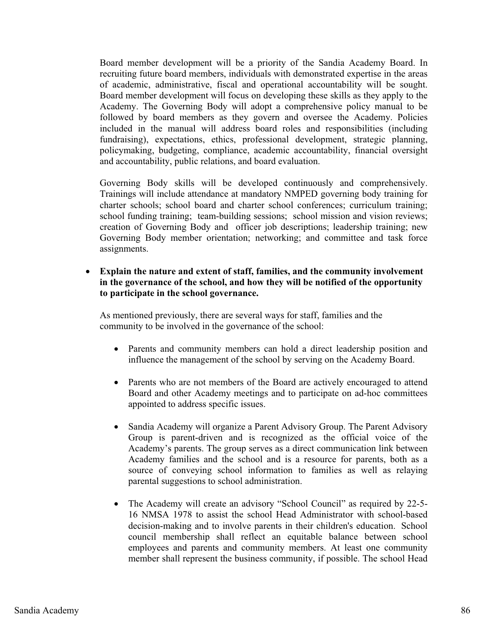Board member development will be a priority of the Sandia Academy Board. In recruiting future board members, individuals with demonstrated expertise in the areas of academic, administrative, fiscal and operational accountability will be sought. Board member development will focus on developing these skills as they apply to the Academy. The Governing Body will adopt a comprehensive policy manual to be followed by board members as they govern and oversee the Academy. Policies included in the manual will address board roles and responsibilities (including fundraising), expectations, ethics, professional development, strategic planning, policymaking, budgeting, compliance, academic accountability, financial oversight and accountability, public relations, and board evaluation.

Governing Body skills will be developed continuously and comprehensively. Trainings will include attendance at mandatory NMPED governing body training for charter schools; school board and charter school conferences; curriculum training; school funding training; team-building sessions; school mission and vision reviews; creation of Governing Body and officer job descriptions; leadership training; new Governing Body member orientation; networking; and committee and task force assignments.

- **Explain the nature and extent of staff, families, and the community involvement in the governance of the school, and how they will be notified of the opportunity to participate in the school governance.** 

As mentioned previously, there are several ways for staff, families and the community to be involved in the governance of the school:

- Parents and community members can hold a direct leadership position and influence the management of the school by serving on the Academy Board.
- $\bullet$  Parents who are not members of the Board are actively encouraged to attend Board and other Academy meetings and to participate on ad-hoc committees appointed to address specific issues.
- $\bullet$  Sandia Academy will organize a Parent Advisory Group. The Parent Advisory Group is parent-driven and is recognized as the official voice of the Academy's parents. The group serves as a direct communication link between Academy families and the school and is a resource for parents, both as a source of conveying school information to families as well as relaying parental suggestions to school administration.
- $\bullet$  The Academy will create an advisory "School Council" as required by 22-5- 16 NMSA 1978 to assist the school Head Administrator with school-based decision-making and to involve parents in their children's education. School council membership shall reflect an equitable balance between school employees and parents and community members. At least one community member shall represent the business community, if possible. The school Head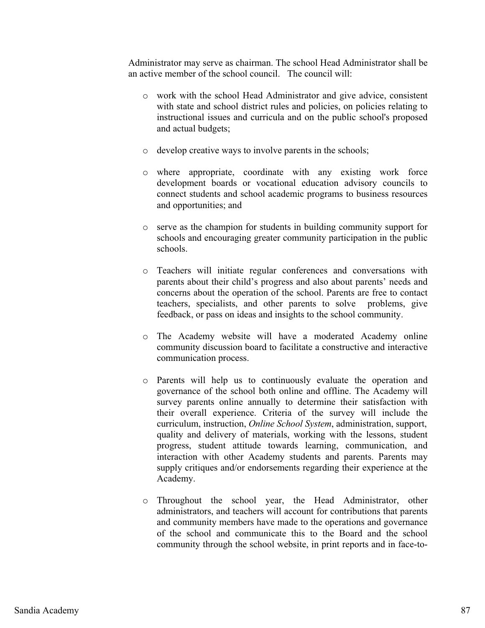Administrator may serve as chairman. The school Head Administrator shall be an active member of the school council. The council will:

- o work with the school Head Administrator and give advice, consistent with state and school district rules and policies, on policies relating to instructional issues and curricula and on the public school's proposed and actual budgets;
- o develop creative ways to involve parents in the schools;
- o where appropriate, coordinate with any existing work force development boards or vocational education advisory councils to connect students and school academic programs to business resources and opportunities; and
- o serve as the champion for students in building community support for schools and encouraging greater community participation in the public schools.
- o Teachers will initiate regular conferences and conversations with parents about their child's progress and also about parents' needs and concerns about the operation of the school. Parents are free to contact teachers, specialists, and other parents to solve problems, give feedback, or pass on ideas and insights to the school community.
- o The Academy website will have a moderated Academy online community discussion board to facilitate a constructive and interactive communication process.
- o Parents will help us to continuously evaluate the operation and governance of the school both online and offline. The Academy will survey parents online annually to determine their satisfaction with their overall experience. Criteria of the survey will include the curriculum, instruction, *Online School System*, administration, support, quality and delivery of materials, working with the lessons, student progress, student attitude towards learning, communication, and interaction with other Academy students and parents. Parents may supply critiques and/or endorsements regarding their experience at the Academy.
- o Throughout the school year, the Head Administrator, other administrators, and teachers will account for contributions that parents and community members have made to the operations and governance of the school and communicate this to the Board and the school community through the school website, in print reports and in face-to-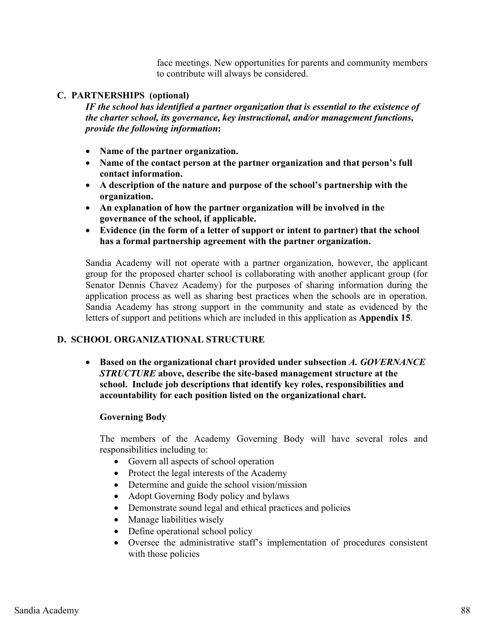face meetings. New opportunities for parents and community members to contribute will always be considered.

# **C. PARTNERSHIPS (optional)**

*IF the school has identified a partner organization that is essential to the existence of the charter school, its governance, key instructional, and/or management functions, provide the following information***:**

- **Name of the partner organization.**
- **Name of the contact person at the partner organization and that person's full contact information.**
- **A description of the nature and purpose of the school's partnership with the organization.**
- **An explanation of how the partner organization will be involved in the governance of the school, if applicable.**
- **Evidence (in the form of a letter of support or intent to partner) that the school has a formal partnership agreement with the partner organization.**

Sandia Academy will not operate with a partner organization, however, the applicant group for the proposed charter school is collaborating with another applicant group (for Senator Dennis Chavez Academy) for the purposes of sharing information during the application process as well as sharing best practices when the schools are in operation. Sandia Academy has strong support in the community and state as evidenced by the letters of support and petitions which are included in this application as **Appendix 15**.

# **D. SCHOOL ORGANIZATIONAL STRUCTURE**

- **Based on the organizational chart provided under subsection** *A. GOVERNANCE STRUCTURE* **above, describe the site-based management structure at the school. Include job descriptions that identify key roles, responsibilities and accountability for each position listed on the organizational chart.** 

### **Governing Body**

The members of the Academy Governing Body will have several roles and responsibilities including to:

- Govern all aspects of school operation
- Protect the legal interests of the Academy
- Determine and guide the school vision/mission
- Adopt Governing Body policy and bylaws
- Demonstrate sound legal and ethical practices and policies
- Manage liabilities wisely
- Define operational school policy
- Oversee the administrative staff's implementation of procedures consistent with those policies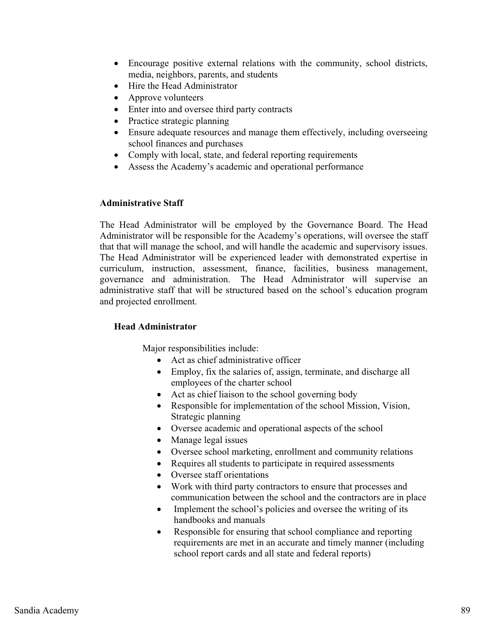- $\bullet$  Encourage positive external relations with the community, school districts, media, neighbors, parents, and students
- Hire the Head Administrator
- $\bullet$ Approve volunteers
- Enter into and oversee third party contracts
- Practice strategic planning
- $\bullet$  Ensure adequate resources and manage them effectively, including overseeing school finances and purchases
- Comply with local, state, and federal reporting requirements
- Assess the Academy's academic and operational performance

### **Administrative Staff**

The Head Administrator will be employed by the Governance Board. The Head Administrator will be responsible for the Academy's operations, will oversee the staff that that will manage the school, and will handle the academic and supervisory issues. The Head Administrator will be experienced leader with demonstrated expertise in curriculum, instruction, assessment, finance, facilities, business management, governance and administration. The Head Administrator will supervise an administrative staff that will be structured based on the school's education program and projected enrollment.

### **Head Administrator**

- Act as chief administrative officer
- Employ, fix the salaries of, assign, terminate, and discharge all employees of the charter school
- Act as chief liaison to the school governing body
- Responsible for implementation of the school Mission, Vision, Strategic planning
- Oversee academic and operational aspects of the school
- Manage legal issues
- Oversee school marketing, enrollment and community relations
- Requires all students to participate in required assessments
- Oversee staff orientations
- Work with third party contractors to ensure that processes and communication between the school and the contractors are in place
- $\bullet$  Implement the school's policies and oversee the writing of its handbooks and manuals
- $\bullet$  Responsible for ensuring that school compliance and reporting requirements are met in an accurate and timely manner (including school report cards and all state and federal reports)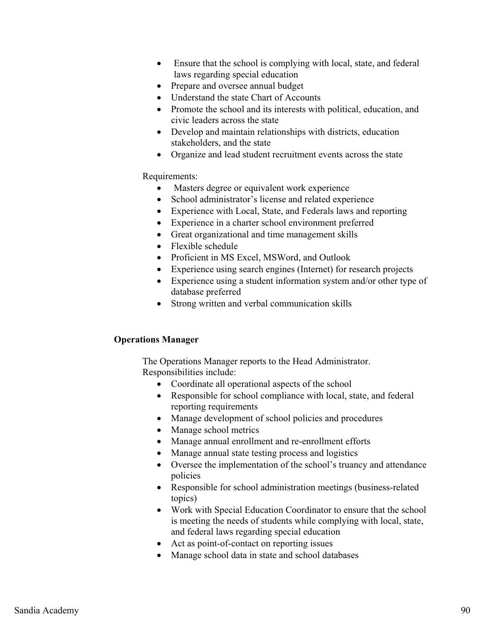- $\bullet$  Ensure that the school is complying with local, state, and federal laws regarding special education
- $\bullet$ Prepare and oversee annual budget
- Understand the state Chart of Accounts
- Promote the school and its interests with political, education, and civic leaders across the state
- Develop and maintain relationships with districts, education stakeholders, and the state
- Organize and lead student recruitment events across the state

# Requirements:

- -Masters degree or equivalent work experience
- -School administrator's license and related experience
- Experience with Local, State, and Federals laws and reporting
- Experience in a charter school environment preferred
- Great organizational and time management skills
- Flexible schedule
- Proficient in MS Excel, MSWord, and Outlook
- Experience using search engines (Internet) for research projects
- Experience using a student information system and/or other type of database preferred
- Strong written and verbal communication skills

# **Operations Manager**

The Operations Manager reports to the Head Administrator. Responsibilities include:

- Coordinate all operational aspects of the school
- Responsible for school compliance with local, state, and federal reporting requirements
- Manage development of school policies and procedures
- Manage school metrics
- Manage annual enrollment and re-enrollment efforts
- Manage annual state testing process and logistics
- Oversee the implementation of the school's truancy and attendance policies
- Responsible for school administration meetings (business-related topics)
- $\bullet$  Work with Special Education Coordinator to ensure that the school is meeting the needs of students while complying with local, state, and federal laws regarding special education
- Act as point-of-contact on reporting issues
- Manage school data in state and school databases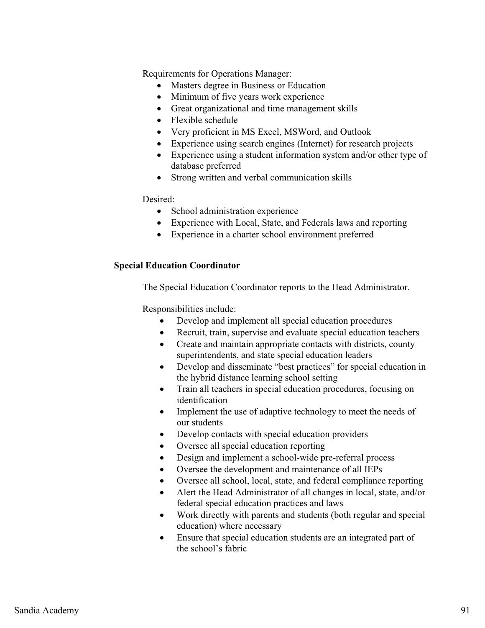Requirements for Operations Manager:

- -Masters degree in Business or Education
- $\bullet$ Minimum of five years work experience
- Great organizational and time management skills
- Flexible schedule
- Very proficient in MS Excel, MSWord, and Outlook
- Experience using search engines (Internet) for research projects
- Experience using a student information system and/or other type of database preferred
- Strong written and verbal communication skills

Desired:

- School administration experience
- Experience with Local, State, and Federals laws and reporting
- Experience in a charter school environment preferred

### **Special Education Coordinator**

The Special Education Coordinator reports to the Head Administrator.

Responsibilities include:

- $\bullet$ Develop and implement all special education procedures
- $\bullet$ Recruit, train, supervise and evaluate special education teachers
- $\bullet$  Create and maintain appropriate contacts with districts, county superintendents, and state special education leaders
- $\bullet$  Develop and disseminate "best practices" for special education in the hybrid distance learning school setting
- $\bullet$  Train all teachers in special education procedures, focusing on identification
- $\bullet$  Implement the use of adaptive technology to meet the needs of our students
- $\bullet$ Develop contacts with special education providers
- $\bullet$ Oversee all special education reporting
- $\bullet$ Design and implement a school-wide pre-referral process
- $\bullet$ Oversee the development and maintenance of all IEPs
- $\bullet$ Oversee all school, local, state, and federal compliance reporting
- $\bullet$  Alert the Head Administrator of all changes in local, state, and/or federal special education practices and laws
- $\bullet$  Work directly with parents and students (both regular and special education) where necessary
- $\bullet$  Ensure that special education students are an integrated part of the school's fabric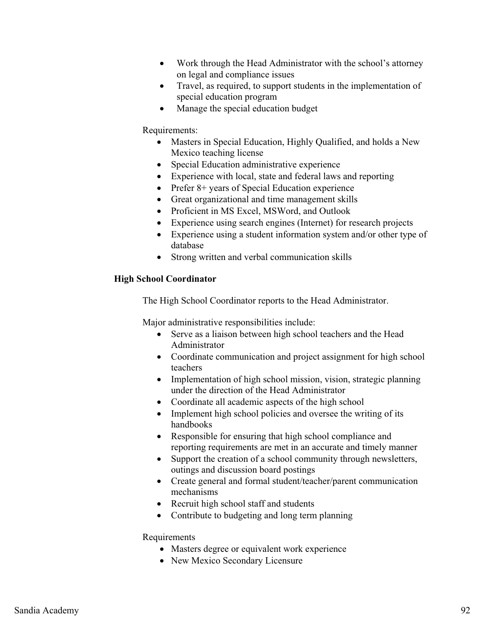- $\bullet$  Work through the Head Administrator with the school's attorney on legal and compliance issues
- $\bullet$  Travel, as required, to support students in the implementation of special education program
- $\bullet$ Manage the special education budget

### Requirements:

- Masters in Special Education, Highly Qualified, and holds a New Mexico teaching license
- Special Education administrative experience
- Experience with local, state and federal laws and reporting
- Prefer 8+ years of Special Education experience
- Great organizational and time management skills
- Proficient in MS Excel, MSWord, and Outlook
- Experience using search engines (Internet) for research projects
- Experience using a student information system and/or other type of database
- Strong written and verbal communication skills

# **High School Coordinator**

The High School Coordinator reports to the Head Administrator.

Major administrative responsibilities include:

- Serve as a liaison between high school teachers and the Head Administrator
- Coordinate communication and project assignment for high school teachers
- Implementation of high school mission, vision, strategic planning under the direction of the Head Administrator
- Coordinate all academic aspects of the high school
- Implement high school policies and oversee the writing of its handbooks
- Responsible for ensuring that high school compliance and reporting requirements are met in an accurate and timely manner
- $\bullet$  Support the creation of a school community through newsletters, outings and discussion board postings
- Create general and formal student/teacher/parent communication mechanisms
- Recruit high school staff and students
- Contribute to budgeting and long term planning

### Requirements

- Masters degree or equivalent work experience
- New Mexico Secondary Licensure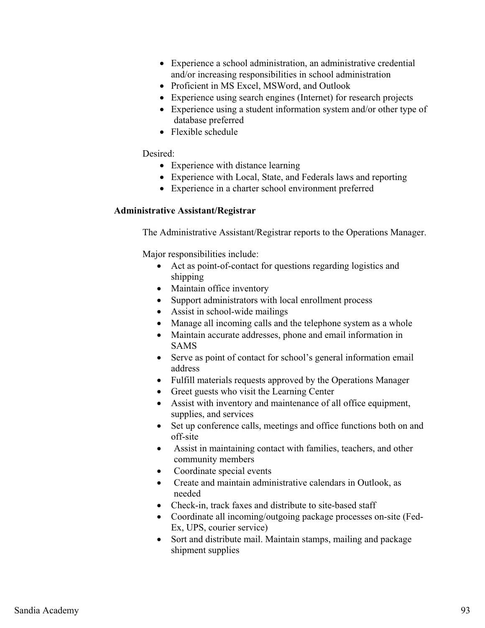- Experience a school administration, an administrative credential and/or increasing responsibilities in school administration
- Proficient in MS Excel, MSWord, and Outlook
- Experience using search engines (Internet) for research projects
- Experience using a student information system and/or other type of database preferred
- Flexible schedule

# Desired:

- Experience with distance learning
- Experience with Local, State, and Federals laws and reporting
- Experience in a charter school environment preferred

# **Administrative Assistant/Registrar**

The Administrative Assistant/Registrar reports to the Operations Manager.

- Act as point-of-contact for questions regarding logistics and shipping
- Maintain office inventory
- Support administrators with local enrollment process
- Assist in school-wide mailings
- Manage all incoming calls and the telephone system as a whole
- Maintain accurate addresses, phone and email information in SAMS
- Serve as point of contact for school's general information email address
- Fulfill materials requests approved by the Operations Manager
- Greet guests who visit the Learning Center
- Assist with inventory and maintenance of all office equipment, supplies, and services
- Set up conference calls, meetings and office functions both on and off-site
- Assist in maintaining contact with families, teachers, and other community members
- -Coordinate special events
- Create and maintain administrative calendars in Outlook, as needed
- Check-in, track faxes and distribute to site-based staff
- Coordinate all incoming/outgoing package processes on-site (Fed-Ex, UPS, courier service)
- Sort and distribute mail. Maintain stamps, mailing and package shipment supplies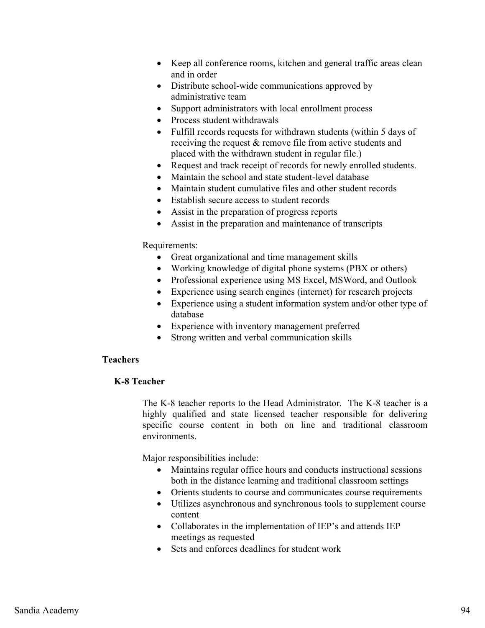- Keep all conference rooms, kitchen and general traffic areas clean and in order
- Distribute school-wide communications approved by administrative team
- -Support administrators with local enrollment process
- Process student withdrawals
- - Fulfill records requests for withdrawn students (within 5 days of receiving the request & remove file from active students and placed with the withdrawn student in regular file.)
- $\bullet$ Request and track receipt of records for newly enrolled students.
- Maintain the school and state student-level database
- Maintain student cumulative files and other student records
- Establish secure access to student records
- Assist in the preparation of progress reports
- $\bullet$ Assist in the preparation and maintenance of transcripts

### Requirements:

- $\bullet$ Great organizational and time management skills
- Working knowledge of digital phone systems (PBX or others)
- Professional experience using MS Excel, MSWord, and Outlook
- Experience using search engines (internet) for research projects
- $\bullet$  Experience using a student information system and/or other type of database
- Experience with inventory management preferred
- $\bullet$ Strong written and verbal communication skills

# **Teachers**

### **K-8 Teacher**

The K-8 teacher reports to the Head Administrator. The K-8 teacher is a highly qualified and state licensed teacher responsible for delivering specific course content in both on line and traditional classroom environments.

- Maintains regular office hours and conducts instructional sessions both in the distance learning and traditional classroom settings
- Orients students to course and communicates course requirements
- Utilizes asynchronous and synchronous tools to supplement course content
- Collaborates in the implementation of IEP's and attends IEP meetings as requested
- Sets and enforces deadlines for student work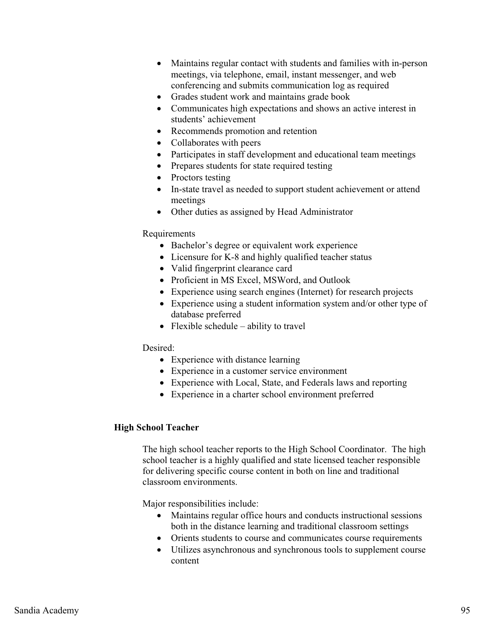- $\bullet$  Maintains regular contact with students and families with in-person meetings, via telephone, email, instant messenger, and web conferencing and submits communication log as required
- Grades student work and maintains grade book
- Communicates high expectations and shows an active interest in students' achievement
- Recommends promotion and retention
- Collaborates with peers
- Participates in staff development and educational team meetings
- Prepares students for state required testing
- Proctors testing
- In-state travel as needed to support student achievement or attend meetings
- Other duties as assigned by Head Administrator

# Requirements

- Bachelor's degree or equivalent work experience
- Licensure for K-8 and highly qualified teacher status
- Valid fingerprint clearance card
- Proficient in MS Excel, MSWord, and Outlook
- Experience using search engines (Internet) for research projects
- Experience using a student information system and/or other type of database preferred
- Flexible schedule ability to travel

### Desired:

- Experience with distance learning
- Experience in a customer service environment
- Experience with Local, State, and Federals laws and reporting
- Experience in a charter school environment preferred

### **High School Teacher**

The high school teacher reports to the High School Coordinator. The high school teacher is a highly qualified and state licensed teacher responsible for delivering specific course content in both on line and traditional classroom environments.

- Maintains regular office hours and conducts instructional sessions both in the distance learning and traditional classroom settings
- Orients students to course and communicates course requirements
- Utilizes asynchronous and synchronous tools to supplement course content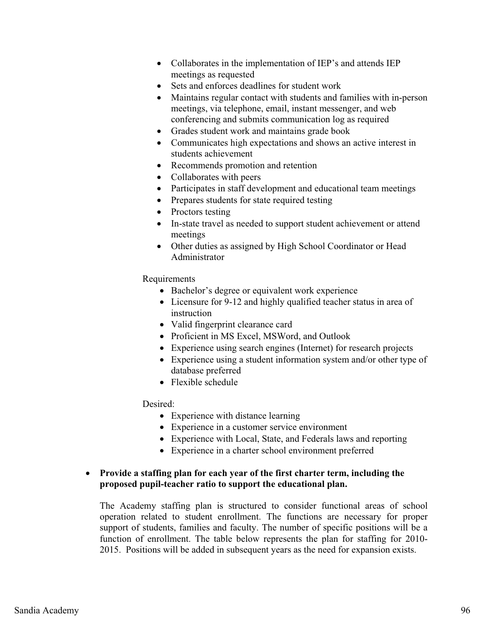- Collaborates in the implementation of IEP's and attends IEP meetings as requested
- Sets and enforces deadlines for student work
- Maintains regular contact with students and families with in-person meetings, via telephone, email, instant messenger, and web conferencing and submits communication log as required
- Grades student work and maintains grade book
- Communicates high expectations and shows an active interest in students achievement
- Recommends promotion and retention
- Collaborates with peers
- Participates in staff development and educational team meetings
- Prepares students for state required testing
- Proctors testing
- In-state travel as needed to support student achievement or attend meetings
- Other duties as assigned by High School Coordinator or Head Administrator

Requirements

- Bachelor's degree or equivalent work experience
- Licensure for 9-12 and highly qualified teacher status in area of instruction
- Valid fingerprint clearance card
- Proficient in MS Excel, MSWord, and Outlook
- Experience using search engines (Internet) for research projects
- Experience using a student information system and/or other type of database preferred
- Flexible schedule

Desired:

- Experience with distance learning
- Experience in a customer service environment
- Experience with Local, State, and Federals laws and reporting
- Experience in a charter school environment preferred

# - **Provide a staffing plan for each year of the first charter term, including the proposed pupil-teacher ratio to support the educational plan.**

The Academy staffing plan is structured to consider functional areas of school operation related to student enrollment. The functions are necessary for proper support of students, families and faculty. The number of specific positions will be a function of enrollment. The table below represents the plan for staffing for 2010- 2015. Positions will be added in subsequent years as the need for expansion exists.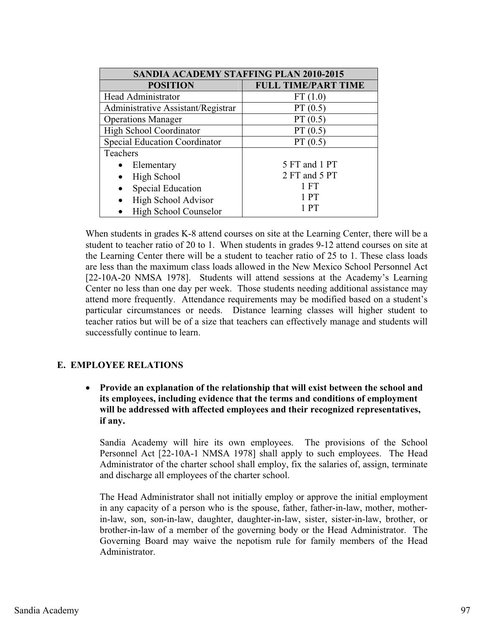| <b>SANDIA ACADEMY STAFFING PLAN 2010-2015</b> |                            |
|-----------------------------------------------|----------------------------|
| <b>POSITION</b>                               | <b>FULL TIME/PART TIME</b> |
| Head Administrator                            | FT(1.0)                    |
| Administrative Assistant/Registrar            | PT(0.5)                    |
| <b>Operations Manager</b>                     | PT(0.5)                    |
| <b>High School Coordinator</b>                | PT(0.5)                    |
| <b>Special Education Coordinator</b>          | PT(0.5)                    |
| Teachers                                      |                            |
| Elementary                                    | 5 FT and 1 PT              |
| High School                                   | 2 FT and 5 PT              |
| <b>Special Education</b>                      | $1$ FT                     |
| High School Advisor<br>$\bullet$              | 1 PT                       |
| High School Counselor                         | PT                         |

When students in grades K-8 attend courses on site at the Learning Center, there will be a student to teacher ratio of 20 to 1. When students in grades 9-12 attend courses on site at the Learning Center there will be a student to teacher ratio of 25 to 1. These class loads are less than the maximum class loads allowed in the New Mexico School Personnel Act [22-10A-20 NMSA 1978]. Students will attend sessions at the Academy's Learning Center no less than one day per week. Those students needing additional assistance may attend more frequently. Attendance requirements may be modified based on a student's particular circumstances or needs. Distance learning classes will higher student to teacher ratios but will be of a size that teachers can effectively manage and students will successfully continue to learn.

# **E. EMPLOYEE RELATIONS**

- **Provide an explanation of the relationship that will exist between the school and its employees, including evidence that the terms and conditions of employment will be addressed with affected employees and their recognized representatives, if any.**

Sandia Academy will hire its own employees. The provisions of the School Personnel Act [22-10A-1 NMSA 1978] shall apply to such employees. The Head Administrator of the charter school shall employ, fix the salaries of, assign, terminate and discharge all employees of the charter school.

The Head Administrator shall not initially employ or approve the initial employment in any capacity of a person who is the spouse, father, father-in-law, mother, motherin-law, son, son-in-law, daughter, daughter-in-law, sister, sister-in-law, brother, or brother-in-law of a member of the governing body or the Head Administrator. The Governing Board may waive the nepotism rule for family members of the Head Administrator.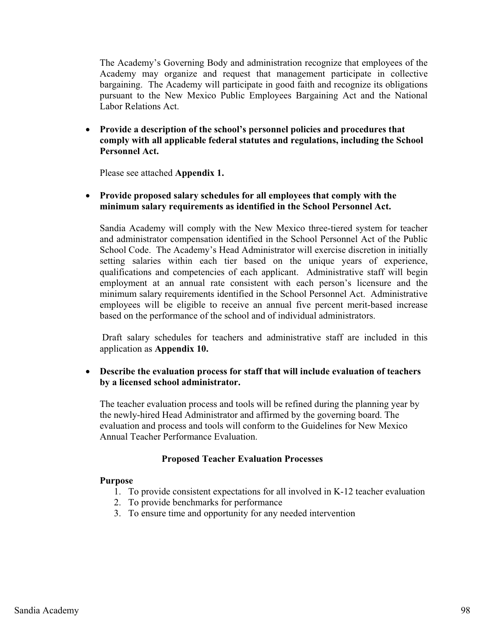The Academy's Governing Body and administration recognize that employees of the Academy may organize and request that management participate in collective bargaining. The Academy will participate in good faith and recognize its obligations pursuant to the New Mexico Public Employees Bargaining Act and the National Labor Relations Act.

- **Provide a description of the school's personnel policies and procedures that comply with all applicable federal statutes and regulations, including the School Personnel Act.** 

Please see attached **Appendix 1.** 

# - **Provide proposed salary schedules for all employees that comply with the minimum salary requirements as identified in the School Personnel Act.**

Sandia Academy will comply with the New Mexico three-tiered system for teacher and administrator compensation identified in the School Personnel Act of the Public School Code. The Academy's Head Administrator will exercise discretion in initially setting salaries within each tier based on the unique years of experience, qualifications and competencies of each applicant. Administrative staff will begin employment at an annual rate consistent with each person's licensure and the minimum salary requirements identified in the School Personnel Act. Administrative employees will be eligible to receive an annual five percent merit-based increase based on the performance of the school and of individual administrators.

 Draft salary schedules for teachers and administrative staff are included in this application as **Appendix 10.** 

- **Describe the evaluation process for staff that will include evaluation of teachers by a licensed school administrator.** 

The teacher evaluation process and tools will be refined during the planning year by the newly-hired Head Administrator and affirmed by the governing board. The evaluation and process and tools will conform to the Guidelines for New Mexico Annual Teacher Performance Evaluation.

### **Proposed Teacher Evaluation Processes**

### **Purpose**

- 1. To provide consistent expectations for all involved in K-12 teacher evaluation
- 2. To provide benchmarks for performance
- 3. To ensure time and opportunity for any needed intervention